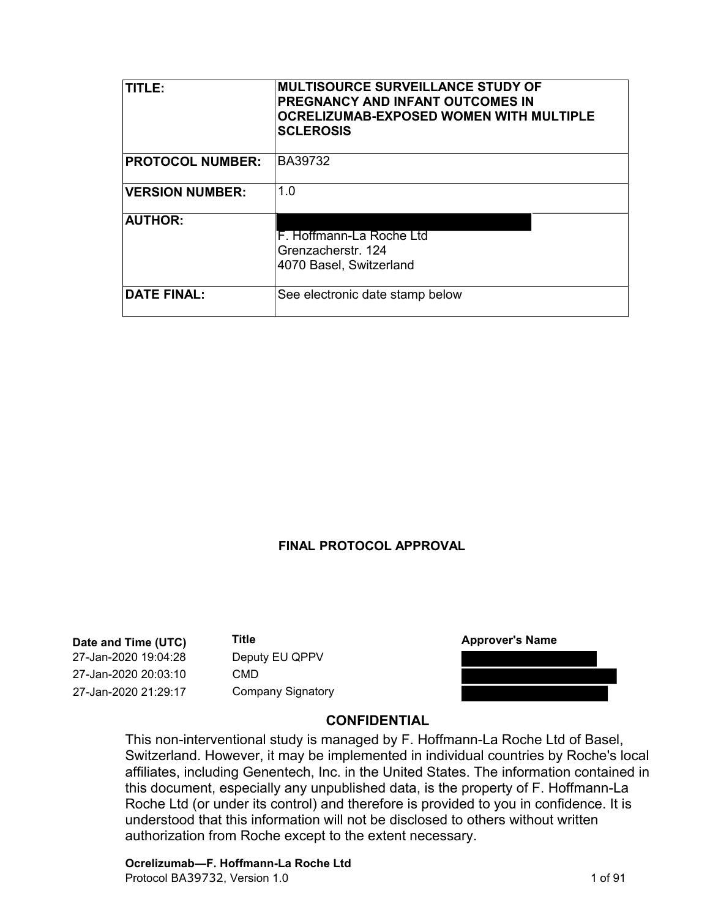| TITI F:                 | <b>MULTISOURCE SURVEILLANCE STUDY OF</b><br><b>PREGNANCY AND INFANT OUTCOMES IN</b><br><b>OCRELIZUMAB-EXPOSED WOMEN WITH MULTIPLE</b><br><b>SCLEROSIS</b> |
|-------------------------|-----------------------------------------------------------------------------------------------------------------------------------------------------------|
| <b>PROTOCOL NUMBER:</b> | BA39732                                                                                                                                                   |
| <b>VERSION NUMBER:</b>  | 1.0                                                                                                                                                       |
| <b>AUTHOR:</b>          | F. Hoffmann-La Roche Ltd<br>Grenzacherstr. 124<br>4070 Basel, Switzerland                                                                                 |
| <b>DATE FINAL:</b>      | See electronic date stamp below                                                                                                                           |

#### **FINAL PROTOCOL APPROVAL**

**Date and Time (UTC) Title 12.17 2020 19:04:28 27-Jan-2020 19:04:28 Deputy EU QPPV<br>
27-Jan-2020 20:03:10 CMD 27-Jan-2020 21:29:17 Company Signatory** 



#### **CONFIDENTIAL**

This non-interventional study is managed by F. Hoffmann-La Roche Ltd of Basel, Switzerland. However, it may be implemented in individual countries by Roche's local affiliates, including Genentech, Inc. in the United States. The information contained in this document, especially any unpublished data, is the property of F. Hoffmann-La Roche Ltd (or under its control) and therefore is provided to you in confidence. It is understood that this information will not be disclosed to others without written authorization from Roche except to the extent necessary.

# **Ocrelizumab—F. Hoffmann-La Roche Ltd**

Protocol BA39732, Version 1.0 1 of 91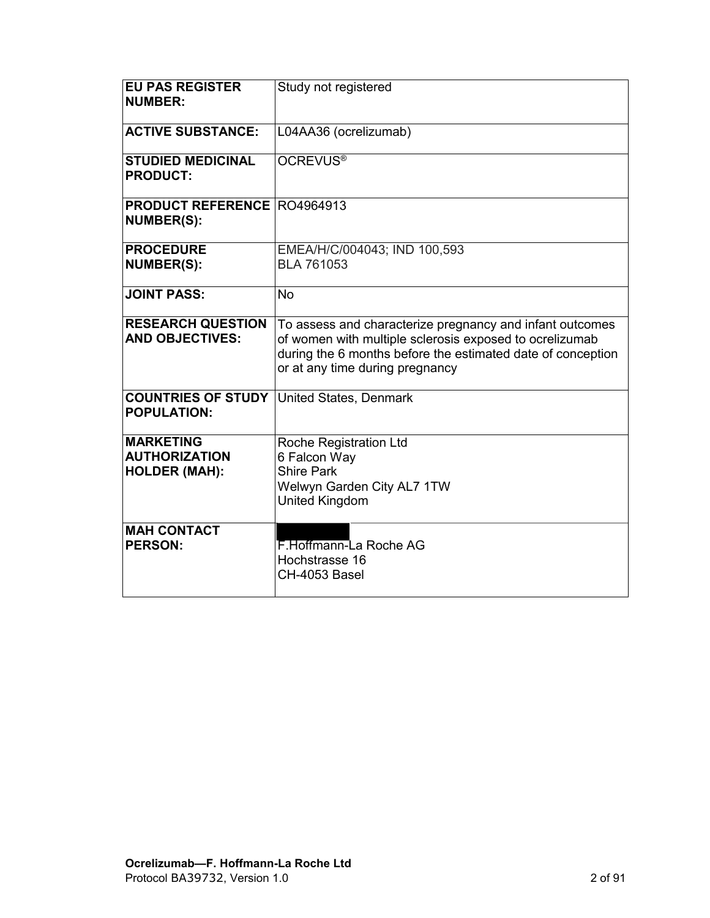| <b>EU PAS REGISTER</b><br><b>NUMBER:</b>                         | Study not registered                                                                                                                                                                                                  |
|------------------------------------------------------------------|-----------------------------------------------------------------------------------------------------------------------------------------------------------------------------------------------------------------------|
| <b>ACTIVE SUBSTANCE:</b>                                         | L04AA36 (ocrelizumab)                                                                                                                                                                                                 |
| <b>STUDIED MEDICINAL</b><br><b>PRODUCT:</b>                      | OCREVUS <sup>®</sup>                                                                                                                                                                                                  |
| <b>PRODUCT REFERENCE R04964913</b><br><b>NUMBER(S):</b>          |                                                                                                                                                                                                                       |
| <b>PROCEDURE</b><br><b>NUMBER(S):</b>                            | EMEA/H/C/004043; IND 100,593<br><b>BLA 761053</b>                                                                                                                                                                     |
| <b>JOINT PASS:</b>                                               | No.                                                                                                                                                                                                                   |
| <b>RESEARCH QUESTION</b><br><b>AND OBJECTIVES:</b>               | To assess and characterize pregnancy and infant outcomes<br>of women with multiple sclerosis exposed to ocrelizumab<br>during the 6 months before the estimated date of conception<br>or at any time during pregnancy |
| <b>COUNTRIES OF STUDY</b><br><b>POPULATION:</b>                  | United States, Denmark                                                                                                                                                                                                |
| <b>MARKETING</b><br><b>AUTHORIZATION</b><br><b>HOLDER (MAH):</b> | Roche Registration Ltd<br>6 Falcon Way<br><b>Shire Park</b><br>Welwyn Garden City AL7 1TW<br>United Kingdom                                                                                                           |
| <b>MAH CONTACT</b><br><b>PERSON:</b>                             | F.Hoffmann-La Roche AG<br>Hochstrasse 16<br>CH-4053 Basel                                                                                                                                                             |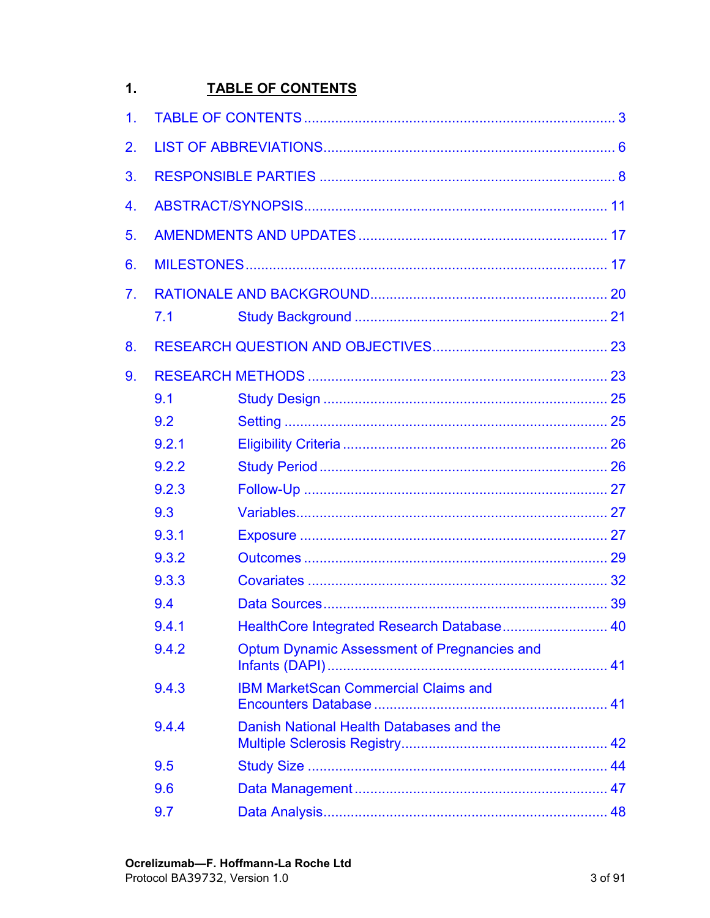#### <span id="page-2-0"></span> $1.$ **TABLE OF CONTENTS**

| 1 <sub>1</sub> |       |                                                    |    |
|----------------|-------|----------------------------------------------------|----|
| 2.             |       |                                                    |    |
| 3.             |       |                                                    |    |
| 4.             |       |                                                    |    |
| 5.             |       |                                                    |    |
| 6.             |       |                                                    |    |
| 7 <sub>1</sub> |       |                                                    |    |
|                | 7.1   |                                                    |    |
| 8.             |       |                                                    |    |
| 9.             |       |                                                    |    |
|                | 9.1   |                                                    |    |
|                | 9.2   |                                                    |    |
|                | 9.2.1 |                                                    |    |
|                | 9.2.2 |                                                    |    |
|                | 9.2.3 |                                                    |    |
|                | 9.3   |                                                    |    |
|                | 9.3.1 |                                                    |    |
|                | 9.3.2 |                                                    |    |
|                | 9.3.3 |                                                    |    |
|                | 9.4   |                                                    |    |
|                | 9.4.1 | HealthCore Integrated Research Database            | 40 |
|                | 9.4.2 | <b>Optum Dynamic Assessment of Pregnancies and</b> |    |
|                | 9.4.3 | <b>IBM MarketScan Commercial Claims and</b>        |    |
|                | 9.4.4 | Danish National Health Databases and the           |    |
|                | 9.5   |                                                    |    |
|                | 9.6   |                                                    |    |
|                | 9.7   |                                                    |    |
|                |       |                                                    |    |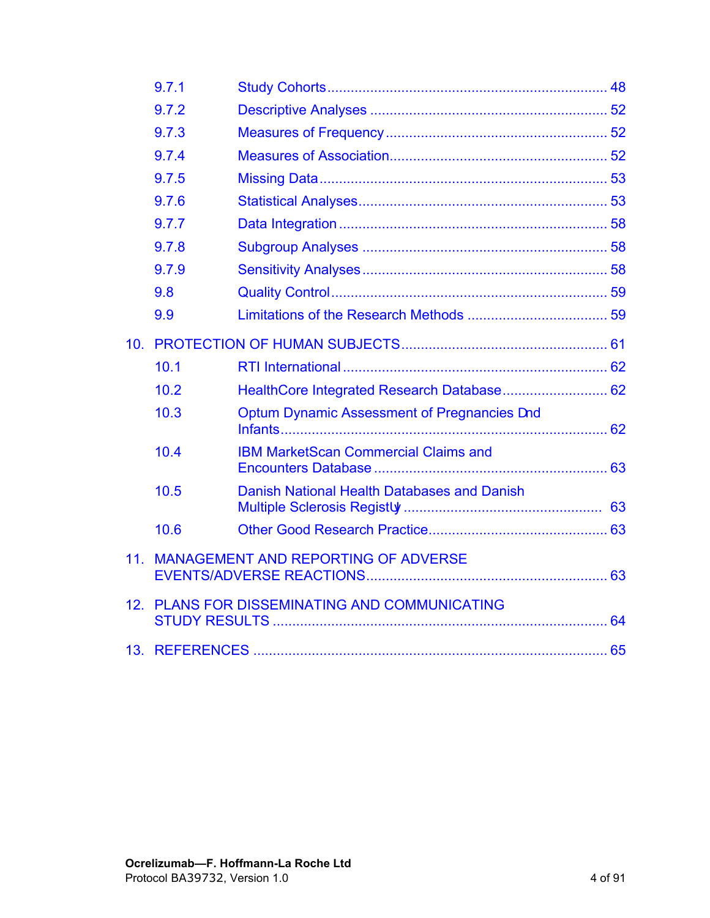|                 | 9.7.1 |                                             |  |
|-----------------|-------|---------------------------------------------|--|
|                 | 9.7.2 |                                             |  |
|                 | 9.7.3 |                                             |  |
|                 | 9.7.4 |                                             |  |
|                 | 9.7.5 |                                             |  |
|                 | 9.7.6 |                                             |  |
|                 | 9.7.7 |                                             |  |
|                 | 9.7.8 |                                             |  |
|                 | 9.7.9 |                                             |  |
|                 | 9.8   |                                             |  |
|                 | 9.9   |                                             |  |
| 10 <sub>1</sub> |       |                                             |  |
|                 | 10.1  |                                             |  |
|                 | 10.2  | HealthCore Integrated Research Database 62  |  |
|                 | 10.3  | Optum Dynamic Assessment of Pregnancies and |  |
|                 | 10.4  | <b>IBM MarketScan Commercial Claims and</b> |  |
|                 | 10.5  | Danish National Health Databases and Danish |  |
|                 | 10.6  |                                             |  |
| 11 <sub>1</sub> |       | <b>MANAGEMENT AND REPORTING OF ADVERSE</b>  |  |
| 12.             |       | PLANS FOR DISSEMINATING AND COMMUNICATING   |  |
|                 |       |                                             |  |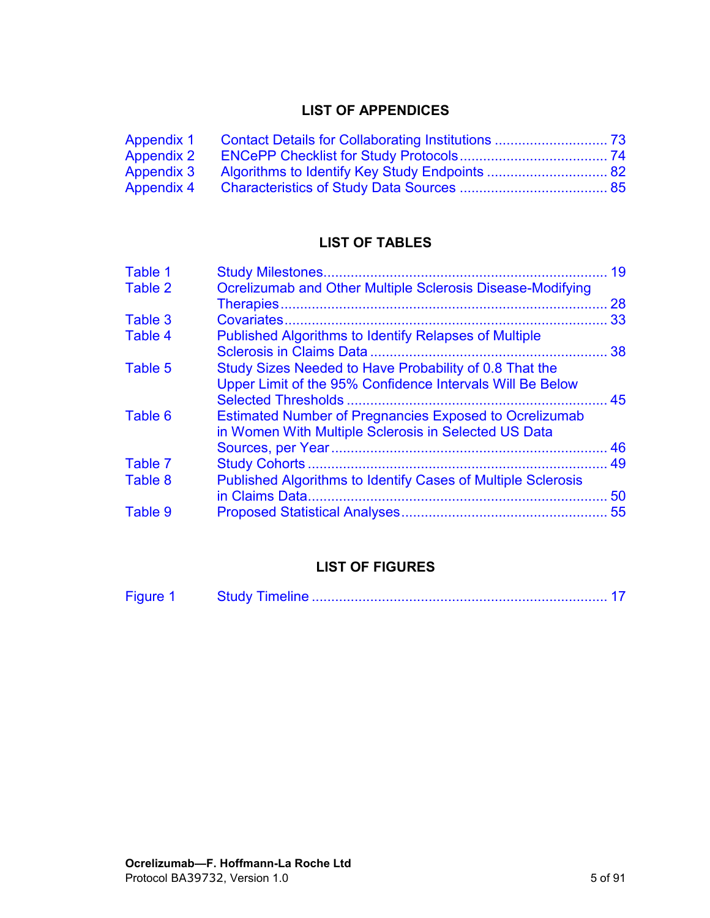# **LIST OF APPENDICES**

| <b>Appendix 1</b> |  |
|-------------------|--|
| <b>Appendix 2</b> |  |
| <b>Appendix 3</b> |  |
| <b>Appendix 4</b> |  |

# **LIST OF TABLES**

| Table 1 |                                                               | 19 |
|---------|---------------------------------------------------------------|----|
| Table 2 | Ocrelizumab and Other Multiple Sclerosis Disease-Modifying    |    |
|         |                                                               | 28 |
| Table 3 |                                                               | 33 |
| Table 4 | Published Algorithms to Identify Relapses of Multiple         |    |
|         |                                                               |    |
| Table 5 | Study Sizes Needed to Have Probability of 0.8 That the        |    |
|         | Upper Limit of the 95% Confidence Intervals Will Be Below     |    |
|         |                                                               |    |
| Table 6 | <b>Estimated Number of Pregnancies Exposed to Ocrelizumab</b> |    |
|         | in Women With Multiple Sclerosis in Selected US Data          |    |
|         |                                                               | 46 |
| Table 7 |                                                               | 49 |
| Table 8 | Published Algorithms to Identify Cases of Multiple Sclerosis  |    |
|         |                                                               | 50 |
| Table 9 |                                                               |    |
|         |                                                               |    |

# **LIST OF FIGURES**

| <b>Figure</b> |  |  |  |
|---------------|--|--|--|
|---------------|--|--|--|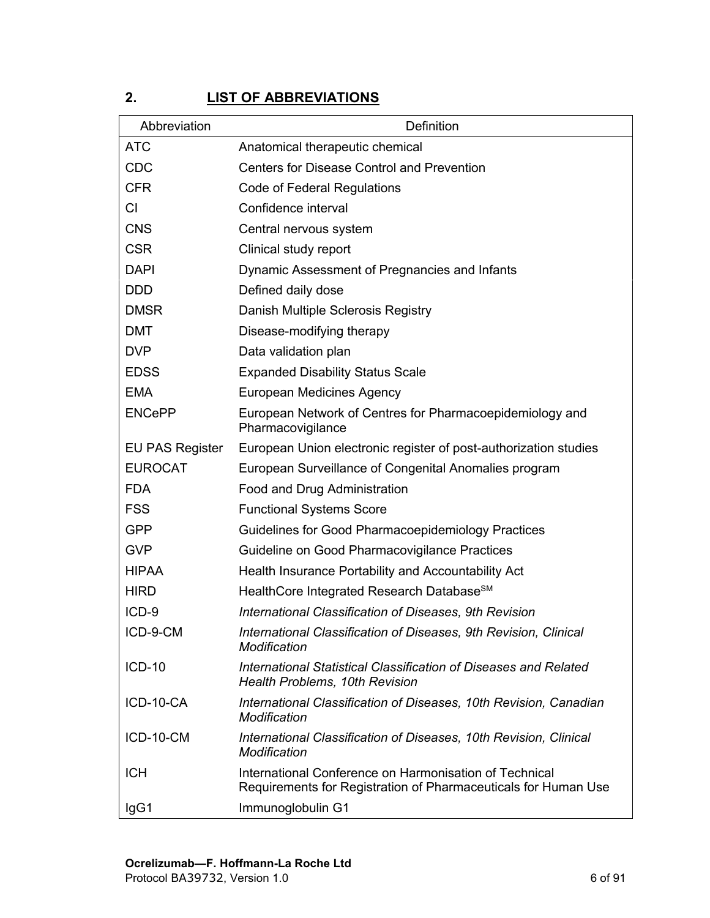# <span id="page-5-0"></span>**2. LIST OF ABBREVIATIONS**

| Abbreviation           | Definition                                                                                                               |
|------------------------|--------------------------------------------------------------------------------------------------------------------------|
| <b>ATC</b>             | Anatomical therapeutic chemical                                                                                          |
| <b>CDC</b>             | <b>Centers for Disease Control and Prevention</b>                                                                        |
| <b>CFR</b>             | <b>Code of Federal Regulations</b>                                                                                       |
| CI                     | Confidence interval                                                                                                      |
| <b>CNS</b>             | Central nervous system                                                                                                   |
| <b>CSR</b>             | Clinical study report                                                                                                    |
| <b>DAPI</b>            | Dynamic Assessment of Pregnancies and Infants                                                                            |
| <b>DDD</b>             | Defined daily dose                                                                                                       |
| <b>DMSR</b>            | Danish Multiple Sclerosis Registry                                                                                       |
| <b>DMT</b>             | Disease-modifying therapy                                                                                                |
| <b>DVP</b>             | Data validation plan                                                                                                     |
| <b>EDSS</b>            | <b>Expanded Disability Status Scale</b>                                                                                  |
| <b>EMA</b>             | <b>European Medicines Agency</b>                                                                                         |
| <b>ENCePP</b>          | European Network of Centres for Pharmacoepidemiology and<br>Pharmacovigilance                                            |
| <b>EU PAS Register</b> | European Union electronic register of post-authorization studies                                                         |
| <b>EUROCAT</b>         | European Surveillance of Congenital Anomalies program                                                                    |
| <b>FDA</b>             | Food and Drug Administration                                                                                             |
| <b>FSS</b>             | <b>Functional Systems Score</b>                                                                                          |
| <b>GPP</b>             | Guidelines for Good Pharmacoepidemiology Practices                                                                       |
| <b>GVP</b>             | Guideline on Good Pharmacovigilance Practices                                                                            |
| <b>HIPAA</b>           | Health Insurance Portability and Accountability Act                                                                      |
| <b>HIRD</b>            | HealthCore Integrated Research Database <sup>SM</sup>                                                                    |
| ICD-9                  | International Classification of Diseases, 9th Revision                                                                   |
| ICD-9-CM               | International Classification of Diseases, 9th Revision, Clinical<br>Modification                                         |
| $ICD-10$               | International Statistical Classification of Diseases and Related<br><b>Health Problems, 10th Revision</b>                |
| ICD-10-CA              | International Classification of Diseases, 10th Revision, Canadian<br>Modification                                        |
| ICD-10-CM              | International Classification of Diseases, 10th Revision, Clinical<br>Modification                                        |
| <b>ICH</b>             | International Conference on Harmonisation of Technical<br>Requirements for Registration of Pharmaceuticals for Human Use |
| IgG1                   | Immunoglobulin G1                                                                                                        |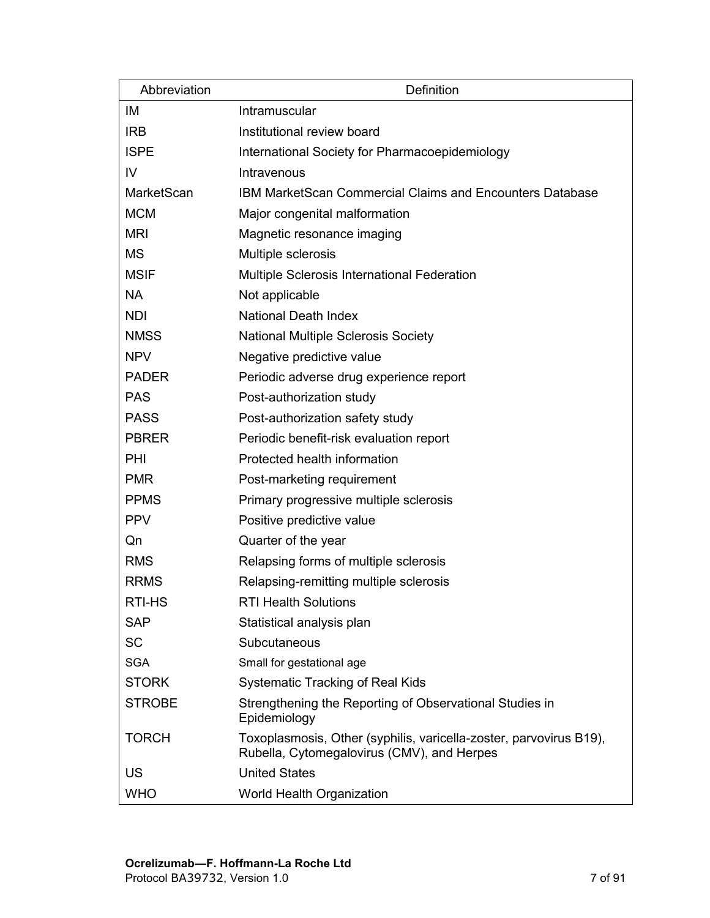| Abbreviation  | Definition                                                                                                       |
|---------------|------------------------------------------------------------------------------------------------------------------|
| IM            | Intramuscular                                                                                                    |
| <b>IRB</b>    | Institutional review board                                                                                       |
| <b>ISPE</b>   | International Society for Pharmacoepidemiology                                                                   |
| IV            | Intravenous                                                                                                      |
| MarketScan    | IBM MarketScan Commercial Claims and Encounters Database                                                         |
| <b>MCM</b>    | Major congenital malformation                                                                                    |
| <b>MRI</b>    | Magnetic resonance imaging                                                                                       |
| <b>MS</b>     | Multiple sclerosis                                                                                               |
| <b>MSIF</b>   | Multiple Sclerosis International Federation                                                                      |
| <b>NA</b>     | Not applicable                                                                                                   |
| <b>NDI</b>    | <b>National Death Index</b>                                                                                      |
| <b>NMSS</b>   | <b>National Multiple Sclerosis Society</b>                                                                       |
| <b>NPV</b>    | Negative predictive value                                                                                        |
| <b>PADER</b>  | Periodic adverse drug experience report                                                                          |
| <b>PAS</b>    | Post-authorization study                                                                                         |
| <b>PASS</b>   | Post-authorization safety study                                                                                  |
| <b>PBRER</b>  | Periodic benefit-risk evaluation report                                                                          |
| PHI           | Protected health information                                                                                     |
| <b>PMR</b>    | Post-marketing requirement                                                                                       |
| <b>PPMS</b>   | Primary progressive multiple sclerosis                                                                           |
| <b>PPV</b>    | Positive predictive value                                                                                        |
| Qn            | Quarter of the year                                                                                              |
| <b>RMS</b>    | Relapsing forms of multiple sclerosis                                                                            |
| <b>RRMS</b>   | Relapsing-remitting multiple sclerosis                                                                           |
| RTI-HS        | <b>RTI Health Solutions</b>                                                                                      |
| <b>SAP</b>    | Statistical analysis plan                                                                                        |
| <b>SC</b>     | Subcutaneous                                                                                                     |
| <b>SGA</b>    | Small for gestational age                                                                                        |
| <b>STORK</b>  | <b>Systematic Tracking of Real Kids</b>                                                                          |
| <b>STROBE</b> | Strengthening the Reporting of Observational Studies in<br>Epidemiology                                          |
| <b>TORCH</b>  | Toxoplasmosis, Other (syphilis, varicella-zoster, parvovirus B19),<br>Rubella, Cytomegalovirus (CMV), and Herpes |
| US            | <b>United States</b>                                                                                             |
| <b>WHO</b>    | World Health Organization                                                                                        |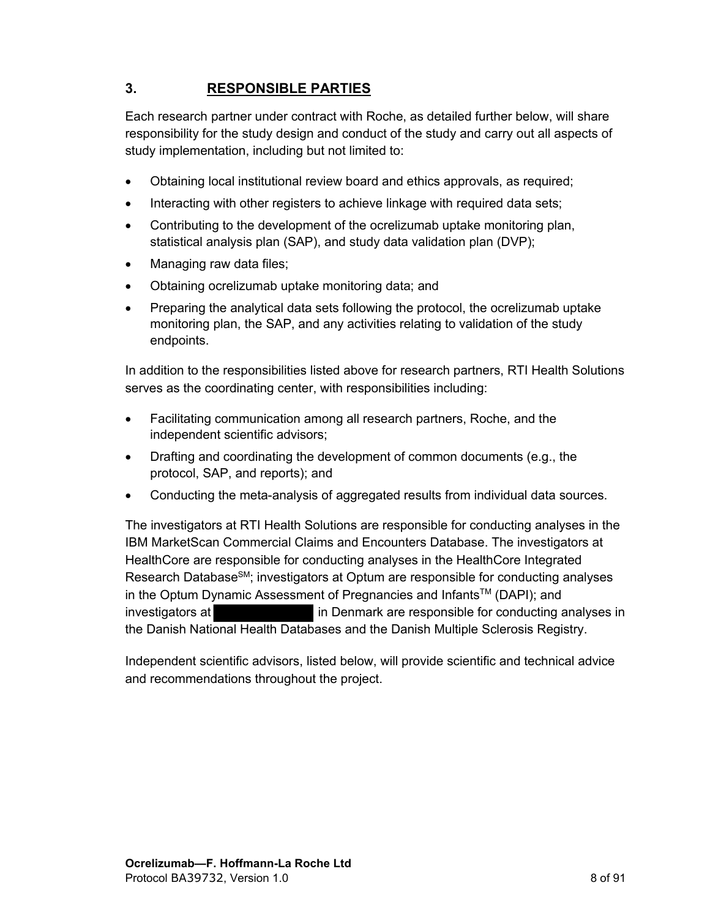# <span id="page-7-0"></span>**3. RESPONSIBLE PARTIES**

Each research partner under contract with Roche, as detailed further below, will share responsibility for the study design and conduct of the study and carry out all aspects of study implementation, including but not limited to:

- Obtaining local institutional review board and ethics approvals, as required;
- Interacting with other registers to achieve linkage with required data sets;
- Contributing to the development of the ocrelizumab uptake monitoring plan, statistical analysis plan (SAP), and study data validation plan (DVP);
- Managing raw data files;
- Obtaining ocrelizumab uptake monitoring data; and
- Preparing the analytical data sets following the protocol, the ocrelizumab uptake monitoring plan, the SAP, and any activities relating to validation of the study endpoints.

In addition to the responsibilities listed above for research partners, RTI Health Solutions serves as the coordinating center, with responsibilities including:

- Facilitating communication among all research partners, Roche, and the independent scientific advisors;
- Drafting and coordinating the development of common documents (e.g., the protocol, SAP, and reports); and
- Conducting the meta-analysis of aggregated results from individual data sources.

The investigators at RTI Health Solutions are responsible for conducting analyses in the IBM MarketScan Commercial Claims and Encounters Database. The investigators at HealthCore are responsible for conducting analyses in the HealthCore Integrated Research Database<sup>SM</sup>; investigators at Optum are responsible for conducting analyses in the Optum Dynamic Assessment of Pregnancies and Infants™ (DAPI); and investigators at **in Denmark** are responsible for conducting analyses in the Danish National Health Databases and the Danish Multiple Sclerosis Registry.

Independent scientific advisors, listed below, will provide scientific and technical advice and recommendations throughout the project.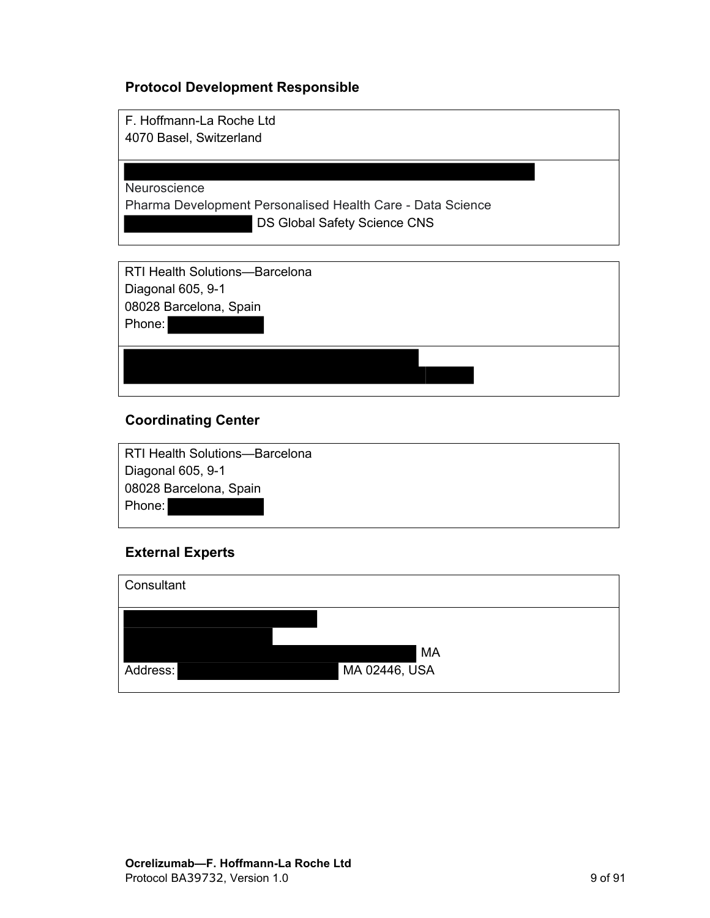## **Protocol Development Responsible**

F. Hoffmann-La Roche Ltd 4070 Basel, Switzerland

Neuroscience

Pharma Development Personalised Health Care - Data Science DS Global Safety Science CNS

RTI Health Solutions—Barcelona Diagonal 605, 9-1 08028 Barcelona, Spain Phone:

## **Coordinating Center**

RTI Health Solutions—Barcelona Diagonal 605, 9-1 08028 Barcelona, Spain Phone:

## **External Experts**

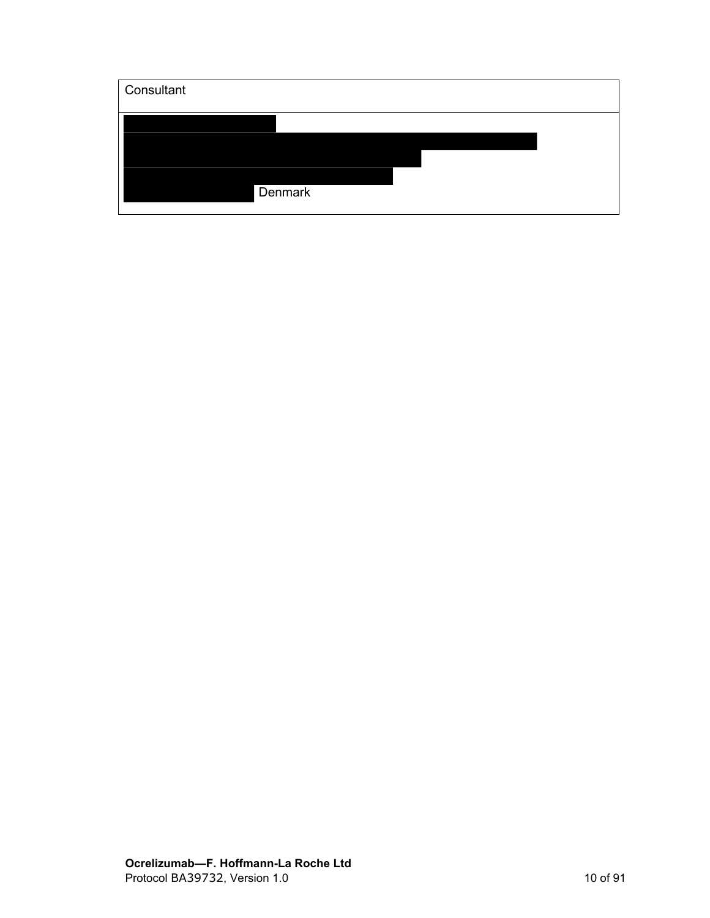| Consultant |  |  |
|------------|--|--|
|            |  |  |
|            |  |  |
| Denmark    |  |  |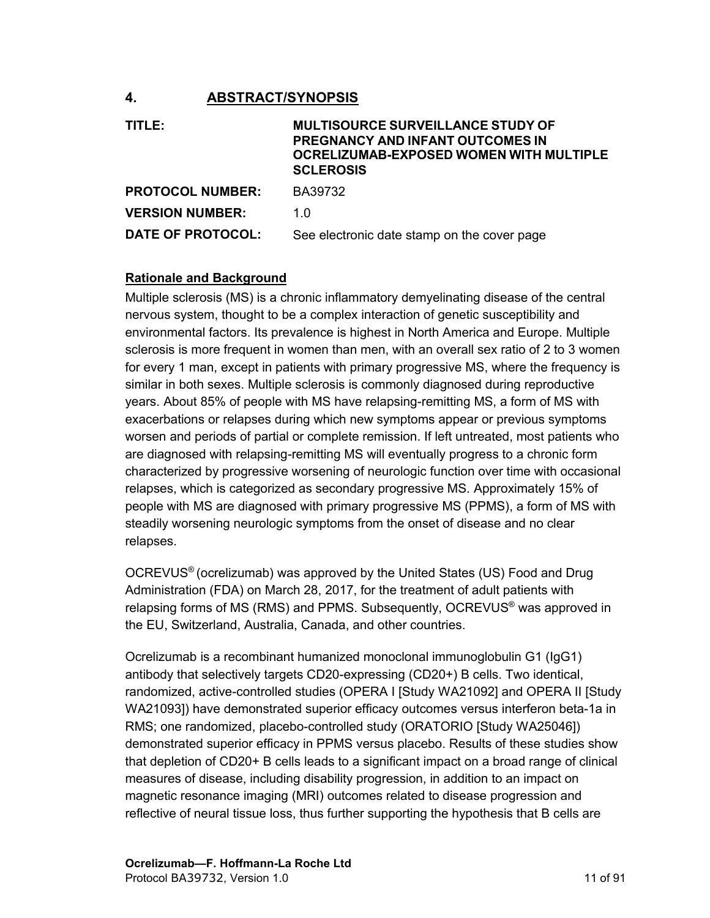## <span id="page-10-0"></span>**4. ABSTRACT/SYNOPSIS**

| TITLE:                  | <b>MULTISOURCE SURVEILLANCE STUDY OF</b><br>PREGNANCY AND INFANT OUTCOMES IN<br><b>OCRELIZUMAB-EXPOSED WOMEN WITH MULTIPLE</b><br><b>SCLEROSIS</b> |
|-------------------------|----------------------------------------------------------------------------------------------------------------------------------------------------|
| <b>PROTOCOL NUMBER:</b> | BA39732                                                                                                                                            |
| <b>VERSION NUMBER:</b>  | 1 O                                                                                                                                                |
| DATE OF PROTOCOL:       | See electronic date stamp on the cover page                                                                                                        |

#### **Rationale and Background**

Multiple sclerosis (MS) is a chronic inflammatory demyelinating disease of the central nervous system, thought to be a complex interaction of genetic susceptibility and environmental factors. Its prevalence is highest in North America and Europe. Multiple sclerosis is more frequent in women than men, with an overall sex ratio of 2 to 3 women for every 1 man, except in patients with primary progressive MS, where the frequency is similar in both sexes. Multiple sclerosis is commonly diagnosed during reproductive years. About 85% of people with MS have relapsing-remitting MS, a form of MS with exacerbations or relapses during which new symptoms appear or previous symptoms worsen and periods of partial or complete remission. If left untreated, most patients who are diagnosed with relapsing-remitting MS will eventually progress to a chronic form characterized by progressive worsening of neurologic function over time with occasional relapses, which is categorized as secondary progressive MS. Approximately 15% of people with MS are diagnosed with primary progressive MS (PPMS), a form of MS with steadily worsening neurologic symptoms from the onset of disease and no clear relapses.

OCREVUS® (ocrelizumab) was approved by the United States (US) Food and Drug Administration (FDA) on March 28, 2017, for the treatment of adult patients with relapsing forms of MS (RMS) and PPMS. Subsequently, OCREVUS® was approved in the EU, Switzerland, Australia, Canada, and other countries.

Ocrelizumab is a recombinant humanized monoclonal immunoglobulin G1 (IgG1) antibody that selectively targets CD20-expressing (CD20+) B cells. Two identical, randomized, active-controlled studies (OPERA I [Study WA21092] and OPERA II [Study WA21093]) have demonstrated superior efficacy outcomes versus interferon beta-1a in RMS; one randomized, placebo-controlled study (ORATORIO [Study WA25046]) demonstrated superior efficacy in PPMS versus placebo. Results of these studies show that depletion of CD20+ B cells leads to a significant impact on a broad range of clinical measures of disease, including disability progression, in addition to an impact on magnetic resonance imaging (MRI) outcomes related to disease progression and reflective of neural tissue loss, thus further supporting the hypothesis that B cells are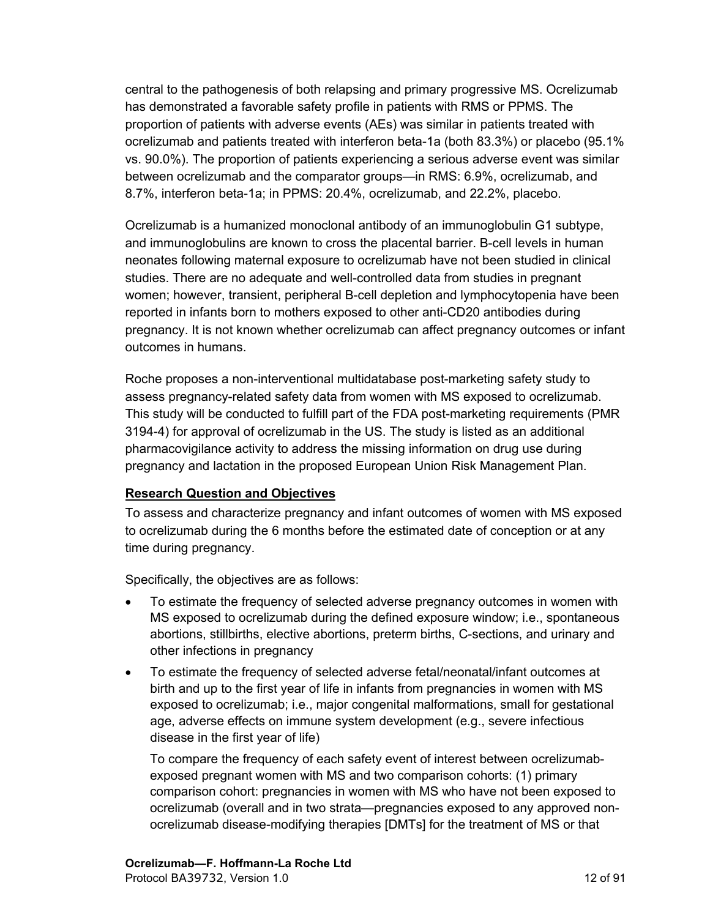central to the pathogenesis of both relapsing and primary progressive MS. Ocrelizumab has demonstrated a favorable safety profile in patients with RMS or PPMS. The proportion of patients with adverse events (AEs) was similar in patients treated with ocrelizumab and patients treated with interferon beta-1a (both 83.3%) or placebo (95.1% vs. 90.0%). The proportion of patients experiencing a serious adverse event was similar between ocrelizumab and the comparator groups—in RMS: 6.9%, ocrelizumab, and 8.7%, interferon beta-1a; in PPMS: 20.4%, ocrelizumab, and 22.2%, placebo.

Ocrelizumab is a humanized monoclonal antibody of an immunoglobulin G1 subtype, and immunoglobulins are known to cross the placental barrier. B-cell levels in human neonates following maternal exposure to ocrelizumab have not been studied in clinical studies. There are no adequate and well-controlled data from studies in pregnant women; however, transient, peripheral B-cell depletion and lymphocytopenia have been reported in infants born to mothers exposed to other anti-CD20 antibodies during pregnancy. It is not known whether ocrelizumab can affect pregnancy outcomes or infant outcomes in humans.

Roche proposes a non-interventional multidatabase post-marketing safety study to assess pregnancy-related safety data from women with MS exposed to ocrelizumab. This study will be conducted to fulfill part of the FDA post-marketing requirements (PMR 3194-4) for approval of ocrelizumab in the US. The study is listed as an additional pharmacovigilance activity to address the missing information on drug use during pregnancy and lactation in the proposed European Union Risk Management Plan.

## **Research Question and Objectives**

To assess and characterize pregnancy and infant outcomes of women with MS exposed to ocrelizumab during the 6 months before the estimated date of conception or at any time during pregnancy.

Specifically, the objectives are as follows:

- To estimate the frequency of selected adverse pregnancy outcomes in women with MS exposed to ocrelizumab during the defined exposure window; i.e., spontaneous abortions, stillbirths, elective abortions, preterm births, C-sections, and urinary and other infections in pregnancy
- To estimate the frequency of selected adverse fetal/neonatal/infant outcomes at birth and up to the first year of life in infants from pregnancies in women with MS exposed to ocrelizumab; i.e., major congenital malformations, small for gestational age, adverse effects on immune system development (e.g., severe infectious disease in the first year of life)

To compare the frequency of each safety event of interest between ocrelizumabexposed pregnant women with MS and two comparison cohorts: (1) primary comparison cohort: pregnancies in women with MS who have not been exposed to ocrelizumab (overall and in two strata—pregnancies exposed to any approved nonocrelizumab disease-modifying therapies [DMTs] for the treatment of MS or that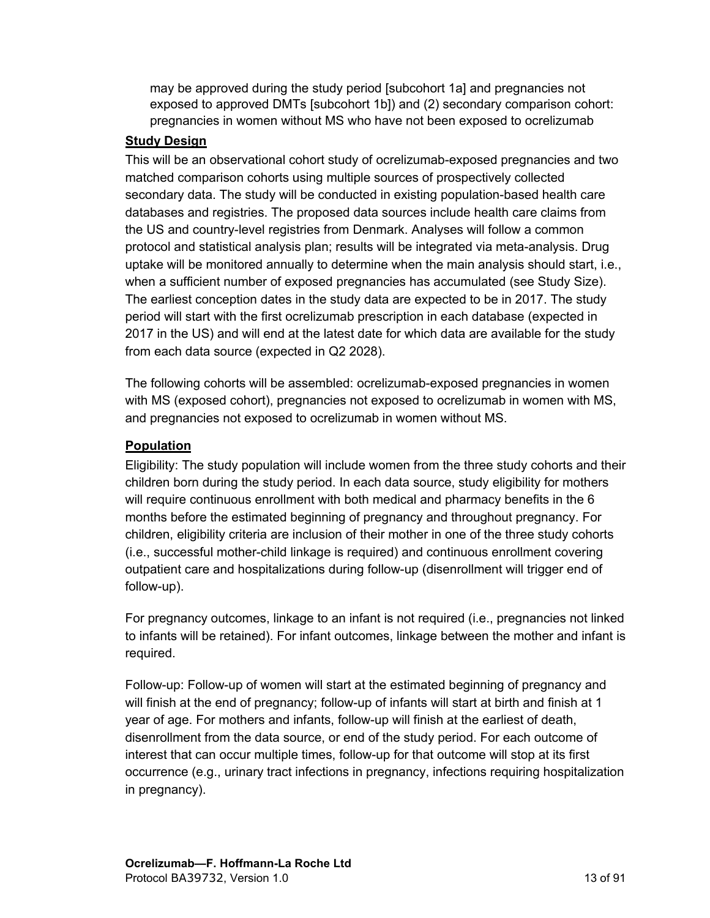may be approved during the study period [subcohort 1a] and pregnancies not exposed to approved DMTs [subcohort 1b]) and (2) secondary comparison cohort: pregnancies in women without MS who have not been exposed to ocrelizumab

#### **Study Design**

This will be an observational cohort study of ocrelizumab-exposed pregnancies and two matched comparison cohorts using multiple sources of prospectively collected secondary data. The study will be conducted in existing population-based health care databases and registries. The proposed data sources include health care claims from the US and country-level registries from Denmark. Analyses will follow a common protocol and statistical analysis plan; results will be integrated via meta-analysis. Drug uptake will be monitored annually to determine when the main analysis should start, i.e., when a sufficient number of exposed pregnancies has accumulated (see Study Size). The earliest conception dates in the study data are expected to be in 2017. The study period will start with the first ocrelizumab prescription in each database (expected in 2017 in the US) and will end at the latest date for which data are available for the study from each data source (expected in Q2 2028).

The following cohorts will be assembled: ocrelizumab-exposed pregnancies in women with MS (exposed cohort), pregnancies not exposed to ocrelizumab in women with MS, and pregnancies not exposed to ocrelizumab in women without MS.

## **Population**

Eligibility: The study population will include women from the three study cohorts and their children born during the study period. In each data source, study eligibility for mothers will require continuous enrollment with both medical and pharmacy benefits in the 6 months before the estimated beginning of pregnancy and throughout pregnancy. For children, eligibility criteria are inclusion of their mother in one of the three study cohorts (i.e., successful mother-child linkage is required) and continuous enrollment covering outpatient care and hospitalizations during follow-up (disenrollment will trigger end of follow-up).

For pregnancy outcomes, linkage to an infant is not required (i.e., pregnancies not linked to infants will be retained). For infant outcomes, linkage between the mother and infant is required.

Follow-up: Follow-up of women will start at the estimated beginning of pregnancy and will finish at the end of pregnancy; follow-up of infants will start at birth and finish at 1 year of age. For mothers and infants, follow-up will finish at the earliest of death, disenrollment from the data source, or end of the study period. For each outcome of interest that can occur multiple times, follow-up for that outcome will stop at its first occurrence (e.g., urinary tract infections in pregnancy, infections requiring hospitalization in pregnancy).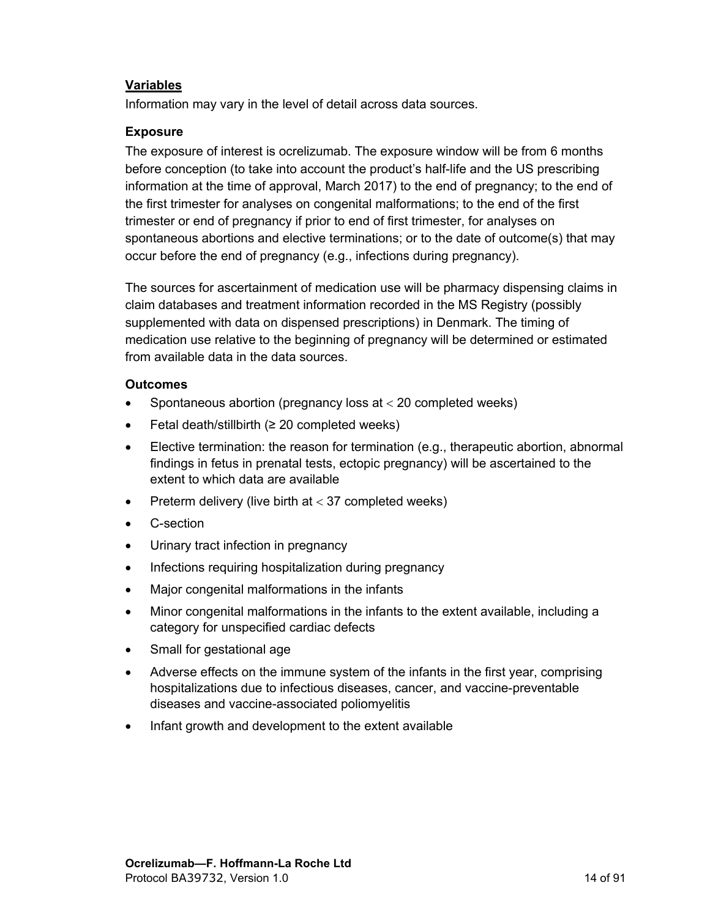#### **Variables**

Information may vary in the level of detail across data sources.

#### **Exposure**

The exposure of interest is ocrelizumab. The exposure window will be from 6 months before conception (to take into account the product's half-life and the US prescribing information at the time of approval, March 2017) to the end of pregnancy; to the end of the first trimester for analyses on congenital malformations; to the end of the first trimester or end of pregnancy if prior to end of first trimester, for analyses on spontaneous abortions and elective terminations; or to the date of outcome(s) that may occur before the end of pregnancy (e.g., infections during pregnancy).

The sources for ascertainment of medication use will be pharmacy dispensing claims in claim databases and treatment information recorded in the MS Registry (possibly supplemented with data on dispensed prescriptions) in Denmark. The timing of medication use relative to the beginning of pregnancy will be determined or estimated from available data in the data sources.

#### **Outcomes**

- Spontaneous abortion (pregnancy loss at  $<$  20 completed weeks)
- $\bullet$  Fetal death/stillbirth (≥ 20 completed weeks)
- Elective termination: the reason for termination (e.g., therapeutic abortion, abnormal findings in fetus in prenatal tests, ectopic pregnancy) will be ascertained to the extent to which data are available
- Preterm delivery (live birth at  $<$  37 completed weeks)
- C-section
- Urinary tract infection in pregnancy
- Infections requiring hospitalization during pregnancy
- Major congenital malformations in the infants
- Minor congenital malformations in the infants to the extent available, including a category for unspecified cardiac defects
- Small for gestational age
- Adverse effects on the immune system of the infants in the first year, comprising hospitalizations due to infectious diseases, cancer, and vaccine-preventable diseases and vaccine-associated poliomyelitis
- Infant growth and development to the extent available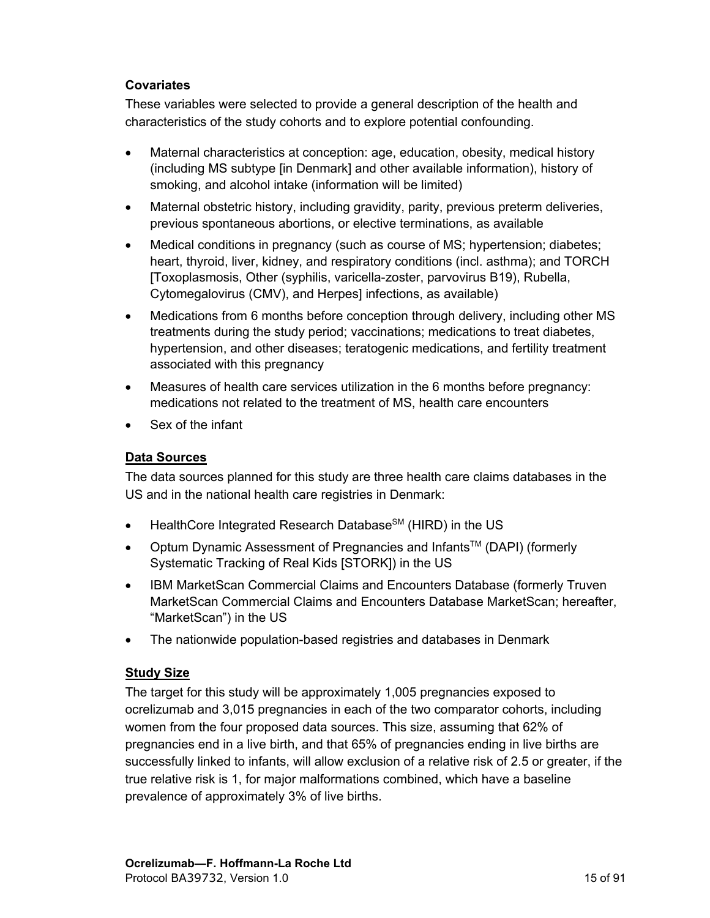#### **Covariates**

These variables were selected to provide a general description of the health and characteristics of the study cohorts and to explore potential confounding.

- Maternal characteristics at conception: age, education, obesity, medical history (including MS subtype [in Denmark] and other available information), history of smoking, and alcohol intake (information will be limited)
- Maternal obstetric history, including gravidity, parity, previous preterm deliveries, previous spontaneous abortions, or elective terminations, as available
- Medical conditions in pregnancy (such as course of MS; hypertension; diabetes; heart, thyroid, liver, kidney, and respiratory conditions (incl. asthma); and TORCH [Toxoplasmosis, Other (syphilis, varicella-zoster, parvovirus B19), Rubella, Cytomegalovirus (CMV), and Herpes] infections, as available)
- Medications from 6 months before conception through delivery, including other MS treatments during the study period; vaccinations; medications to treat diabetes, hypertension, and other diseases; teratogenic medications, and fertility treatment associated with this pregnancy
- Measures of health care services utilization in the 6 months before pregnancy: medications not related to the treatment of MS, health care encounters
- Sex of the infant

#### **Data Sources**

The data sources planned for this study are three health care claims databases in the US and in the national health care registries in Denmark:

- $\bullet$  HealthCore Integrated Research Database<sup>SM</sup> (HIRD) in the US
- Optum Dynamic Assessment of Pregnancies and Infants<sup>TM</sup> (DAPI) (formerly Systematic Tracking of Real Kids [STORK]) in the US
- IBM MarketScan Commercial Claims and Encounters Database (formerly Truven MarketScan Commercial Claims and Encounters Database MarketScan; hereafter, "MarketScan") in the US
- The nationwide population-based registries and databases in Denmark

#### **Study Size**

The target for this study will be approximately 1,005 pregnancies exposed to ocrelizumab and 3,015 pregnancies in each of the two comparator cohorts, including women from the four proposed data sources. This size, assuming that 62% of pregnancies end in a live birth, and that 65% of pregnancies ending in live births are successfully linked to infants, will allow exclusion of a relative risk of 2.5 or greater, if the true relative risk is 1, for major malformations combined, which have a baseline prevalence of approximately 3% of live births.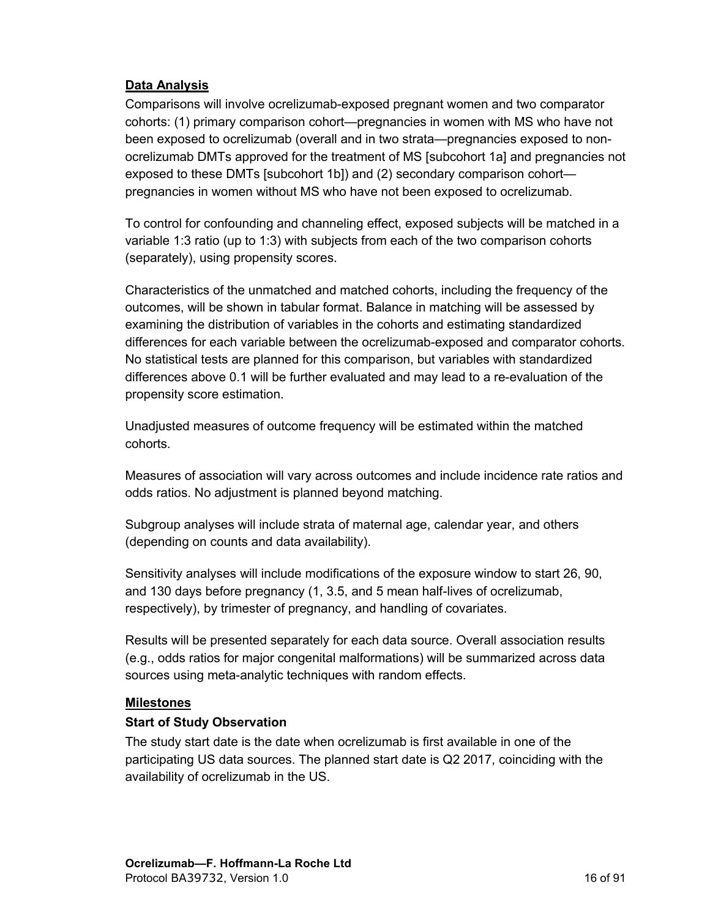## **Data Analysis**

Comparisons will involve ocrelizumab-exposed pregnant women and two comparator cohorts: (1) primary comparison cohort—pregnancies in women with MS who have not been exposed to ocrelizumab (overall and in two strata—pregnancies exposed to nonocrelizumab DMTs approved for the treatment of MS [subcohort 1a] and pregnancies not exposed to these DMTs [subcohort 1b]) and (2) secondary comparison cohort pregnancies in women without MS who have not been exposed to ocrelizumab.

To control for confounding and channeling effect, exposed subjects will be matched in a variable 1:3 ratio (up to 1:3) with subjects from each of the two comparison cohorts (separately), using propensity scores.

Characteristics of the unmatched and matched cohorts, including the frequency of the outcomes, will be shown in tabular format. Balance in matching will be assessed by examining the distribution of variables in the cohorts and estimating standardized differences for each variable between the ocrelizumab-exposed and comparator cohorts. No statistical tests are planned for this comparison, but variables with standardized differences above 0.1 will be further evaluated and may lead to a re-evaluation of the propensity score estimation.

Unadjusted measures of outcome frequency will be estimated within the matched cohorts.

Measures of association will vary across outcomes and include incidence rate ratios and odds ratios. No adjustment is planned beyond matching.

Subgroup analyses will include strata of maternal age, calendar year, and others (depending on counts and data availability).

Sensitivity analyses will include modifications of the exposure window to start 26, 90, and 130 days before pregnancy (1, 3.5, and 5 mean half-lives of ocrelizumab, respectively), by trimester of pregnancy, and handling of covariates.

Results will be presented separately for each data source. Overall association results (e.g., odds ratios for major congenital malformations) will be summarized across data sources using meta-analytic techniques with random effects.

#### **Milestones**

#### **Start of Study Observation**

The study start date is the date when ocrelizumab is first available in one of the participating US data sources. The planned start date is Q2 2017, coinciding with the availability of ocrelizumab in the US.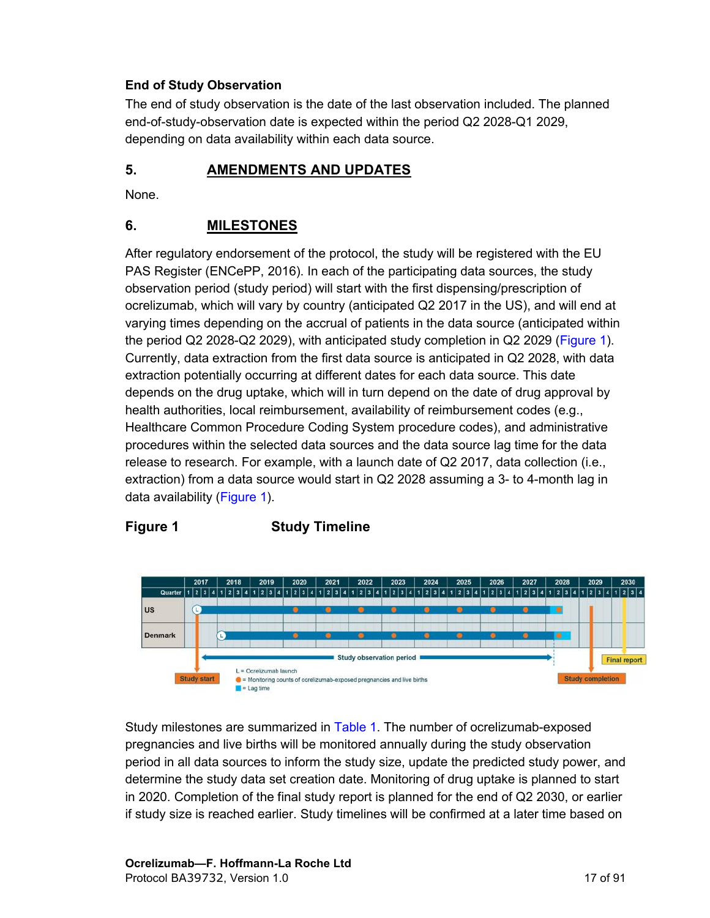## <span id="page-16-0"></span>**End of Study Observation**

The end of study observation is the date of the last observation included. The planned end-of-study-observation date is expected within the period Q2 2028-Q1 2029, depending on data availability within each data source.

## **5. AMENDMENTS AND UPDATES**

None.

## **6. MILESTONES**

After regulatory endorsement of the protocol, the study will be registered with the EU PAS Register (ENCePP, 2016). In each of the participating data sources, the study observation period (study period) will start with the first dispensing/prescription of ocrelizumab, which will vary by country (anticipated Q2 2017 in the US), and will end at varying times depending on the accrual of patients in the data source (anticipated within the period Q2 2028-Q2 2029), with anticipated study completion in Q2 2029([Figure 1](#page-16-0)). Currently, data extraction from the first data source is anticipated in Q2 2028, with data extraction potentially occurring at different dates for each data source. This date depends on the drug uptake, which will in turn depend on the date of drug approval by health authorities, local reimbursement, availability of reimbursement codes (e.g., Healthcare Common Procedure Coding System procedure codes), and administrative procedures within the selected data sources and the data source lag time for the data release to research. For example, with a launch date of Q2 2017, data collection (i.e., extraction) from a data source would start in Q2 2028 assuming a 3- to 4-month lag in data availability ([Figure 1](#page-16-0)).

## **Figure 1 Study Timeline**



Study milestones are summarized in [Table 1](#page-18-0). The number of ocrelizumab-exposed pregnancies and live births will be monitored annually during the study observation period in all data sources to inform the study size, update the predicted study power, and determine the study data set creation date. Monitoring of drug uptake is planned to start in 2020. Completion of the final study report is planned for the end of Q2 2030, or earlier if study size is reached earlier. Study timelines will be confirmed at a later time based on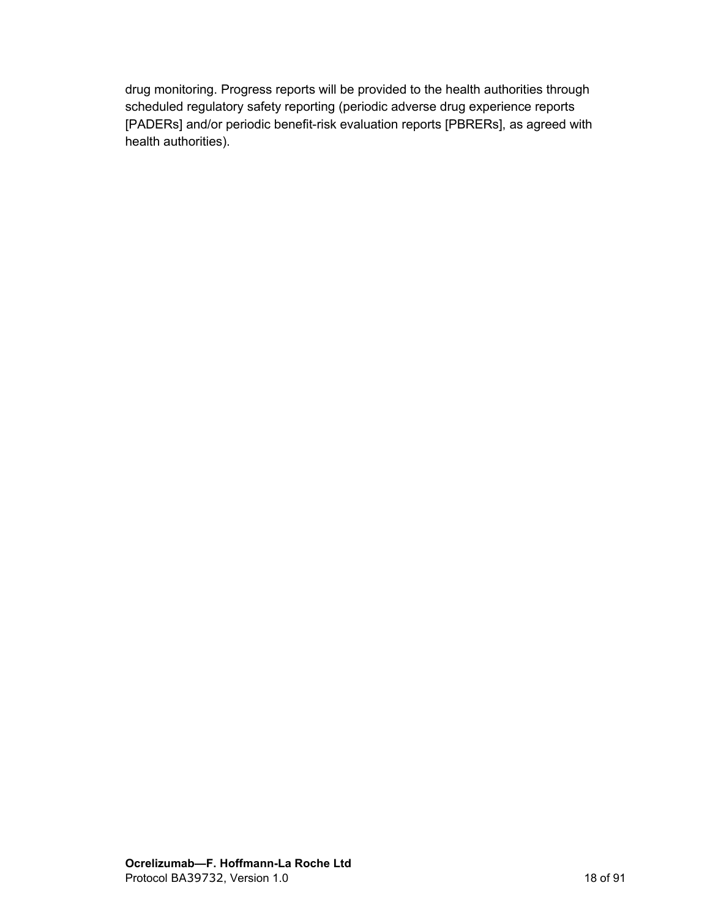drug monitoring. Progress reports will be provided to the health authorities through scheduled regulatory safety reporting (periodic adverse drug experience reports [PADERs] and/or periodic benefit-risk evaluation reports [PBRERs], as agreed with health authorities).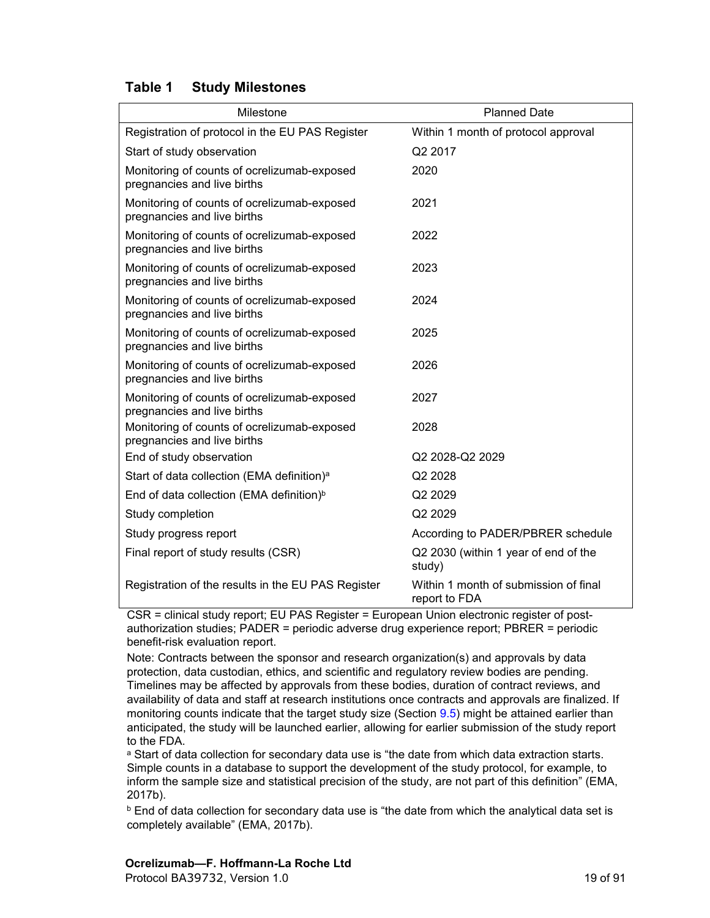#### <span id="page-18-0"></span>**Table 1 Study Milestones**

| Milestone                                                                  | <b>Planned Date</b>                                    |
|----------------------------------------------------------------------------|--------------------------------------------------------|
| Registration of protocol in the EU PAS Register                            | Within 1 month of protocol approval                    |
| Start of study observation                                                 | Q2 2017                                                |
| Monitoring of counts of ocrelizumab-exposed<br>pregnancies and live births | 2020                                                   |
| Monitoring of counts of ocrelizumab-exposed<br>pregnancies and live births | 2021                                                   |
| Monitoring of counts of ocrelizumab-exposed<br>pregnancies and live births | 2022                                                   |
| Monitoring of counts of ocrelizumab-exposed<br>pregnancies and live births | 2023                                                   |
| Monitoring of counts of ocrelizumab-exposed<br>pregnancies and live births | 2024                                                   |
| Monitoring of counts of ocrelizumab-exposed<br>pregnancies and live births | 2025                                                   |
| Monitoring of counts of ocrelizumab-exposed<br>pregnancies and live births | 2026                                                   |
| Monitoring of counts of ocrelizumab-exposed<br>pregnancies and live births | 2027                                                   |
| Monitoring of counts of ocrelizumab-exposed<br>pregnancies and live births | 2028                                                   |
| End of study observation                                                   | Q2 2028-Q2 2029                                        |
| Start of data collection (EMA definition) <sup>a</sup>                     | Q2 2028                                                |
| End of data collection (EMA definition) <sup>b</sup>                       | Q2 2029                                                |
| Study completion                                                           | Q2 2029                                                |
| Study progress report                                                      | According to PADER/PBRER schedule                      |
| Final report of study results (CSR)                                        | Q2 2030 (within 1 year of end of the<br>study)         |
| Registration of the results in the EU PAS Register                         | Within 1 month of submission of final<br>report to FDA |

CSR = clinical study report; EU PAS Register = European Union electronic register of postauthorization studies; PADER = periodic adverse drug experience report; PBRER = periodic benefit-risk evaluation report.

Note: Contracts between the sponsor and research organization(s) and approvals by data protection, data custodian, ethics, and scientific and regulatory review bodies are pending. Timelines may be affected by approvals from these bodies, duration of contract reviews, and availability of data and staff at research institutions once contracts and approvals are finalized. If monitoring counts indicate that the target study size (Section [9.5](#page-43-0)) might be attained earlier than anticipated, the study will be launched earlier, allowing for earlier submission of the study report to the FDA.

a Start of data collection for secondary data use is "the date from which data extraction starts. Simple counts in a database to support the development of the study protocol, for example, to inform the sample size and statistical precision of the study, are not part of this definition" (EMA, 2017b).

<sup>b</sup> End of data collection for secondary data use is "the date from which the analytical data set is completely available" (EMA, 2017b).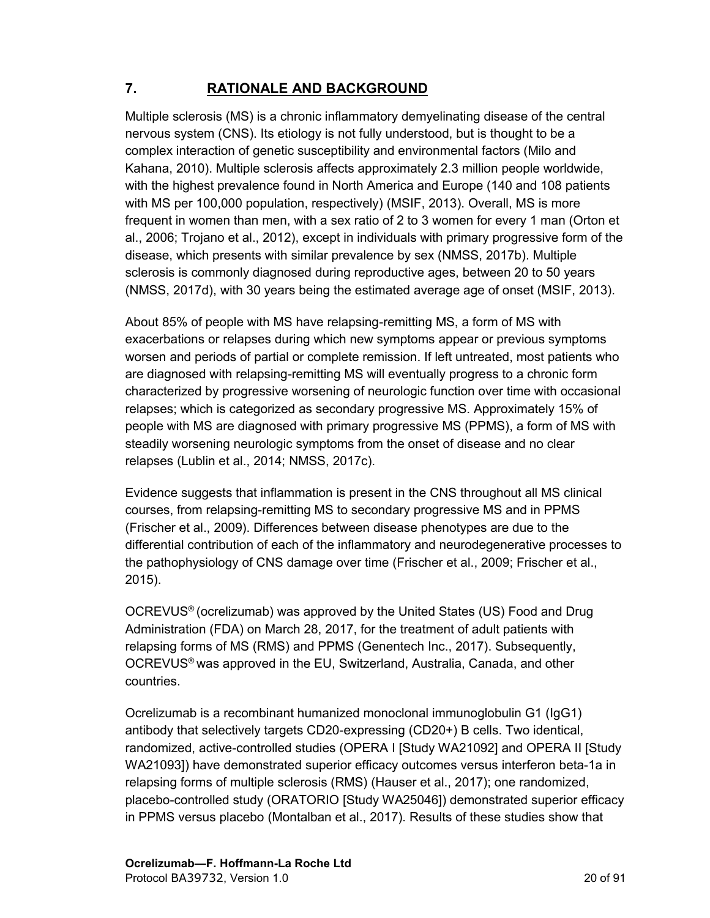# <span id="page-19-0"></span>**7. RATIONALE AND BACKGROUND**

Multiple sclerosis (MS) is a chronic inflammatory demyelinating disease of the central nervous system (CNS). Its etiology is not fully understood, but is thought to be a complex interaction of genetic susceptibility and environmental factors (Milo and Kahana, 2010). Multiple sclerosis affects approximately 2.3 million people worldwide, with the highest prevalence found in North America and Europe (140 and 108 patients with MS per 100,000 population, respectively) (MSIF, 2013). Overall, MS is more frequent in women than men, with a sex ratio of 2 to 3 women for every 1 man (Orton et al., 2006; Trojano et al., 2012), except in individuals with primary progressive form of the disease, which presents with similar prevalence by sex (NMSS, 2017b). Multiple sclerosis is commonly diagnosed during reproductive ages, between 20 to 50 years (NMSS, 2017d), with 30 years being the estimated average age of onset (MSIF, 2013).

About 85% of people with MS have relapsing-remitting MS, a form of MS with exacerbations or relapses during which new symptoms appear or previous symptoms worsen and periods of partial or complete remission. If left untreated, most patients who are diagnosed with relapsing-remitting MS will eventually progress to a chronic form characterized by progressive worsening of neurologic function over time with occasional relapses; which is categorized as secondary progressive MS. Approximately 15% of people with MS are diagnosed with primary progressive MS (PPMS), a form of MS with steadily worsening neurologic symptoms from the onset of disease and no clear relapses (Lublin et al., 2014; NMSS, 2017c).

Evidence suggests that inflammation is present in the CNS throughout all MS clinical courses, from relapsing-remitting MS to secondary progressive MS and in PPMS (Frischer et al., 2009). Differences between disease phenotypes are due to the differential contribution of each of the inflammatory and neurodegenerative processes to the pathophysiology of CNS damage over time (Frischer et al., 2009; Frischer et al., 2015).

OCREVUS® (ocrelizumab) was approved by the United States (US) Food and Drug Administration (FDA) on March 28, 2017, for the treatment of adult patients with relapsing forms of MS (RMS) and PPMS (Genentech Inc., 2017). Subsequently, OCREVUS® was approved in the EU, Switzerland, Australia, Canada, and other countries.

Ocrelizumab is a recombinant humanized monoclonal immunoglobulin G1 (IgG1) antibody that selectively targets CD20-expressing (CD20+) B cells. Two identical, randomized, active-controlled studies (OPERA I [Study WA21092] and OPERA II [Study WA21093]) have demonstrated superior efficacy outcomes versus interferon beta-1a in relapsing forms of multiple sclerosis (RMS) (Hauser et al., 2017); one randomized, placebo-controlled study (ORATORIO [Study WA25046]) demonstrated superior efficacy in PPMS versus placebo (Montalban et al., 2017). Results of these studies show that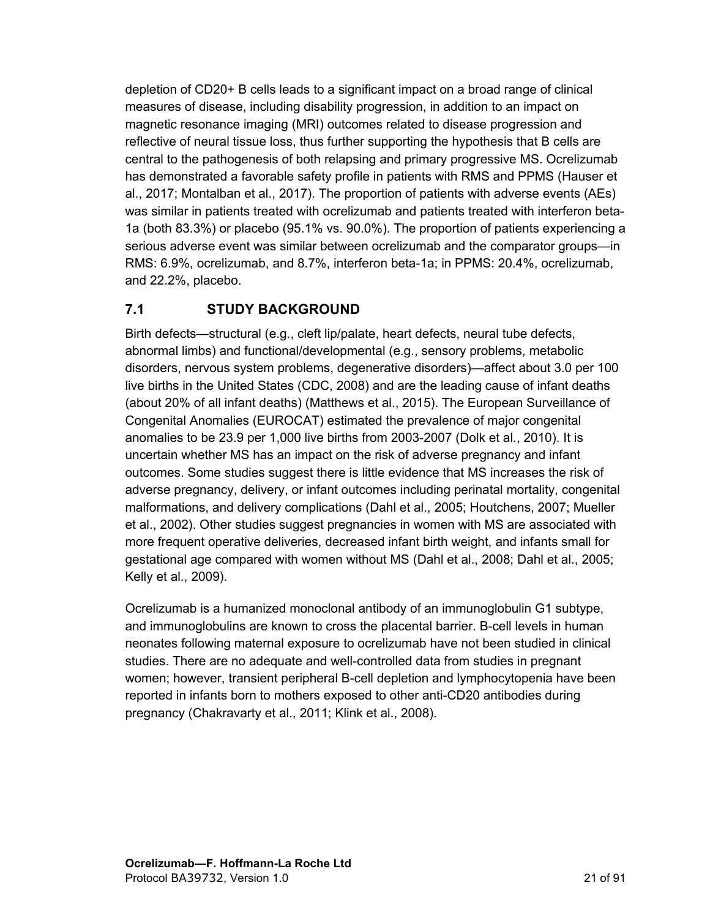<span id="page-20-0"></span>depletion of CD20+ B cells leads to a significant impact on a broad range of clinical measures of disease, including disability progression, in addition to an impact on magnetic resonance imaging (MRI) outcomes related to disease progression and reflective of neural tissue loss, thus further supporting the hypothesis that B cells are central to the pathogenesis of both relapsing and primary progressive MS. Ocrelizumab has demonstrated a favorable safety profile in patients with RMS and PPMS (Hauser et al., 2017; Montalban et al., 2017). The proportion of patients with adverse events (AEs) was similar in patients treated with ocrelizumab and patients treated with interferon beta-1a (both 83.3%) or placebo (95.1% vs. 90.0%). The proportion of patients experiencing a serious adverse event was similar between ocrelizumab and the comparator groups—in RMS: 6.9%, ocrelizumab, and 8.7%, interferon beta-1a; in PPMS: 20.4%, ocrelizumab, and 22.2%, placebo.

## **7.1 STUDY BACKGROUND**

Birth defects—structural (e.g., cleft lip/palate, heart defects, neural tube defects, abnormal limbs) and functional/developmental (e.g., sensory problems, metabolic disorders, nervous system problems, degenerative disorders)—affect about 3.0 per 100 live births in the United States (CDC, 2008) and are the leading cause of infant deaths (about 20% of all infant deaths) (Matthews et al., 2015). The European Surveillance of Congenital Anomalies (EUROCAT) estimated the prevalence of major congenital anomalies to be 23.9 per 1,000 live births from 2003-2007 (Dolk et al., 2010). It is uncertain whether MS has an impact on the risk of adverse pregnancy and infant outcomes. Some studies suggest there is little evidence that MS increases the risk of adverse pregnancy, delivery, or infant outcomes including perinatal mortality, congenital malformations, and delivery complications (Dahl et al., 2005; Houtchens, 2007; Mueller et al., 2002). Other studies suggest pregnancies in women with MS are associated with more frequent operative deliveries, decreased infant birth weight, and infants small for gestational age compared with women without MS (Dahl et al., 2008; Dahl et al., 2005; Kelly et al., 2009).

Ocrelizumab is a humanized monoclonal antibody of an immunoglobulin G1 subtype, and immunoglobulins are known to cross the placental barrier. B-cell levels in human neonates following maternal exposure to ocrelizumab have not been studied in clinical studies. There are no adequate and well-controlled data from studies in pregnant women; however, transient peripheral B-cell depletion and lymphocytopenia have been reported in infants born to mothers exposed to other anti-CD20 antibodies during pregnancy (Chakravarty et al., 2011; Klink et al., 2008).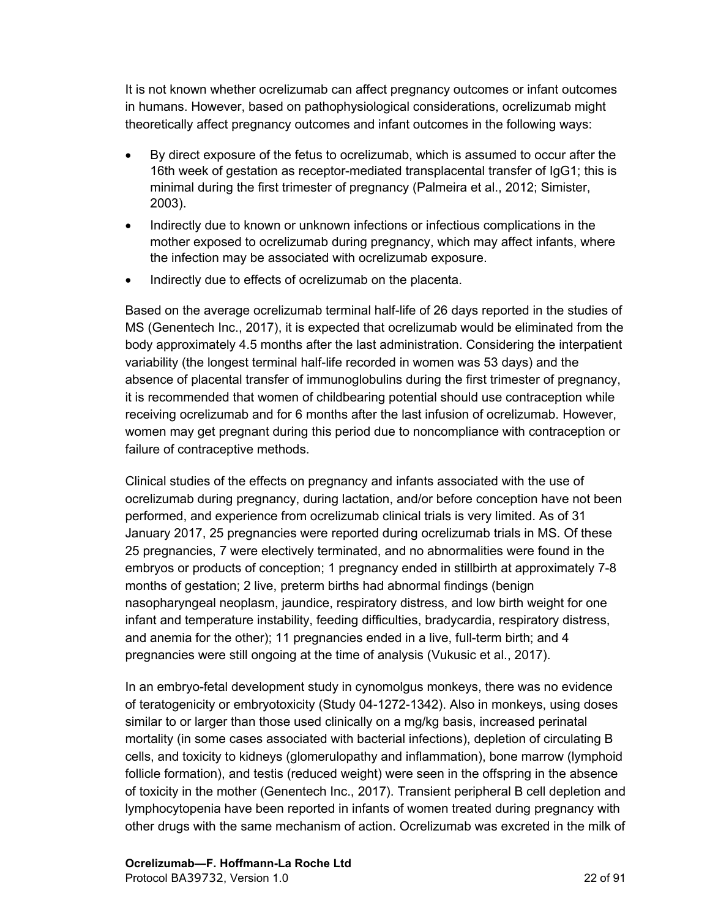It is not known whether ocrelizumab can affect pregnancy outcomes or infant outcomes in humans. However, based on pathophysiological considerations, ocrelizumab might theoretically affect pregnancy outcomes and infant outcomes in the following ways:

- By direct exposure of the fetus to ocrelizumab, which is assumed to occur after the 16th week of gestation as receptor-mediated transplacental transfer of IgG1; this is minimal during the first trimester of pregnancy (Palmeira et al., 2012; Simister, 2003).
- Indirectly due to known or unknown infections or infectious complications in the mother exposed to ocrelizumab during pregnancy, which may affect infants, where the infection may be associated with ocrelizumab exposure.
- Indirectly due to effects of ocrelizumab on the placenta.

Based on the average ocrelizumab terminal half-life of 26 days reported in the studies of MS (Genentech Inc., 2017), it is expected that ocrelizumab would be eliminated from the body approximately 4.5 months after the last administration. Considering the interpatient variability (the longest terminal half-life recorded in women was 53 days) and the absence of placental transfer of immunoglobulins during the first trimester of pregnancy, it is recommended that women of childbearing potential should use contraception while receiving ocrelizumab and for 6 months after the last infusion of ocrelizumab. However, women may get pregnant during this period due to noncompliance with contraception or failure of contraceptive methods.

Clinical studies of the effects on pregnancy and infants associated with the use of ocrelizumab during pregnancy, during lactation, and/or before conception have not been performed, and experience from ocrelizumab clinical trials is very limited. As of 31 January 2017, 25 pregnancies were reported during ocrelizumab trials in MS. Of these 25 pregnancies, 7 were electively terminated, and no abnormalities were found in the embryos or products of conception; 1 pregnancy ended in stillbirth at approximately 7-8 months of gestation; 2 live, preterm births had abnormal findings (benign nasopharyngeal neoplasm, jaundice, respiratory distress, and low birth weight for one infant and temperature instability, feeding difficulties, bradycardia, respiratory distress, and anemia for the other); 11 pregnancies ended in a live, full-term birth; and 4 pregnancies were still ongoing at the time of analysis (Vukusic et al., 2017).

In an embryo-fetal development study in cynomolgus monkeys, there was no evidence of teratogenicity or embryotoxicity (Study 04-1272-1342). Also in monkeys, using doses similar to or larger than those used clinically on a mg/kg basis, increased perinatal mortality (in some cases associated with bacterial infections), depletion of circulating B cells, and toxicity to kidneys (glomerulopathy and inflammation), bone marrow (lymphoid follicle formation), and testis (reduced weight) were seen in the offspring in the absence of toxicity in the mother (Genentech Inc., 2017). Transient peripheral B cell depletion and lymphocytopenia have been reported in infants of women treated during pregnancy with other drugs with the same mechanism of action. Ocrelizumab was excreted in the milk of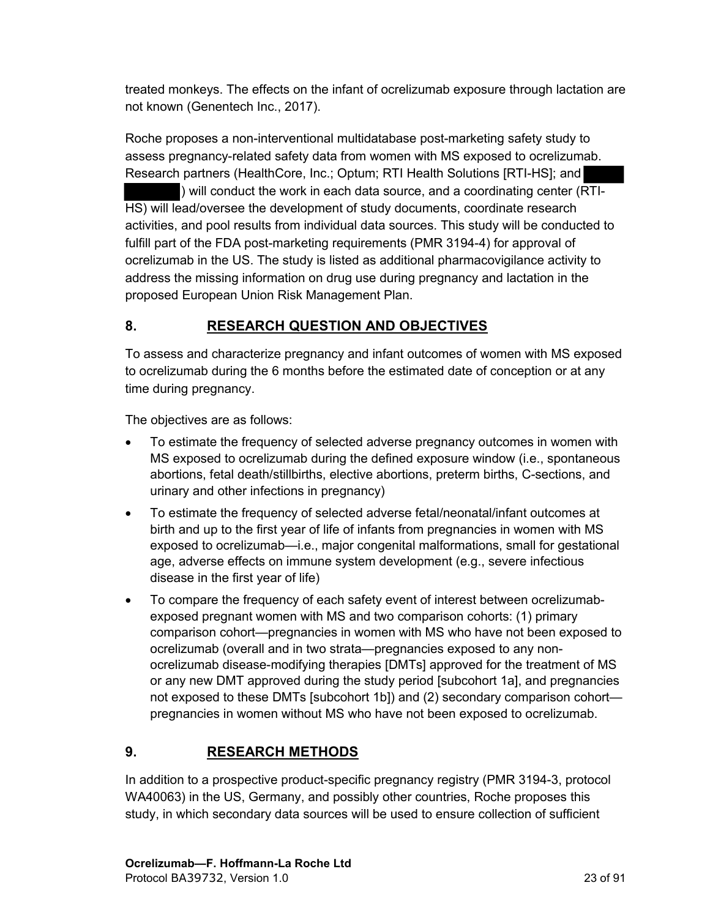<span id="page-22-0"></span>treated monkeys. The effects on the infant of ocrelizumab exposure through lactation are not known (Genentech Inc., 2017).

Roche proposes a non-interventional multidatabase post-marketing safety study to assess pregnancy-related safety data from women with MS exposed to ocrelizumab. Research partners (HealthCore, Inc.; Optum; RTI Health Solutions [RTI-HS]; and ) will conduct the work in each data source, and a coordinating center (RTI-HS) will lead/oversee the development of study documents, coordinate research activities, and pool results from individual data sources. This study will be conducted to fulfill part of the FDA post-marketing requirements (PMR 3194-4) for approval of ocrelizumab in the US. The study is listed as additional pharmacovigilance activity to address the missing information on drug use during pregnancy and lactation in the proposed European Union Risk Management Plan.

## **8. RESEARCH QUESTION AND OBJECTIVES**

To assess and characterize pregnancy and infant outcomes of women with MS exposed to ocrelizumab during the 6 months before the estimated date of conception or at any time during pregnancy.

The objectives are as follows:

- To estimate the frequency of selected adverse pregnancy outcomes in women with MS exposed to ocrelizumab during the defined exposure window (i.e., spontaneous abortions, fetal death/stillbirths, elective abortions, preterm births, C-sections, and urinary and other infections in pregnancy)
- To estimate the frequency of selected adverse fetal/neonatal/infant outcomes at birth and up to the first year of life of infants from pregnancies in women with MS exposed to ocrelizumab—i.e., major congenital malformations, small for gestational age, adverse effects on immune system development (e.g., severe infectious disease in the first year of life)
- To compare the frequency of each safety event of interest between ocrelizumabexposed pregnant women with MS and two comparison cohorts: (1) primary comparison cohort—pregnancies in women with MS who have not been exposed to ocrelizumab (overall and in two strata—pregnancies exposed to any nonocrelizumab disease-modifying therapies [DMTs] approved for the treatment of MS or any new DMT approved during the study period [subcohort 1a], and pregnancies not exposed to these DMTs [subcohort 1b]) and (2) secondary comparison cohort pregnancies in women without MS who have not been exposed to ocrelizumab.

# **9. RESEARCH METHODS**

In addition to a prospective product-specific pregnancy registry (PMR 3194-3, protocol WA40063) in the US, Germany, and possibly other countries, Roche proposes this study, in which secondary data sources will be used to ensure collection of sufficient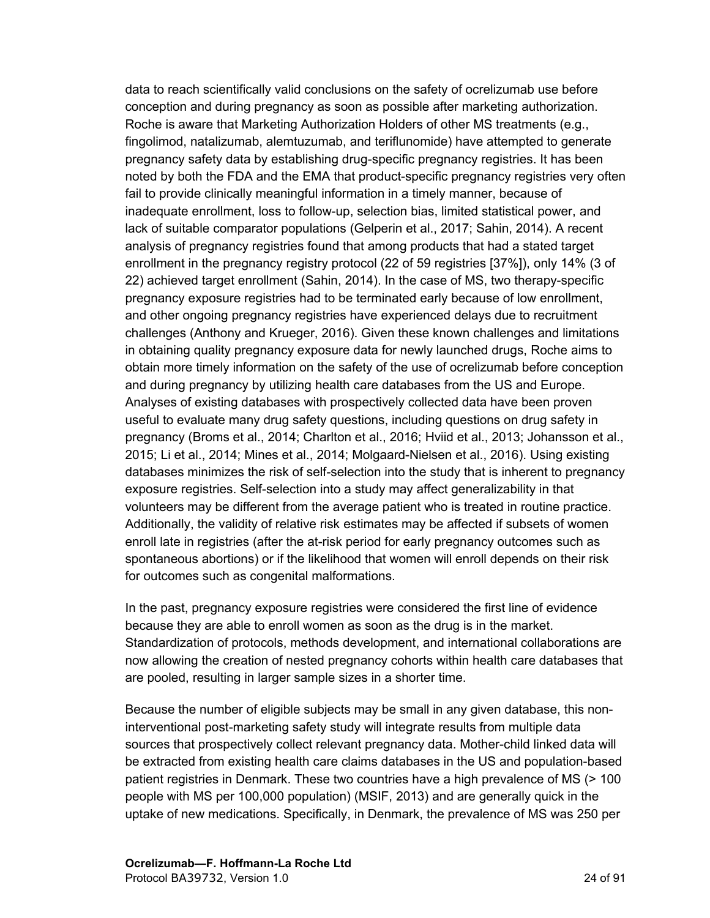data to reach scientifically valid conclusions on the safety of ocrelizumab use before conception and during pregnancy as soon as possible after marketing authorization. Roche is aware that Marketing Authorization Holders of other MS treatments (e.g., fingolimod, natalizumab, alemtuzumab, and teriflunomide) have attempted to generate pregnancy safety data by establishing drug-specific pregnancy registries. It has been noted by both the FDA and the EMA that product-specific pregnancy registries very often fail to provide clinically meaningful information in a timely manner, because of inadequate enrollment, loss to follow-up, selection bias, limited statistical power, and lack of suitable comparator populations (Gelperin et al., 2017; Sahin, 2014). A recent analysis of pregnancy registries found that among products that had a stated target enrollment in the pregnancy registry protocol (22 of 59 registries [37%]), only 14% (3 of 22) achieved target enrollment (Sahin, 2014). In the case of MS, two therapy-specific pregnancy exposure registries had to be terminated early because of low enrollment, and other ongoing pregnancy registries have experienced delays due to recruitment challenges (Anthony and Krueger, 2016). Given these known challenges and limitations in obtaining quality pregnancy exposure data for newly launched drugs, Roche aims to obtain more timely information on the safety of the use of ocrelizumab before conception and during pregnancy by utilizing health care databases from the US and Europe. Analyses of existing databases with prospectively collected data have been proven useful to evaluate many drug safety questions, including questions on drug safety in pregnancy (Broms et al., 2014; Charlton et al., 2016; Hviid et al., 2013; Johansson et al., 2015; Li et al., 2014; Mines et al., 2014; Molgaard-Nielsen et al., 2016). Using existing databases minimizes the risk of self-selection into the study that is inherent to pregnancy exposure registries. Self-selection into a study may affect generalizability in that volunteers may be different from the average patient who is treated in routine practice. Additionally, the validity of relative risk estimates may be affected if subsets of women enroll late in registries (after the at-risk period for early pregnancy outcomes such as spontaneous abortions) or if the likelihood that women will enroll depends on their risk for outcomes such as congenital malformations.

In the past, pregnancy exposure registries were considered the first line of evidence because they are able to enroll women as soon as the drug is in the market. Standardization of protocols, methods development, and international collaborations are now allowing the creation of nested pregnancy cohorts within health care databases that are pooled, resulting in larger sample sizes in a shorter time.

Because the number of eligible subjects may be small in any given database, this noninterventional post-marketing safety study will integrate results from multiple data sources that prospectively collect relevant pregnancy data. Mother-child linked data will be extracted from existing health care claims databases in the US and population-based patient registries in Denmark. These two countries have a high prevalence of MS (> 100 people with MS per 100,000 population) (MSIF, 2013) and are generally quick in the uptake of new medications. Specifically, in Denmark, the prevalence of MS was 250 per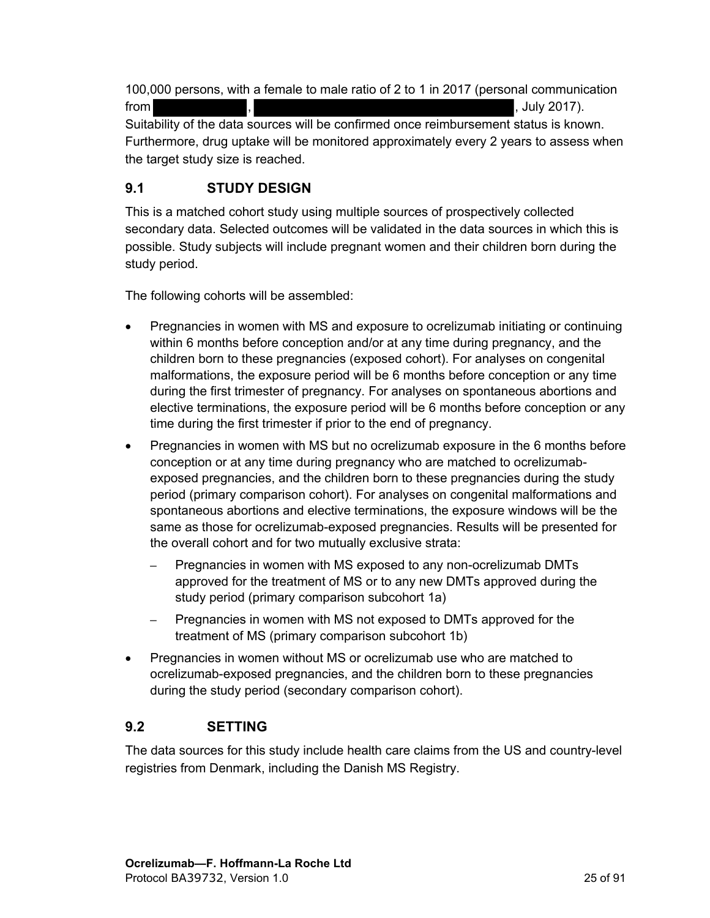<span id="page-24-0"></span>100,000 persons, with a female to male ratio of 2 to 1 in 2017 (personal communication  $\sim$  ,  $\sim$  ,  $\sim$  ,  $\sim$  ,  $\sim$  ,  $\sim$  ,  $\sim$  ,  $\sim$  ,  $\sim$  ,  $\sim$  ,  $\sim$  ,  $\sim$  ,  $\sim$  ,  $\sim$  ,  $\sim$  ,  $\sim$  ,  $\sim$  ,  $\sim$  ,  $\sim$  ,  $\sim$  ,  $\sim$  ,  $\sim$  ,  $\sim$  ,  $\sim$  ,  $\sim$  ,  $\sim$  ,  $\sim$  ,  $\sim$  ,  $\sim$  ,  $\sim$  ,  $\sim$  ,  $\sim$ Suitability of the data sources will be confirmed once reimbursement status is known. Furthermore, drug uptake will be monitored approximately every 2 years to assess when the target study size is reached.

# **9.1 STUDY DESIGN**

This is a matched cohort study using multiple sources of prospectively collected secondary data. Selected outcomes will be validated in the data sources in which this is possible. Study subjects will include pregnant women and their children born during the study period.

The following cohorts will be assembled:

- Pregnancies in women with MS and exposure to ocrelizumab initiating or continuing within 6 months before conception and/or at any time during pregnancy, and the children born to these pregnancies (exposed cohort). For analyses on congenital malformations, the exposure period will be 6 months before conception or any time during the first trimester of pregnancy. For analyses on spontaneous abortions and elective terminations, the exposure period will be 6 months before conception or any time during the first trimester if prior to the end of pregnancy.
- Pregnancies in women with MS but no ocrelizumab exposure in the 6 months before conception or at any time during pregnancy who are matched to ocrelizumabexposed pregnancies, and the children born to these pregnancies during the study period (primary comparison cohort). For analyses on congenital malformations and spontaneous abortions and elective terminations, the exposure windows will be the same as those for ocrelizumab-exposed pregnancies. Results will be presented for the overall cohort and for two mutually exclusive strata:
	- **–** Pregnancies in women with MS exposed to any non-ocrelizumab DMTs approved for the treatment of MS or to any new DMTs approved during the study period (primary comparison subcohort 1a)
	- **–** Pregnancies in women with MS not exposed to DMTs approved for the treatment of MS (primary comparison subcohort 1b)
- Pregnancies in women without MS or ocrelizumab use who are matched to ocrelizumab-exposed pregnancies, and the children born to these pregnancies during the study period (secondary comparison cohort).

## **9.2 SETTING**

The data sources for this study include health care claims from the US and country-level registries from Denmark, including the Danish MS Registry.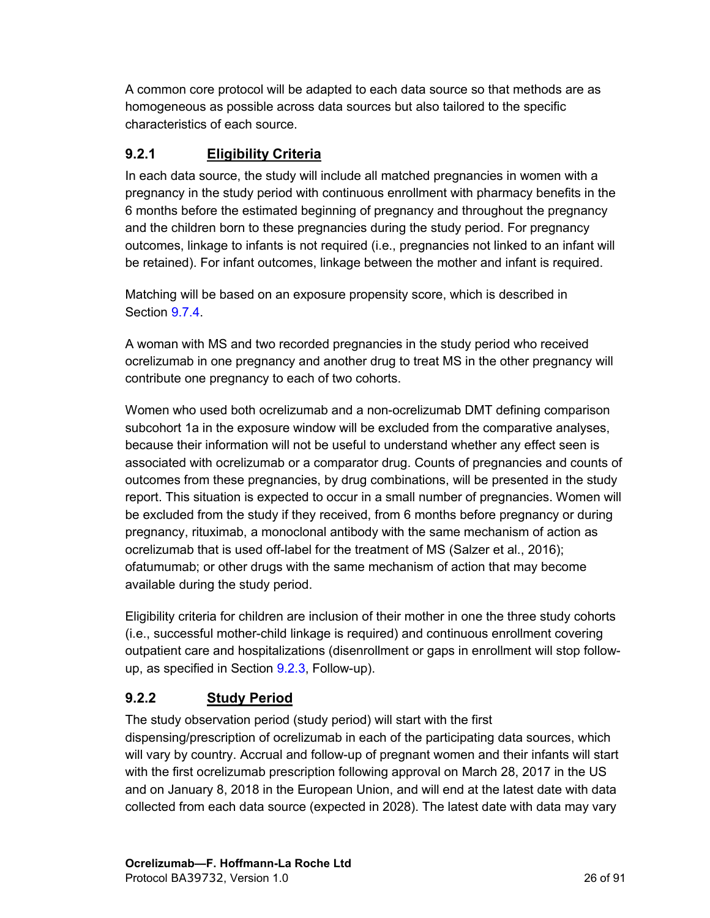<span id="page-25-0"></span>A common core protocol will be adapted to each data source so that methods are as homogeneous as possible across data sources but also tailored to the specific characteristics of each source.

## **9.2.1 Eligibility Criteria**

In each data source, the study will include all matched pregnancies in women with a pregnancy in the study period with continuous enrollment with pharmacy benefits in the 6 months before the estimated beginning of pregnancy and throughout the pregnancy and the children born to these pregnancies during the study period. For pregnancy outcomes, linkage to infants is not required (i.e., pregnancies not linked to an infant will be retained). For infant outcomes, linkage between the mother and infant is required.

Matching will be based on an exposure propensity score, which is described in Section [9.7.4](#page-51-0).

A woman with MS and two recorded pregnancies in the study period who received ocrelizumab in one pregnancy and another drug to treat MS in the other pregnancy will contribute one pregnancy to each of two cohorts.

Women who used both ocrelizumab and a non-ocrelizumab DMT defining comparison subcohort 1a in the exposure window will be excluded from the comparative analyses, because their information will not be useful to understand whether any effect seen is associated with ocrelizumab or a comparator drug. Counts of pregnancies and counts of outcomes from these pregnancies, by drug combinations, will be presented in the study report. This situation is expected to occur in a small number of pregnancies. Women will be excluded from the study if they received, from 6 months before pregnancy or during pregnancy, rituximab, a monoclonal antibody with the same mechanism of action as ocrelizumab that is used off-label for the treatment of MS (Salzer et al., 2016); ofatumumab; or other drugs with the same mechanism of action that may become available during the study period.

Eligibility criteria for children are inclusion of their mother in one the three study cohorts (i.e., successful mother-child linkage is required) and continuous enrollment covering outpatient care and hospitalizations (disenrollment or gaps in enrollment will stop followup, as specified in Section [9.2.3](#page-26-0), Follow-up).

# **9.2.2 Study Period**

The study observation period (study period) will start with the first dispensing/prescription of ocrelizumab in each of the participating data sources, which will vary by country. Accrual and follow-up of pregnant women and their infants will start with the first ocrelizumab prescription following approval on March 28, 2017 in the US and on January 8, 2018 in the European Union, and will end at the latest date with data collected from each data source (expected in 2028). The latest date with data may vary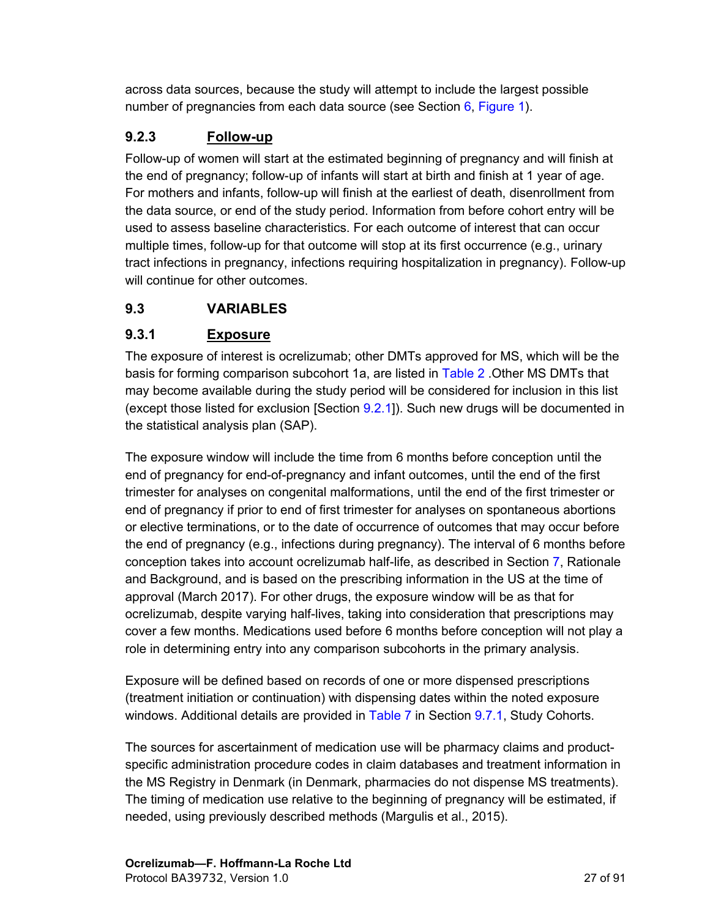<span id="page-26-0"></span>across data sources, because the study will attempt to include the largest possible number of pregnancies from each data source (see Section  $6$ , [Figure 1\)](#page-16-0).

# **9.2.3 Follow-up**

Follow-up of women will start at the estimated beginning of pregnancy and will finish at the end of pregnancy; follow-up of infants will start at birth and finish at 1 year of age. For mothers and infants, follow-up will finish at the earliest of death, disenrollment from the data source, or end of the study period. Information from before cohort entry will be used to assess baseline characteristics. For each outcome of interest that can occur multiple times, follow-up for that outcome will stop at its first occurrence (e.g., urinary tract infections in pregnancy, infections requiring hospitalization in pregnancy). Follow-up will continue for other outcomes.

## **9.3 VARIABLES**

# **9.3.1 Exposure**

The exposure of interest is ocrelizumab; other DMTs approved for MS, which will be the basis for forming comparison subcohort 1a, are listed in [Table 2](#page-27-0) .Other MS DMTs that may become available during the study period will be considered for inclusion in this list (except those listed for exclusion [Section [9.2.1](#page-25-0)]). Such new drugs will be documented in the statistical analysis plan (SAP).

The exposure window will include the time from 6 months before conception until the end of pregnancy for end-of-pregnancy and infant outcomes, until the end of the first trimester for analyses on congenital malformations, until the end of the first trimester or end of pregnancy if prior to end of first trimester for analyses on spontaneous abortions or elective terminations, or to the date of occurrence of outcomes that may occur before the end of pregnancy (e.g., infections during pregnancy). The interval of 6 months before conception takes into account ocrelizumab half-life, as described in Section [7](#page-19-0), Rationale and Background, and is based on the prescribing information in the US at the time of approval (March 2017). For other drugs, the exposure window will be as that for ocrelizumab, despite varying half-lives, taking into consideration that prescriptions may cover a few months. Medications used before 6 months before conception will not play a role in determining entry into any comparison subcohorts in the primary analysis.

Exposure will be defined based on records of one or more dispensed prescriptions (treatment initiation or continuation) with dispensing dates within the noted exposure windows. Additional details are provided in [Table 7](#page-48-0) in Section [9.7.1](#page-47-0), Study Cohorts.

The sources for ascertainment of medication use will be pharmacy claims and productspecific administration procedure codes in claim databases and treatment information in the MS Registry in Denmark (in Denmark, pharmacies do not dispense MS treatments). The timing of medication use relative to the beginning of pregnancy will be estimated, if needed, using previously described methods (Margulis et al., 2015).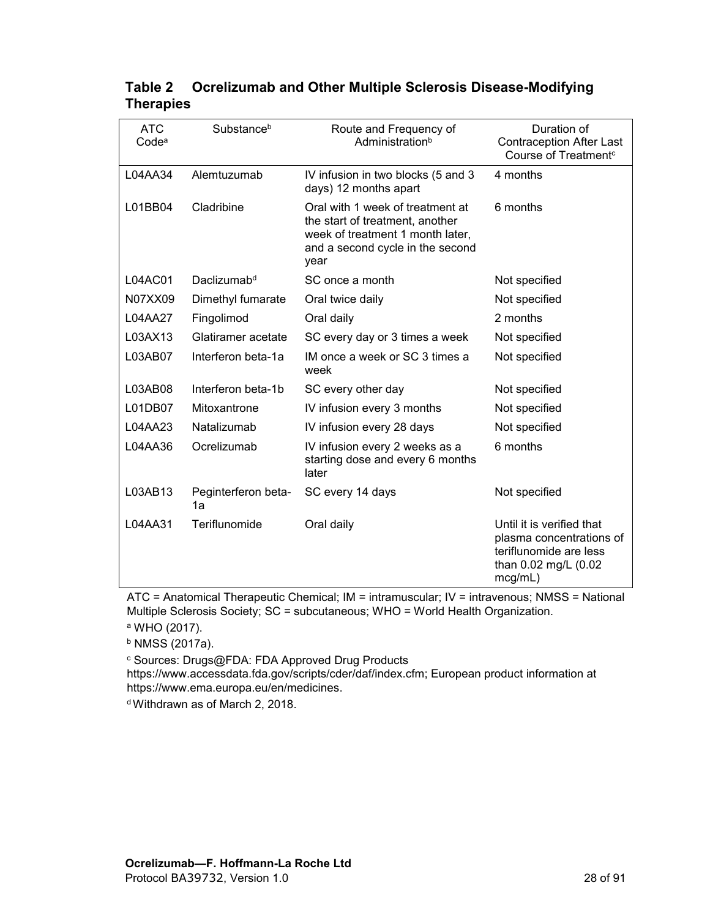| <b>ATC</b><br>Code <sup>a</sup> | Substanceb                | Route and Frequency of<br>Administrationb                                                                                                           | Duration of<br><b>Contraception After Last</b><br>Course of Treatment <sup>c</sup>                                 |  |
|---------------------------------|---------------------------|-----------------------------------------------------------------------------------------------------------------------------------------------------|--------------------------------------------------------------------------------------------------------------------|--|
| L04AA34                         | Alemtuzumab               | IV infusion in two blocks (5 and 3<br>days) 12 months apart                                                                                         | 4 months                                                                                                           |  |
| L01BB04                         | Cladribine                | Oral with 1 week of treatment at<br>the start of treatment, another<br>week of treatment 1 month later,<br>and a second cycle in the second<br>year | 6 months                                                                                                           |  |
| L04AC01                         | Daclizumab <sup>d</sup>   | SC once a month                                                                                                                                     | Not specified                                                                                                      |  |
| N07XX09                         | Dimethyl fumarate         | Oral twice daily                                                                                                                                    | Not specified                                                                                                      |  |
| L04AA27                         | Fingolimod                | Oral daily                                                                                                                                          | 2 months                                                                                                           |  |
| L03AX13                         | Glatiramer acetate        | SC every day or 3 times a week                                                                                                                      | Not specified                                                                                                      |  |
| L03AB07                         | Interferon beta-1a        | IM once a week or SC 3 times a<br>week                                                                                                              | Not specified                                                                                                      |  |
| L03AB08                         | Interferon beta-1b        | SC every other day                                                                                                                                  | Not specified                                                                                                      |  |
| L01DB07                         | Mitoxantrone              | IV infusion every 3 months                                                                                                                          | Not specified                                                                                                      |  |
| L04AA23                         | Natalizumab               | IV infusion every 28 days                                                                                                                           | Not specified                                                                                                      |  |
| L04AA36                         | Ocrelizumab               | IV infusion every 2 weeks as a<br>starting dose and every 6 months<br>later                                                                         | 6 months                                                                                                           |  |
| L03AB13                         | Peginterferon beta-<br>1a | SC every 14 days                                                                                                                                    | Not specified                                                                                                      |  |
| L04AA31                         | Teriflunomide             | Oral daily                                                                                                                                          | Until it is verified that<br>plasma concentrations of<br>teriflunomide are less<br>than 0.02 mg/L (0.02<br>mcg/mL) |  |

# <span id="page-27-1"></span><span id="page-27-0"></span>**Table 2 Ocrelizumab and Other Multiple Sclerosis Disease-Modifying Therapies**

ATC = Anatomical Therapeutic Chemical; IM = intramuscular; IV = intravenous; NMSS = National Multiple Sclerosis Society; SC = subcutaneous; WHO = World Health Organization.

<sup>a</sup> WHO (2017).

<sup>b</sup> NMSS (2017a).

<sup>c</sup> Sources: Drugs@FDA: FDA Approved Drug Products

https://www.accessdata.fda.gov/scripts/cder/daf/index.cfm; European product information at https://www.ema.europa.eu/en/medicines.

d Withdrawn as of March 2, 2018.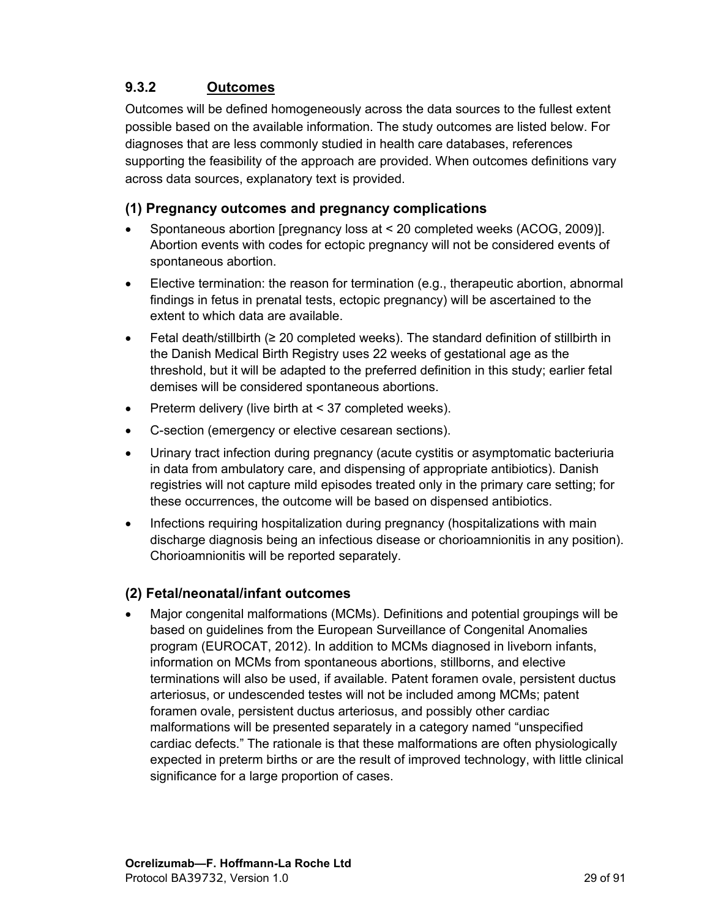# <span id="page-28-0"></span>**9.3.2 Outcomes**

Outcomes will be defined homogeneously across the data sources to the fullest extent possible based on the available information. The study outcomes are listed below. For diagnoses that are less commonly studied in health care databases, references supporting the feasibility of the approach are provided. When outcomes definitions vary across data sources, explanatory text is provided.

## **(1) Pregnancy outcomes and pregnancy complications**

- Spontaneous abortion [pregnancy loss at < 20 completed weeks (ACOG, 2009)]. Abortion events with codes for ectopic pregnancy will not be considered events of spontaneous abortion.
- Elective termination: the reason for termination (e.g., therapeutic abortion, abnormal findings in fetus in prenatal tests, ectopic pregnancy) will be ascertained to the extent to which data are available.
- Fetal death/stillbirth (≥ 20 completed weeks). The standard definition of stillbirth in the Danish Medical Birth Registry uses 22 weeks of gestational age as the threshold, but it will be adapted to the preferred definition in this study; earlier fetal demises will be considered spontaneous abortions.
- **•** Preterm delivery (live birth at  $< 37$  completed weeks).
- C-section (emergency or elective cesarean sections).
- Urinary tract infection during pregnancy (acute cystitis or asymptomatic bacteriuria in data from ambulatory care, and dispensing of appropriate antibiotics). Danish registries will not capture mild episodes treated only in the primary care setting; for these occurrences, the outcome will be based on dispensed antibiotics.
- Infections requiring hospitalization during pregnancy (hospitalizations with main discharge diagnosis being an infectious disease or chorioamnionitis in any position). Chorioamnionitis will be reported separately.

## **(2) Fetal/neonatal/infant outcomes**

 Major congenital malformations (MCMs). Definitions and potential groupings will be based on guidelines from the European Surveillance of Congenital Anomalies program (EUROCAT, 2012). In addition to MCMs diagnosed in liveborn infants, information on MCMs from spontaneous abortions, stillborns, and elective terminations will also be used, if available. Patent foramen ovale, persistent ductus arteriosus, or undescended testes will not be included among MCMs; patent foramen ovale, persistent ductus arteriosus, and possibly other cardiac malformations will be presented separately in a category named "unspecified cardiac defects." The rationale is that these malformations are often physiologically expected in preterm births or are the result of improved technology, with little clinical significance for a large proportion of cases.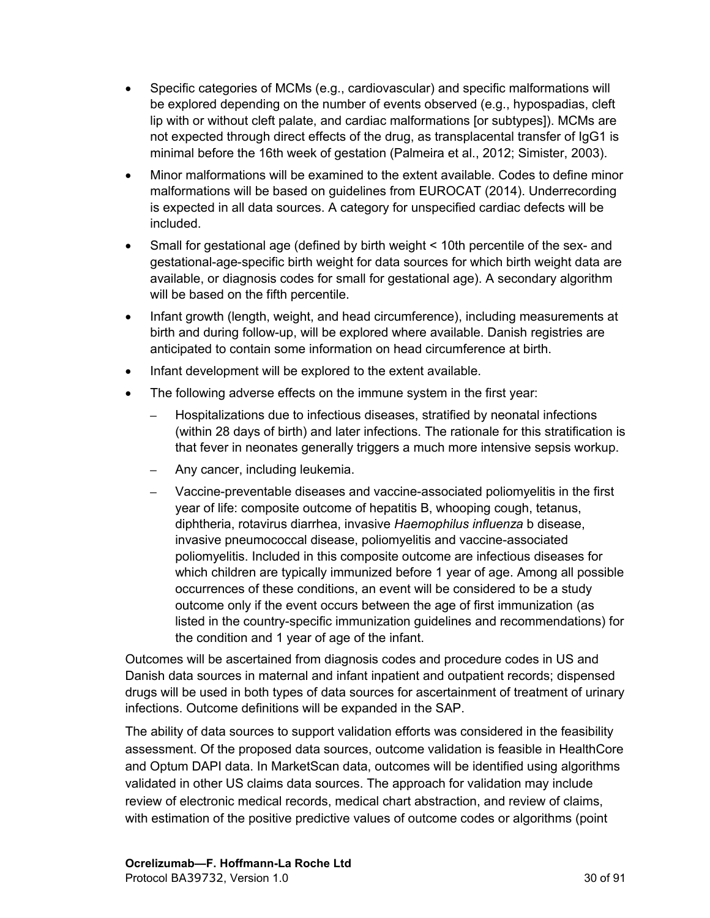- Specific categories of MCMs (e.g., cardiovascular) and specific malformations will be explored depending on the number of events observed (e.g., hypospadias, cleft lip with or without cleft palate, and cardiac malformations [or subtypes]). MCMs are not expected through direct effects of the drug, as transplacental transfer of IgG1 is minimal before the 16th week of gestation (Palmeira et al., 2012; Simister, 2003).
- Minor malformations will be examined to the extent available. Codes to define minor malformations will be based on guidelines from EUROCAT (2014). Underrecording is expected in all data sources. A category for unspecified cardiac defects will be included.
- Small for gestational age (defined by birth weight < 10th percentile of the sex- and gestational-age-specific birth weight for data sources for which birth weight data are available, or diagnosis codes for small for gestational age). A secondary algorithm will be based on the fifth percentile.
- Infant growth (length, weight, and head circumference), including measurements at birth and during follow-up, will be explored where available. Danish registries are anticipated to contain some information on head circumference at birth.
- Infant development will be explored to the extent available.
- The following adverse effects on the immune system in the first year:
	- **–** Hospitalizations due to infectious diseases, stratified by neonatal infections (within 28 days of birth) and later infections. The rationale for this stratification is that fever in neonates generally triggers a much more intensive sepsis workup.
	- **–** Any cancer, including leukemia.
	- **–** Vaccine-preventable diseases and vaccine-associated poliomyelitis in the first year of life: composite outcome of hepatitis B, whooping cough, tetanus, diphtheria, rotavirus diarrhea, invasive *Haemophilus influenza* b disease, invasive pneumococcal disease, poliomyelitis and vaccine-associated poliomyelitis. Included in this composite outcome are infectious diseases for which children are typically immunized before 1 year of age. Among all possible occurrences of these conditions, an event will be considered to be a study outcome only if the event occurs between the age of first immunization (as listed in the country-specific immunization guidelines and recommendations) for the condition and 1 year of age of the infant.

Outcomes will be ascertained from diagnosis codes and procedure codes in US and Danish data sources in maternal and infant inpatient and outpatient records; dispensed drugs will be used in both types of data sources for ascertainment of treatment of urinary infections. Outcome definitions will be expanded in the SAP.

The ability of data sources to support validation efforts was considered in the feasibility assessment. Of the proposed data sources, outcome validation is feasible in HealthCore and Optum DAPI data. In MarketScan data, outcomes will be identified using algorithms validated in other US claims data sources. The approach for validation may include review of electronic medical records, medical chart abstraction, and review of claims, with estimation of the positive predictive values of outcome codes or algorithms (point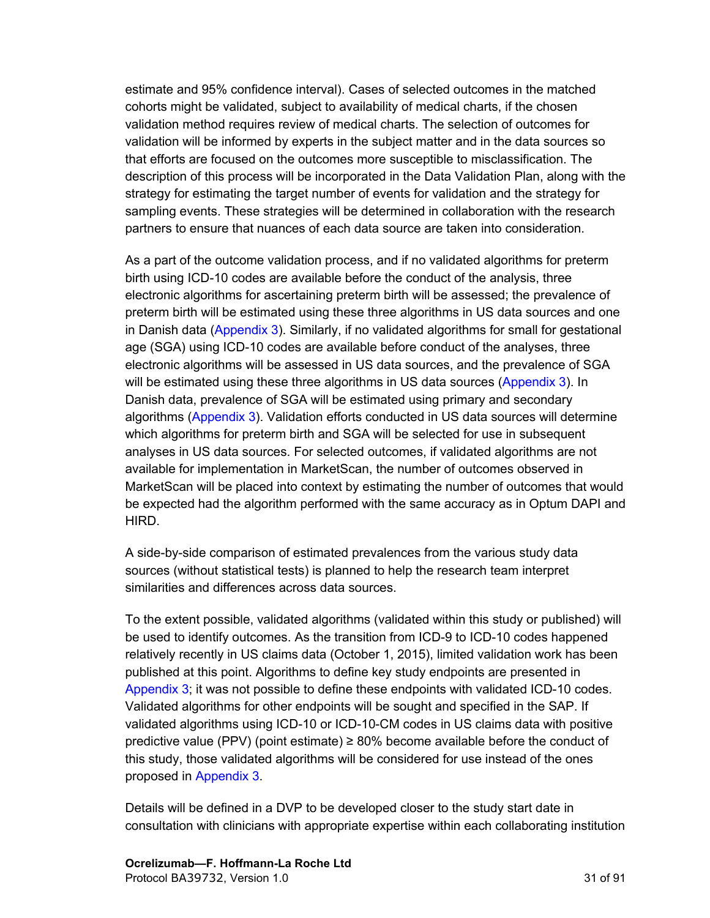estimate and 95% confidence interval). Cases of selected outcomes in the matched cohorts might be validated, subject to availability of medical charts, if the chosen validation method requires review of medical charts. The selection of outcomes for validation will be informed by experts in the subject matter and in the data sources so that efforts are focused on the outcomes more susceptible to misclassification. The description of this process will be incorporated in the Data Validation Plan, along with the strategy for estimating the target number of events for validation and the strategy for sampling events. These strategies will be determined in collaboration with the research partners to ensure that nuances of each data source are taken into consideration.

As a part of the outcome validation process, and if no validated algorithms for preterm birth using ICD-10 codes are available before the conduct of the analysis, three electronic algorithms for ascertaining preterm birth will be assessed; the prevalence of preterm birth will be estimated using these three algorithms in US data sources and one in Danish data [\(Appendix](#page-81-0) 3). Similarly, if no validated algorithms for small for gestational age (SGA) using ICD-10 codes are available before conduct of the analyses, three electronic algorithms will be assessed in US data sources, and the prevalence of SGA will be estimated using these three algorithms in US data sources [\(Appendix](#page-81-0) 3). In Danish data, prevalence of SGA will be estimated using primary and secondary algorithms ([Appendix](#page-81-0) 3). Validation efforts conducted in US data sources will determine which algorithms for preterm birth and SGA will be selected for use in subsequent analyses in US data sources. For selected outcomes, if validated algorithms are not available for implementation in MarketScan, the number of outcomes observed in MarketScan will be placed into context by estimating the number of outcomes that would be expected had the algorithm performed with the same accuracy as in Optum DAPI and HIRD.

A side-by-side comparison of estimated prevalences from the various study data sources (without statistical tests) is planned to help the research team interpret similarities and differences across data sources.

To the extent possible, validated algorithms (validated within this study or published) will be used to identify outcomes. As the transition from ICD-9 to ICD-10 codes happened relatively recently in US claims data (October 1, 2015), limited validation work has been published at this point. Algorithms to define key study endpoints are presented in [Appendix](#page-81-0) 3; it was not possible to define these endpoints with validated ICD-10 codes. Validated algorithms for other endpoints will be sought and specified in the SAP. If validated algorithms using ICD-10 or ICD-10-CM codes in US claims data with positive predictive value (PPV) (point estimate)  $\geq$  80% become available before the conduct of this study, those validated algorithms will be considered for use instead of the ones proposed in [Appendix](#page-81-0) 3.

Details will be defined in a DVP to be developed closer to the study start date in consultation with clinicians with appropriate expertise within each collaborating institution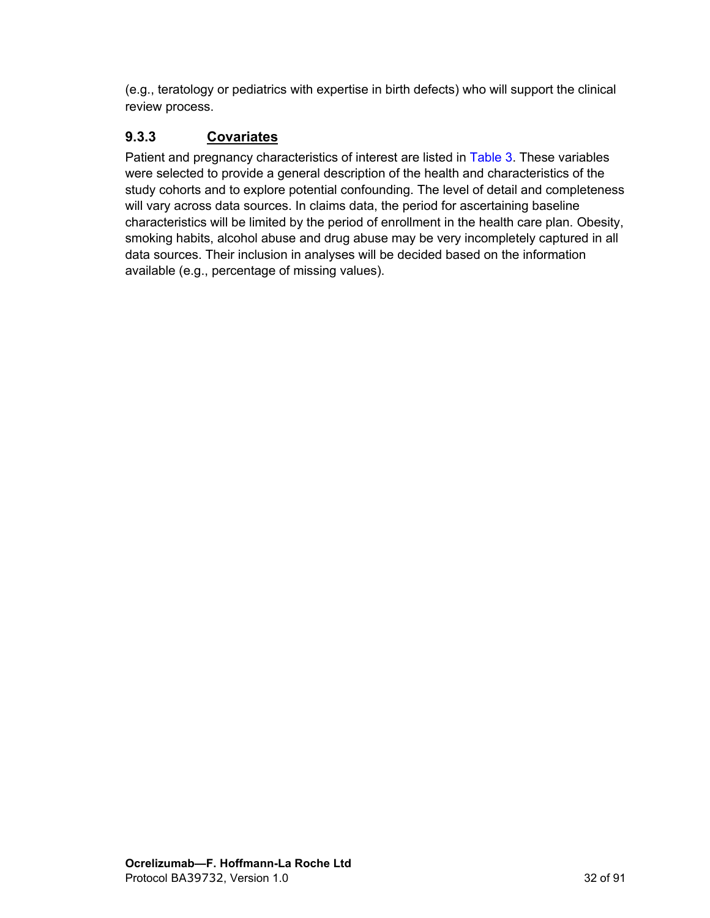<span id="page-31-0"></span>(e.g., teratology or pediatrics with expertise in birth defects) who will support the clinical review process.

# **9.3.3 Covariates**

Patient and pregnancy characteristics of interest are listed in [Table](#page-32-0) 3. These variables were selected to provide a general description of the health and characteristics of the study cohorts and to explore potential confounding. The level of detail and completeness will vary across data sources. In claims data, the period for ascertaining baseline characteristics will be limited by the period of enrollment in the health care plan. Obesity, smoking habits, alcohol abuse and drug abuse may be very incompletely captured in all data sources. Their inclusion in analyses will be decided based on the information available (e.g., percentage of missing values).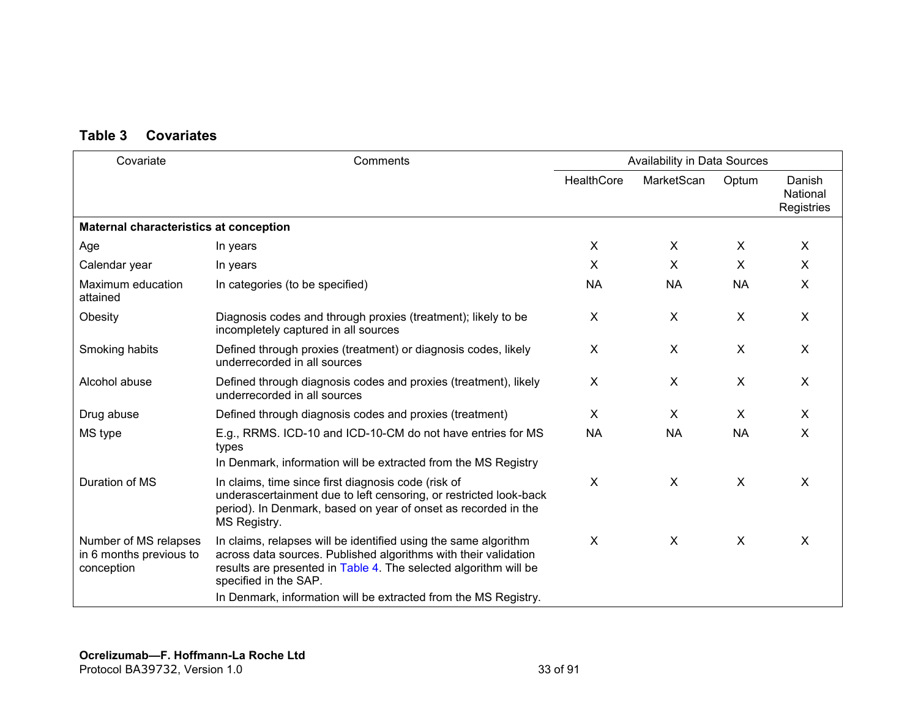## **Table 3 Covariates**

<span id="page-32-0"></span>

| Covariate                                                      | Comments                                                                                                                                                                                                                                                                                           | Availability in Data Sources |                           |              |                                  |
|----------------------------------------------------------------|----------------------------------------------------------------------------------------------------------------------------------------------------------------------------------------------------------------------------------------------------------------------------------------------------|------------------------------|---------------------------|--------------|----------------------------------|
|                                                                |                                                                                                                                                                                                                                                                                                    | HealthCore                   | MarketScan                | Optum        | Danish<br>National<br>Registries |
| Maternal characteristics at conception                         |                                                                                                                                                                                                                                                                                                    |                              |                           |              |                                  |
| Age                                                            | In years                                                                                                                                                                                                                                                                                           | $\sf X$                      | X                         | X            | $\mathsf{X}$                     |
| Calendar year                                                  | In years                                                                                                                                                                                                                                                                                           | $\sf X$                      | X                         | $\mathsf{X}$ | $\mathsf{X}$                     |
| Maximum education<br>attained                                  | In categories (to be specified)                                                                                                                                                                                                                                                                    | <b>NA</b>                    | <b>NA</b>                 | <b>NA</b>    | X                                |
| Obesity                                                        | Diagnosis codes and through proxies (treatment); likely to be<br>incompletely captured in all sources                                                                                                                                                                                              | X                            | X                         | X            | X                                |
| Smoking habits                                                 | Defined through proxies (treatment) or diagnosis codes, likely<br>underrecorded in all sources                                                                                                                                                                                                     | X                            | X                         | X            | $\mathsf{X}$                     |
| Alcohol abuse                                                  | Defined through diagnosis codes and proxies (treatment), likely<br>underrecorded in all sources                                                                                                                                                                                                    | $\sf X$                      | X                         | $\sf X$      | $\sf X$                          |
| Drug abuse                                                     | Defined through diagnosis codes and proxies (treatment)                                                                                                                                                                                                                                            | X                            | X                         | X            | $\mathsf{X}$                     |
| MS type                                                        | E.g., RRMS. ICD-10 and ICD-10-CM do not have entries for MS<br>types<br>In Denmark, information will be extracted from the MS Registry                                                                                                                                                             | <b>NA</b>                    | <b>NA</b>                 | <b>NA</b>    | X                                |
| Duration of MS                                                 | In claims, time since first diagnosis code (risk of<br>underascertainment due to left censoring, or restricted look-back<br>period). In Denmark, based on year of onset as recorded in the<br>MS Registry.                                                                                         | X                            | X                         | X            | $\boldsymbol{\mathsf{X}}$        |
| Number of MS relapses<br>in 6 months previous to<br>conception | In claims, relapses will be identified using the same algorithm<br>across data sources. Published algorithms with their validation<br>results are presented in Table 4. The selected algorithm will be<br>specified in the SAP.<br>In Denmark, information will be extracted from the MS Registry. | X                            | $\boldsymbol{\mathsf{X}}$ | X            | X                                |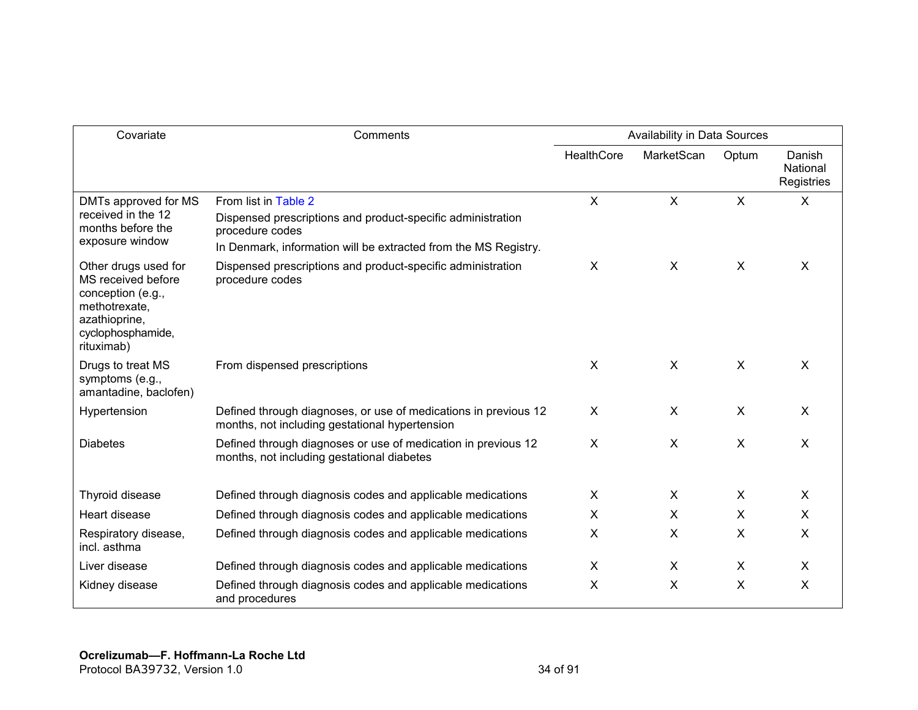| Covariate                                                                                                                            | Comments                                                                                                          | Availability in Data Sources |                           |                           |                                  |
|--------------------------------------------------------------------------------------------------------------------------------------|-------------------------------------------------------------------------------------------------------------------|------------------------------|---------------------------|---------------------------|----------------------------------|
|                                                                                                                                      |                                                                                                                   | <b>HealthCore</b>            | MarketScan                | Optum                     | Danish<br>National<br>Registries |
| DMTs approved for MS<br>received in the 12<br>months before the                                                                      | From list in Table 2                                                                                              | $\sf X$                      | X                         | $\boldsymbol{\mathsf{X}}$ | X                                |
|                                                                                                                                      | Dispensed prescriptions and product-specific administration<br>procedure codes                                    |                              |                           |                           |                                  |
| exposure window                                                                                                                      | In Denmark, information will be extracted from the MS Registry.                                                   |                              |                           |                           |                                  |
| Other drugs used for<br>MS received before<br>conception (e.g.,<br>methotrexate,<br>azathioprine,<br>cyclophosphamide,<br>rituximab) | Dispensed prescriptions and product-specific administration<br>procedure codes                                    | X                            | $\boldsymbol{\mathsf{X}}$ | $\boldsymbol{\mathsf{X}}$ | $\boldsymbol{\mathsf{X}}$        |
| Drugs to treat MS<br>symptoms (e.g.,<br>amantadine, baclofen)                                                                        | From dispensed prescriptions                                                                                      | $\sf X$                      | X                         | $\mathsf{X}$              | $\times$                         |
| Hypertension                                                                                                                         | Defined through diagnoses, or use of medications in previous 12<br>months, not including gestational hypertension | X                            | X                         | $\boldsymbol{\mathsf{X}}$ | $\sf X$                          |
| <b>Diabetes</b>                                                                                                                      | Defined through diagnoses or use of medication in previous 12<br>months, not including gestational diabetes       | X                            | X                         | X                         | $\boldsymbol{\mathsf{X}}$        |
| Thyroid disease                                                                                                                      | Defined through diagnosis codes and applicable medications                                                        | X                            | X                         | X                         | X                                |
| Heart disease                                                                                                                        | Defined through diagnosis codes and applicable medications                                                        | X                            | X                         | X                         | X                                |
| Respiratory disease,<br>incl. asthma                                                                                                 | Defined through diagnosis codes and applicable medications                                                        | X                            | X                         | X                         | X                                |
| Liver disease                                                                                                                        | Defined through diagnosis codes and applicable medications                                                        | $\pmb{\times}$               | X                         | $\boldsymbol{\mathsf{X}}$ | X                                |
| Kidney disease                                                                                                                       | Defined through diagnosis codes and applicable medications<br>and procedures                                      | Χ                            | X                         | X                         | X                                |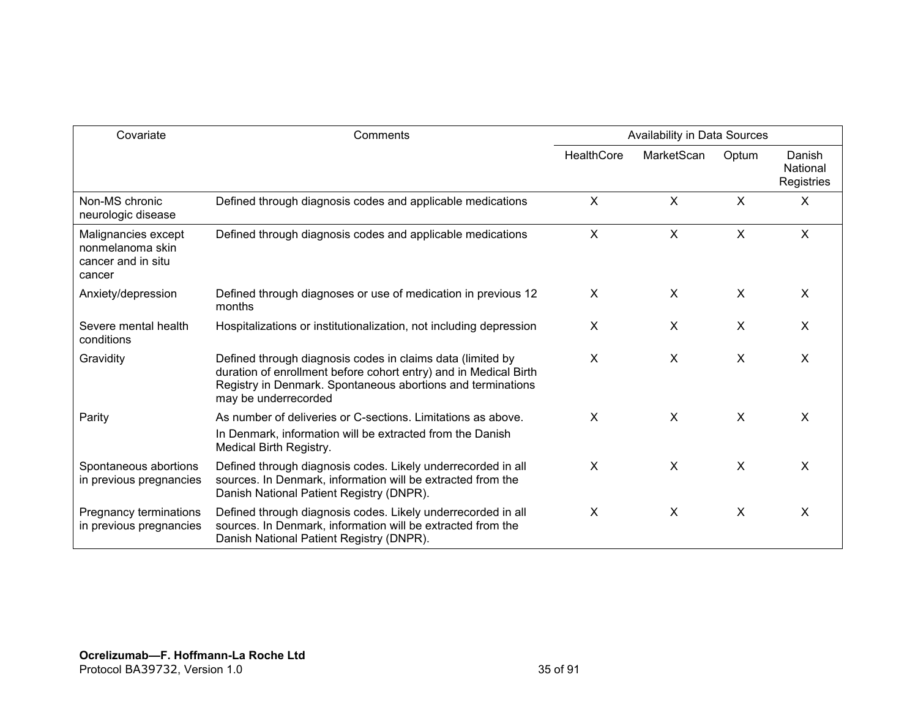| Covariate                                                               | Comments                                                                                                                                                                                                              | Availability in Data Sources |              |                           |                                  |
|-------------------------------------------------------------------------|-----------------------------------------------------------------------------------------------------------------------------------------------------------------------------------------------------------------------|------------------------------|--------------|---------------------------|----------------------------------|
|                                                                         |                                                                                                                                                                                                                       | HealthCore                   | MarketScan   | Optum                     | Danish<br>National<br>Registries |
| Non-MS chronic<br>neurologic disease                                    | Defined through diagnosis codes and applicable medications                                                                                                                                                            | $\mathsf{X}$                 | $\mathsf{X}$ | $\boldsymbol{\mathsf{X}}$ | $\boldsymbol{\mathsf{X}}$        |
| Malignancies except<br>nonmelanoma skin<br>cancer and in situ<br>cancer | Defined through diagnosis codes and applicable medications                                                                                                                                                            | $\boldsymbol{\mathsf{X}}$    | $\mathsf{X}$ | $\boldsymbol{\mathsf{X}}$ | $\boldsymbol{\mathsf{X}}$        |
| Anxiety/depression                                                      | Defined through diagnoses or use of medication in previous 12<br>months                                                                                                                                               | X                            | X            | X                         | X                                |
| Severe mental health<br>conditions                                      | Hospitalizations or institutionalization, not including depression                                                                                                                                                    | X                            | X            | X                         | X                                |
| Gravidity                                                               | Defined through diagnosis codes in claims data (limited by<br>duration of enrollment before cohort entry) and in Medical Birth<br>Registry in Denmark. Spontaneous abortions and terminations<br>may be underrecorded | X                            | X            | X                         | X                                |
| Parity                                                                  | As number of deliveries or C-sections. Limitations as above.<br>In Denmark, information will be extracted from the Danish<br>Medical Birth Registry.                                                                  | $\sf X$                      | $\mathsf{X}$ | $\sf X$                   | $\sf X$                          |
| Spontaneous abortions<br>in previous pregnancies                        | Defined through diagnosis codes. Likely underrecorded in all<br>sources. In Denmark, information will be extracted from the<br>Danish National Patient Registry (DNPR).                                               | $\sf X$                      | X            | $\mathsf{X}$              | X                                |
| Pregnancy terminations<br>in previous pregnancies                       | Defined through diagnosis codes. Likely underrecorded in all<br>sources. In Denmark, information will be extracted from the<br>Danish National Patient Registry (DNPR).                                               | X                            | X            | X                         | X                                |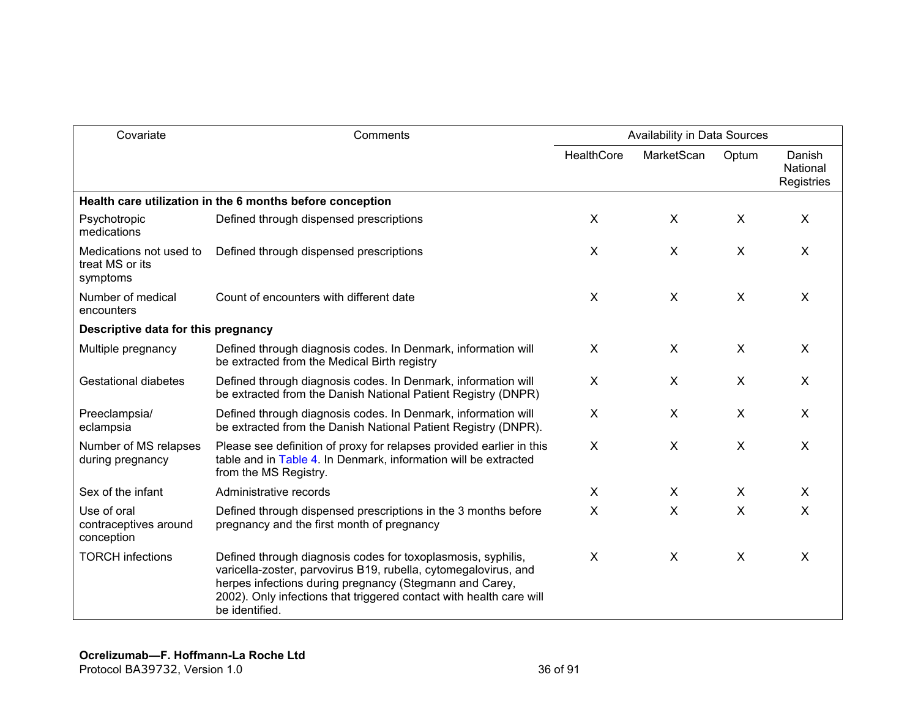| Covariate                                              | Comments                                                                                                                                                                                                                                                                            | Availability in Data Sources |                |                           |                                  |
|--------------------------------------------------------|-------------------------------------------------------------------------------------------------------------------------------------------------------------------------------------------------------------------------------------------------------------------------------------|------------------------------|----------------|---------------------------|----------------------------------|
|                                                        |                                                                                                                                                                                                                                                                                     | <b>HealthCore</b>            | MarketScan     | Optum                     | Danish<br>National<br>Registries |
|                                                        | Health care utilization in the 6 months before conception                                                                                                                                                                                                                           |                              |                |                           |                                  |
| Psychotropic<br>medications                            | Defined through dispensed prescriptions                                                                                                                                                                                                                                             | X                            | X              | X                         | X                                |
| Medications not used to<br>treat MS or its<br>symptoms | Defined through dispensed prescriptions                                                                                                                                                                                                                                             | X                            | $\mathsf{X}$   | $\mathsf{X}$              | $\times$                         |
| Number of medical<br>encounters                        | Count of encounters with different date                                                                                                                                                                                                                                             | X                            | X              | $\boldsymbol{\mathsf{X}}$ | $\sf X$                          |
| Descriptive data for this pregnancy                    |                                                                                                                                                                                                                                                                                     |                              |                |                           |                                  |
| Multiple pregnancy                                     | Defined through diagnosis codes. In Denmark, information will<br>be extracted from the Medical Birth registry                                                                                                                                                                       | X                            | $\pmb{\times}$ | X                         | X                                |
| <b>Gestational diabetes</b>                            | Defined through diagnosis codes. In Denmark, information will<br>be extracted from the Danish National Patient Registry (DNPR)                                                                                                                                                      | X                            | X              | $\times$                  | X                                |
| Preeclampsia/<br>eclampsia                             | Defined through diagnosis codes. In Denmark, information will<br>be extracted from the Danish National Patient Registry (DNPR).                                                                                                                                                     | X                            | X              | X                         | X                                |
| Number of MS relapses<br>during pregnancy              | Please see definition of proxy for relapses provided earlier in this<br>table and in Table 4. In Denmark, information will be extracted<br>from the MS Registry.                                                                                                                    | X                            | X              | X                         | $\boldsymbol{\mathsf{X}}$        |
| Sex of the infant                                      | Administrative records                                                                                                                                                                                                                                                              | X                            | X              | X                         | X                                |
| Use of oral<br>contraceptives around<br>conception     | Defined through dispensed prescriptions in the 3 months before<br>pregnancy and the first month of pregnancy                                                                                                                                                                        | X                            | X              | $\mathsf{X}$              | X                                |
| <b>TORCH infections</b>                                | Defined through diagnosis codes for toxoplasmosis, syphilis,<br>varicella-zoster, parvovirus B19, rubella, cytomegalovirus, and<br>herpes infections during pregnancy (Stegmann and Carey,<br>2002). Only infections that triggered contact with health care will<br>be identified. | X                            | X              | X                         | X                                |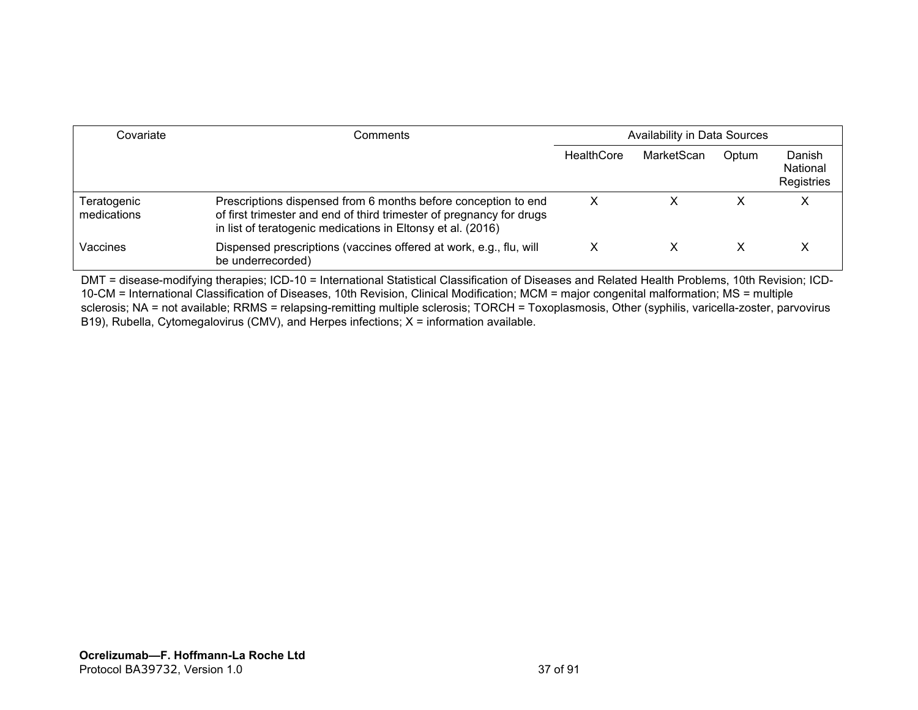| Covariate                  | Comments                                                                                                                                                                                              | Availability in Data Sources |            |       |                                  |
|----------------------------|-------------------------------------------------------------------------------------------------------------------------------------------------------------------------------------------------------|------------------------------|------------|-------|----------------------------------|
|                            |                                                                                                                                                                                                       | HealthCore                   | MarketScan | Optum | Danish<br>National<br>Registries |
| Teratogenic<br>medications | Prescriptions dispensed from 6 months before conception to end<br>of first trimester and end of third trimester of pregnancy for drugs<br>in list of teratogenic medications in Eltonsy et al. (2016) | х                            | х          |       | ⌒                                |
| Vaccines                   | Dispensed prescriptions (vaccines offered at work, e.g., flu, will<br>be underrecorded)                                                                                                               | х                            | х          |       |                                  |

DMT = disease-modifying therapies; ICD-10 = International Statistical Classification of Diseases and Related Health Problems, 10th Revision; ICD-10-CM = International Classification of Diseases, 10th Revision, Clinical Modification; MCM = major congenital malformation; MS = multiple sclerosis; NA = not available; RRMS = relapsing-remitting multiple sclerosis; TORCH = Toxoplasmosis, Other (syphilis, varicella-zoster, parvovirus B19), Rubella, Cytomegalovirus (CMV), and Herpes infections; X = information available.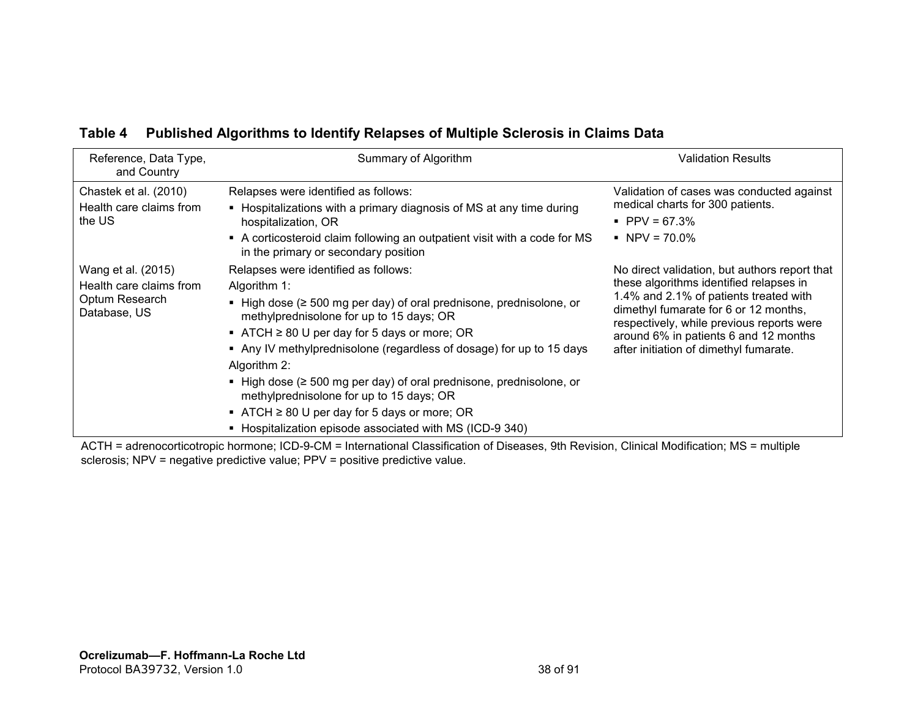| Reference, Data Type,<br>and Country                                            | Summary of Algorithm                                                                                                                                                                                                                                                                                                                                                                                                                                                                                                                                                 | Validation Results                                                                                                                                                                                                                                                                                          |
|---------------------------------------------------------------------------------|----------------------------------------------------------------------------------------------------------------------------------------------------------------------------------------------------------------------------------------------------------------------------------------------------------------------------------------------------------------------------------------------------------------------------------------------------------------------------------------------------------------------------------------------------------------------|-------------------------------------------------------------------------------------------------------------------------------------------------------------------------------------------------------------------------------------------------------------------------------------------------------------|
| Chastek et al. (2010)<br>Health care claims from<br>the US                      | Relapses were identified as follows:<br>• Hospitalizations with a primary diagnosis of MS at any time during<br>hospitalization, OR<br>A corticosteroid claim following an outpatient visit with a code for MS<br>in the primary or secondary position                                                                                                                                                                                                                                                                                                               | Validation of cases was conducted against<br>medical charts for 300 patients.<br>$\blacksquare$ PPV = 67.3%<br>$NPV = 70.0\%$                                                                                                                                                                               |
| Wang et al. (2015)<br>Health care claims from<br>Optum Research<br>Database, US | Relapses were identified as follows:<br>Algorithm 1:<br>- High dose ( $\geq 500$ mg per day) of oral prednisone, prednisolone, or<br>methylprednisolone for up to 15 days; OR<br>■ ATCH $\geq$ 80 U per day for 5 days or more; OR<br>• Any IV methylprednisolone (regardless of dosage) for up to 15 days<br>Algorithm 2:<br>- High dose ( $\geq 500$ mg per day) of oral prednisone, prednisolone, or<br>methylprednisolone for up to 15 days; OR<br>■ ATCH $\geq$ 80 U per day for 5 days or more; OR<br>• Hospitalization episode associated with MS (ICD-9 340) | No direct validation, but authors report that<br>these algorithms identified relapses in<br>1.4% and 2.1% of patients treated with<br>dimethyl fumarate for 6 or 12 months,<br>respectively, while previous reports were<br>around 6% in patients 6 and 12 months<br>after initiation of dimethyl fumarate. |

### **Table 4 Published Algorithms to Identify Relapses of Multiple Sclerosis in Claims Data**

ACTH = adrenocorticotropic hormone; ICD-9-CM = International Classification of Diseases, 9th Revision, Clinical Modification; MS = multiple sclerosis; NPV = negative predictive value; PPV = positive predictive value.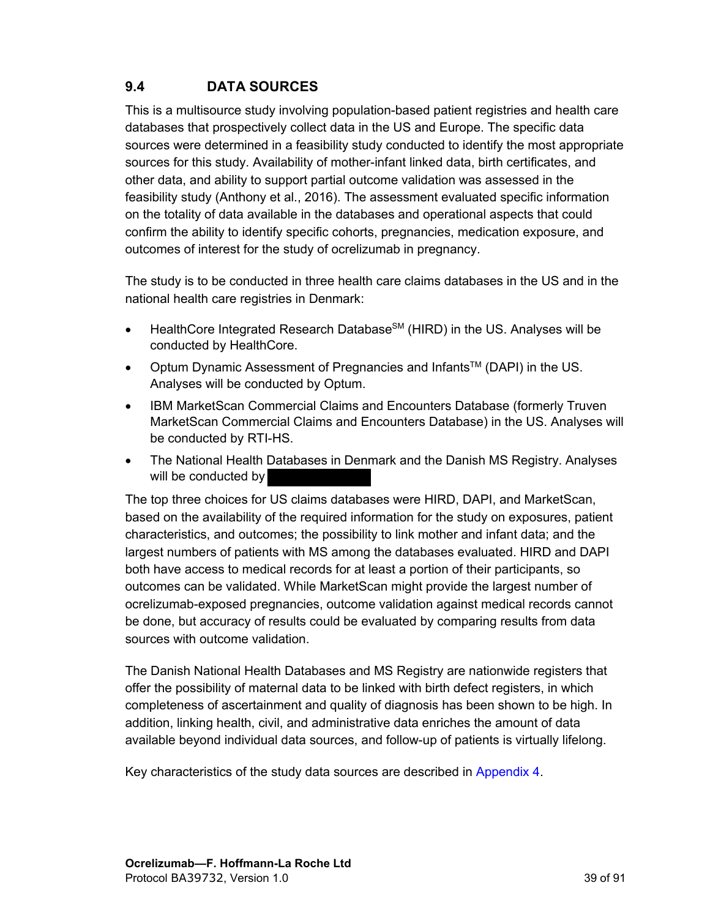### **9.4 DATA SOURCES**

This is a multisource study involving population-based patient registries and health care databases that prospectively collect data in the US and Europe. The specific data sources were determined in a feasibility study conducted to identify the most appropriate sources for this study. Availability of mother-infant linked data, birth certificates, and other data, and ability to support partial outcome validation was assessed in the feasibility study (Anthony et al., 2016). The assessment evaluated specific information on the totality of data available in the databases and operational aspects that could confirm the ability to identify specific cohorts, pregnancies, medication exposure, and outcomes of interest for the study of ocrelizumab in pregnancy.

The study is to be conducted in three health care claims databases in the US and in the national health care registries in Denmark:

- HealthCore Integrated Research Database<sup>SM</sup> (HIRD) in the US. Analyses will be conducted by HealthCore.
- Optum Dynamic Assessment of Pregnancies and Infants<sup>TM</sup> (DAPI) in the US. Analyses will be conducted by Optum.
- IBM MarketScan Commercial Claims and Encounters Database (formerly Truven MarketScan Commercial Claims and Encounters Database) in the US. Analyses will be conducted by RTI-HS.
- The National Health Databases in Denmark and the Danish MS Registry. Analyses will be conducted by

The top three choices for US claims databases were HIRD, DAPI, and MarketScan, based on the availability of the required information for the study on exposures, patient characteristics, and outcomes; the possibility to link mother and infant data; and the largest numbers of patients with MS among the databases evaluated. HIRD and DAPI both have access to medical records for at least a portion of their participants, so outcomes can be validated. While MarketScan might provide the largest number of ocrelizumab-exposed pregnancies, outcome validation against medical records cannot be done, but accuracy of results could be evaluated by comparing results from data sources with outcome validation.

The Danish National Health Databases and MS Registry are nationwide registers that offer the possibility of maternal data to be linked with birth defect registers, in which completeness of ascertainment and quality of diagnosis has been shown to be high. In addition, linking health, civil, and administrative data enriches the amount of data available beyond individual data sources, and follow-up of patients is virtually lifelong.

Key characteristics of the study data sources are described in [Appendix 4.](#page-84-0)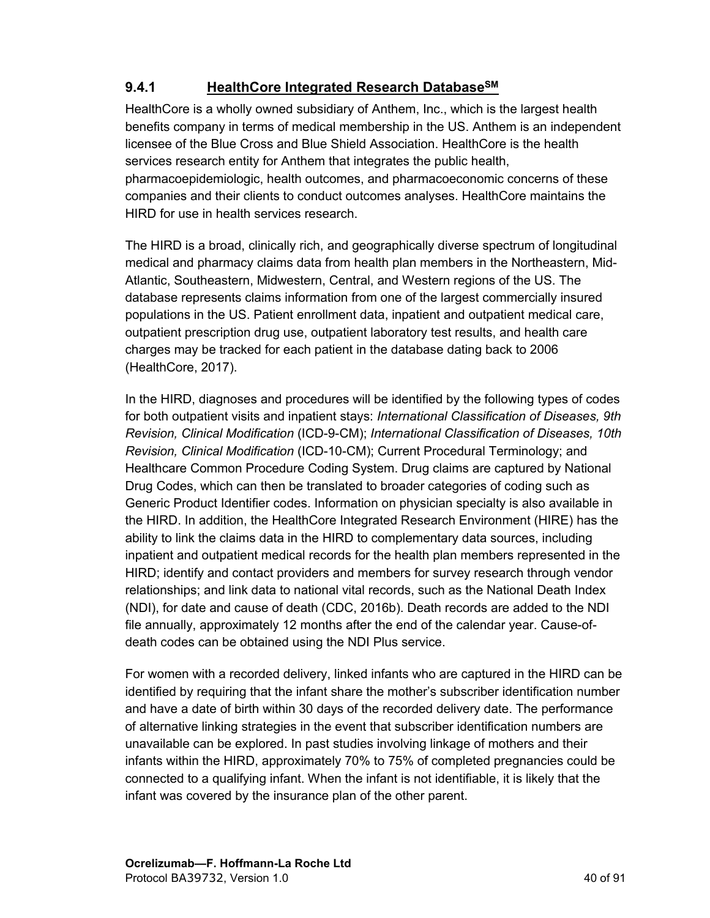## **9.4.1 HealthCore Integrated Research DatabaseSM**

HealthCore is a wholly owned subsidiary of Anthem, Inc., which is the largest health benefits company in terms of medical membership in the US. Anthem is an independent licensee of the Blue Cross and Blue Shield Association. HealthCore is the health services research entity for Anthem that integrates the public health, pharmacoepidemiologic, health outcomes, and pharmacoeconomic concerns of these companies and their clients to conduct outcomes analyses. HealthCore maintains the HIRD for use in health services research.

The HIRD is a broad, clinically rich, and geographically diverse spectrum of longitudinal medical and pharmacy claims data from health plan members in the Northeastern, Mid-Atlantic, Southeastern, Midwestern, Central, and Western regions of the US. The database represents claims information from one of the largest commercially insured populations in the US. Patient enrollment data, inpatient and outpatient medical care, outpatient prescription drug use, outpatient laboratory test results, and health care charges may be tracked for each patient in the database dating back to 2006 (HealthCore, 2017).

In the HIRD, diagnoses and procedures will be identified by the following types of codes for both outpatient visits and inpatient stays: *International Classification of Diseases, 9th Revision, Clinical Modification* (ICD-9-CM); *International Classification of Diseases, 10th Revision, Clinical Modification* (ICD-10-CM); Current Procedural Terminology; and Healthcare Common Procedure Coding System. Drug claims are captured by National Drug Codes, which can then be translated to broader categories of coding such as Generic Product Identifier codes. Information on physician specialty is also available in the HIRD. In addition, the HealthCore Integrated Research Environment (HIRE) has the ability to link the claims data in the HIRD to complementary data sources, including inpatient and outpatient medical records for the health plan members represented in the HIRD; identify and contact providers and members for survey research through vendor relationships; and link data to national vital records, such as the National Death Index (NDI), for date and cause of death (CDC, 2016b). Death records are added to the NDI file annually, approximately 12 months after the end of the calendar year. Cause-ofdeath codes can be obtained using the NDI Plus service.

For women with a recorded delivery, linked infants who are captured in the HIRD can be identified by requiring that the infant share the mother's subscriber identification number and have a date of birth within 30 days of the recorded delivery date. The performance of alternative linking strategies in the event that subscriber identification numbers are unavailable can be explored. In past studies involving linkage of mothers and their infants within the HIRD, approximately 70% to 75% of completed pregnancies could be connected to a qualifying infant. When the infant is not identifiable, it is likely that the infant was covered by the insurance plan of the other parent.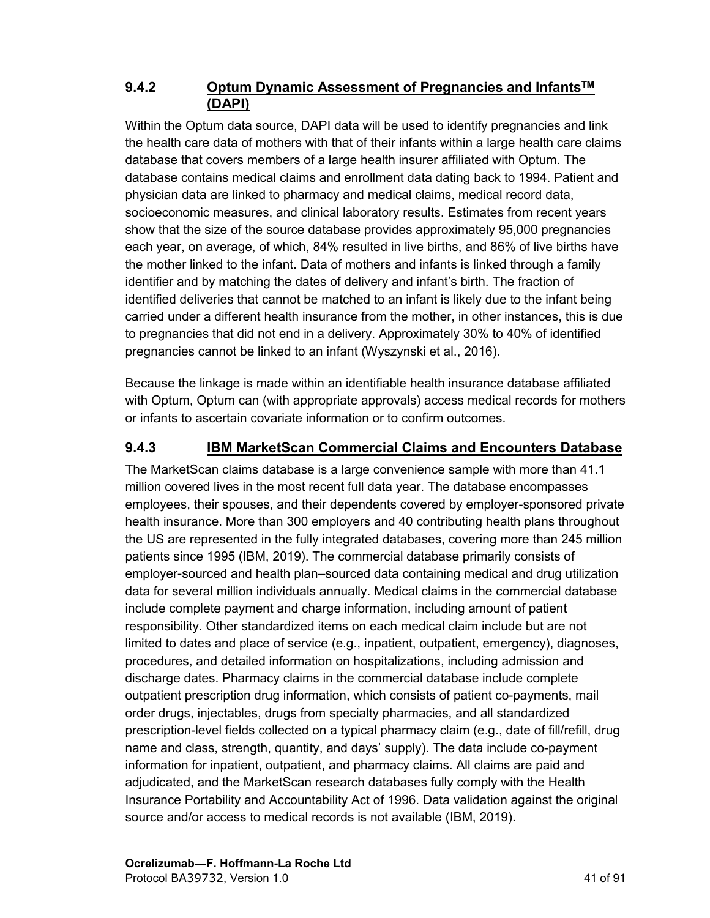#### **9.4.2 Optum Dynamic Assessment of Pregnancies and InfantsTM (DAPI)**

Within the Optum data source, DAPI data will be used to identify pregnancies and link the health care data of mothers with that of their infants within a large health care claims database that covers members of a large health insurer affiliated with Optum. The database contains medical claims and enrollment data dating back to 1994. Patient and physician data are linked to pharmacy and medical claims, medical record data, socioeconomic measures, and clinical laboratory results. Estimates from recent years show that the size of the source database provides approximately 95,000 pregnancies each year, on average, of which, 84% resulted in live births, and 86% of live births have the mother linked to the infant. Data of mothers and infants is linked through a family identifier and by matching the dates of delivery and infant's birth. The fraction of identified deliveries that cannot be matched to an infant is likely due to the infant being carried under a different health insurance from the mother, in other instances, this is due to pregnancies that did not end in a delivery. Approximately 30% to 40% of identified pregnancies cannot be linked to an infant (Wyszynski et al., 2016).

Because the linkage is made within an identifiable health insurance database affiliated with Optum, Optum can (with appropriate approvals) access medical records for mothers or infants to ascertain covariate information or to confirm outcomes.

### **9.4.3 IBM MarketScan Commercial Claims and Encounters Database**

The MarketScan claims database is a large convenience sample with more than 41.1 million covered lives in the most recent full data year. The database encompasses employees, their spouses, and their dependents covered by employer-sponsored private health insurance. More than 300 employers and 40 contributing health plans throughout the US are represented in the fully integrated databases, covering more than 245 million patients since 1995 (IBM, 2019). The commercial database primarily consists of employer-sourced and health plan–sourced data containing medical and drug utilization data for several million individuals annually. Medical claims in the commercial database include complete payment and charge information, including amount of patient responsibility. Other standardized items on each medical claim include but are not limited to dates and place of service (e.g., inpatient, outpatient, emergency), diagnoses, procedures, and detailed information on hospitalizations, including admission and discharge dates. Pharmacy claims in the commercial database include complete outpatient prescription drug information, which consists of patient co-payments, mail order drugs, injectables, drugs from specialty pharmacies, and all standardized prescription-level fields collected on a typical pharmacy claim (e.g., date of fill/refill, drug name and class, strength, quantity, and days' supply). The data include co-payment information for inpatient, outpatient, and pharmacy claims. All claims are paid and adjudicated, and the MarketScan research databases fully comply with the Health Insurance Portability and Accountability Act of 1996. Data validation against the original source and/or access to medical records is not available (IBM, 2019).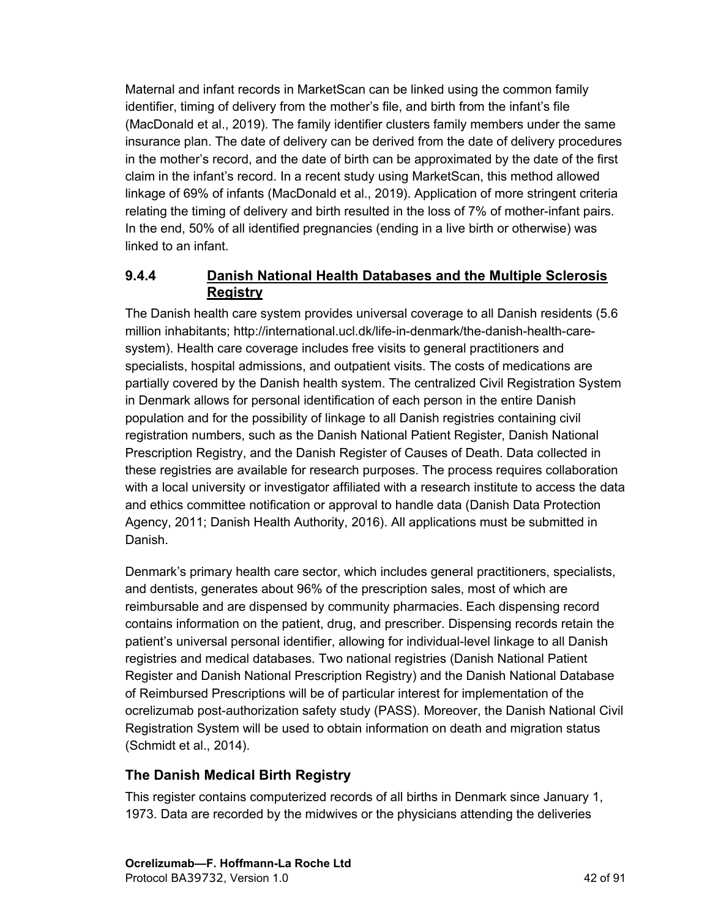Maternal and infant records in MarketScan can be linked using the common family identifier, timing of delivery from the mother's file, and birth from the infant's file (MacDonald et al., 2019). The family identifier clusters family members under the same insurance plan. The date of delivery can be derived from the date of delivery procedures in the mother's record, and the date of birth can be approximated by the date of the first claim in the infant's record. In a recent study using MarketScan, this method allowed linkage of 69% of infants (MacDonald et al., 2019). Application of more stringent criteria relating the timing of delivery and birth resulted in the loss of 7% of mother-infant pairs. In the end, 50% of all identified pregnancies (ending in a live birth or otherwise) was linked to an infant.

#### **9.4.4 Danish National Health Databases and the Multiple Sclerosis Registry**

The Danish health care system provides universal coverage to all Danish residents (5.6 million inhabitants; http://international.ucl.dk/life-in-denmark/the-danish-health-caresystem). Health care coverage includes free visits to general practitioners and specialists, hospital admissions, and outpatient visits. The costs of medications are partially covered by the Danish health system. The centralized Civil Registration System in Denmark allows for personal identification of each person in the entire Danish population and for the possibility of linkage to all Danish registries containing civil registration numbers, such as the Danish National Patient Register, Danish National Prescription Registry, and the Danish Register of Causes of Death. Data collected in these registries are available for research purposes. The process requires collaboration with a local university or investigator affiliated with a research institute to access the data and ethics committee notification or approval to handle data (Danish Data Protection Agency, 2011; Danish Health Authority, 2016). All applications must be submitted in Danish.

Denmark's primary health care sector, which includes general practitioners, specialists, and dentists, generates about 96% of the prescription sales, most of which are reimbursable and are dispensed by community pharmacies. Each dispensing record contains information on the patient, drug, and prescriber. Dispensing records retain the patient's universal personal identifier, allowing for individual-level linkage to all Danish registries and medical databases. Two national registries (Danish National Patient Register and Danish National Prescription Registry) and the Danish National Database of Reimbursed Prescriptions will be of particular interest for implementation of the ocrelizumab post-authorization safety study (PASS). Moreover, the Danish National Civil Registration System will be used to obtain information on death and migration status (Schmidt et al., 2014).

#### **The Danish Medical Birth Registry**

This register contains computerized records of all births in Denmark since January 1, 1973. Data are recorded by the midwives or the physicians attending the deliveries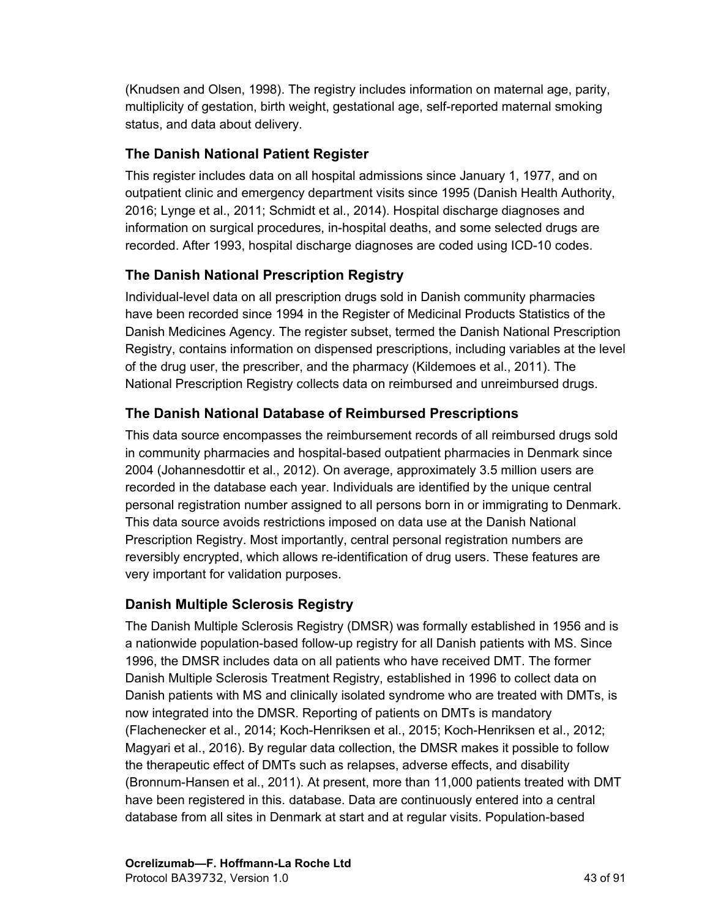(Knudsen and Olsen, 1998). The registry includes information on maternal age, parity, multiplicity of gestation, birth weight, gestational age, self-reported maternal smoking status, and data about delivery.

### **The Danish National Patient Register**

This register includes data on all hospital admissions since January 1, 1977, and on outpatient clinic and emergency department visits since 1995 (Danish Health Authority, 2016; Lynge et al., 2011; Schmidt et al., 2014). Hospital discharge diagnoses and information on surgical procedures, in-hospital deaths, and some selected drugs are recorded. After 1993, hospital discharge diagnoses are coded using ICD-10 codes.

# **The Danish National Prescription Registry**

Individual-level data on all prescription drugs sold in Danish community pharmacies have been recorded since 1994 in the Register of Medicinal Products Statistics of the Danish Medicines Agency. The register subset, termed the Danish National Prescription Registry, contains information on dispensed prescriptions, including variables at the level of the drug user, the prescriber, and the pharmacy (Kildemoes et al., 2011). The National Prescription Registry collects data on reimbursed and unreimbursed drugs.

# **The Danish National Database of Reimbursed Prescriptions**

This data source encompasses the reimbursement records of all reimbursed drugs sold in community pharmacies and hospital-based outpatient pharmacies in Denmark since 2004 (Johannesdottir et al., 2012). On average, approximately 3.5 million users are recorded in the database each year. Individuals are identified by the unique central personal registration number assigned to all persons born in or immigrating to Denmark. This data source avoids restrictions imposed on data use at the Danish National Prescription Registry. Most importantly, central personal registration numbers are reversibly encrypted, which allows re-identification of drug users. These features are very important for validation purposes.

# **Danish Multiple Sclerosis Registry**

The Danish Multiple Sclerosis Registry (DMSR) was formally established in 1956 and is a nationwide population-based follow-up registry for all Danish patients with MS. Since 1996, the DMSR includes data on all patients who have received DMT. The former Danish Multiple Sclerosis Treatment Registry, established in 1996 to collect data on Danish patients with MS and clinically isolated syndrome who are treated with DMTs, is now integrated into the DMSR. Reporting of patients on DMTs is mandatory (Flachenecker et al., 2014; Koch-Henriksen et al., 2015; Koch-Henriksen et al., 2012; Magyari et al., 2016). By regular data collection, the DMSR makes it possible to follow the therapeutic effect of DMTs such as relapses, adverse effects, and disability (Bronnum-Hansen et al., 2011). At present, more than 11,000 patients treated with DMT have been registered in this. database. Data are continuously entered into a central database from all sites in Denmark at start and at regular visits. Population-based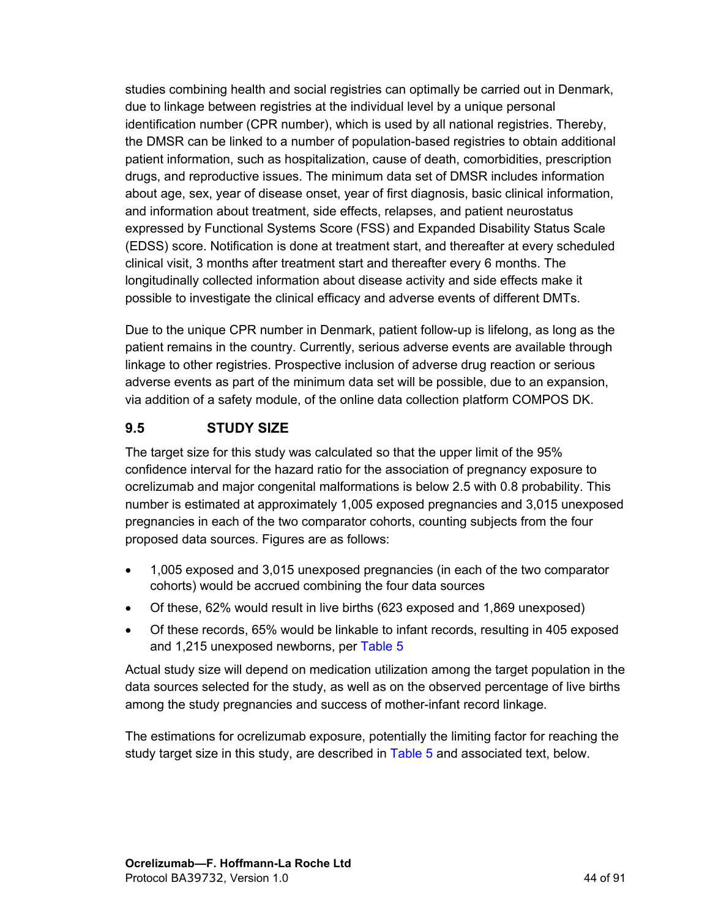studies combining health and social registries can optimally be carried out in Denmark, due to linkage between registries at the individual level by a unique personal identification number (CPR number), which is used by all national registries. Thereby, the DMSR can be linked to a number of population-based registries to obtain additional patient information, such as hospitalization, cause of death, comorbidities, prescription drugs, and reproductive issues. The minimum data set of DMSR includes information about age, sex, year of disease onset, year of first diagnosis, basic clinical information, and information about treatment, side effects, relapses, and patient neurostatus expressed by Functional Systems Score (FSS) and Expanded Disability Status Scale (EDSS) score. Notification is done at treatment start, and thereafter at every scheduled clinical visit, 3 months after treatment start and thereafter every 6 months. The longitudinally collected information about disease activity and side effects make it possible to investigate the clinical efficacy and adverse events of different DMTs.

Due to the unique CPR number in Denmark, patient follow-up is lifelong, as long as the patient remains in the country. Currently, serious adverse events are available through linkage to other registries. Prospective inclusion of adverse drug reaction or serious adverse events as part of the minimum data set will be possible, due to an expansion, via addition of a safety module, of the online data collection platform COMPOS DK.

#### **9.5 STUDY SIZE**

The target size for this study was calculated so that the upper limit of the 95% confidence interval for the hazard ratio for the association of pregnancy exposure to ocrelizumab and major congenital malformations is below 2.5 with 0.8 probability. This number is estimated at approximately 1,005 exposed pregnancies and 3,015 unexposed pregnancies in each of the two comparator cohorts, counting subjects from the four proposed data sources. Figures are as follows:

- 1,005 exposed and 3,015 unexposed pregnancies (in each of the two comparator cohorts) would be accrued combining the four data sources
- Of these, 62% would result in live births (623 exposed and 1,869 unexposed)
- Of these records, 65% would be linkable to infant records, resulting in 405 exposed and 1,215 unexposed newborns, per [Table](#page-44-0) 5

Actual study size will depend on medication utilization among the target population in the data sources selected for the study, as well as on the observed percentage of live births among the study pregnancies and success of mother-infant record linkage.

The estimations for ocrelizumab exposure, potentially the limiting factor for reaching the study target size in this study, are described in [Table](#page-44-0) 5 and associated text, below.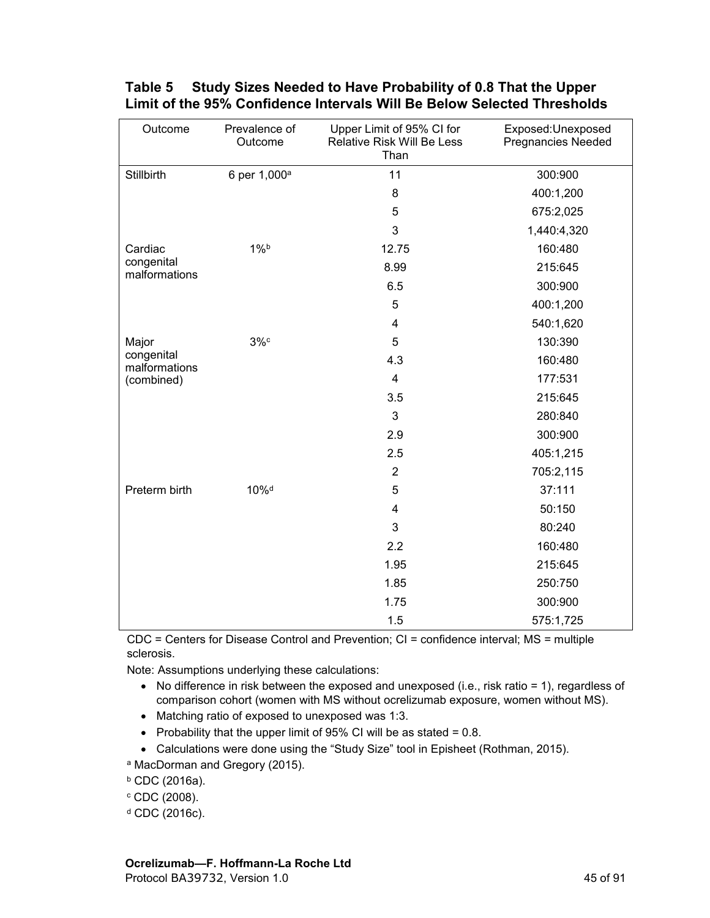| Outcome                     | Prevalence of<br>Outcome | Upper Limit of 95% CI for<br>Relative Risk Will Be Less<br>Than | Exposed: Unexposed<br><b>Pregnancies Needed</b> |
|-----------------------------|--------------------------|-----------------------------------------------------------------|-------------------------------------------------|
| Stillbirth                  | 6 per 1,000 <sup>a</sup> | 11                                                              | 300:900                                         |
|                             |                          | 8                                                               | 400:1,200                                       |
|                             |                          | 5                                                               | 675:2,025                                       |
|                             |                          | 3                                                               | 1,440:4,320                                     |
| Cardiac                     | $1\%$                    | 12.75                                                           | 160:480                                         |
| congenital<br>malformations |                          | 8.99                                                            | 215:645                                         |
|                             |                          | 6.5                                                             | 300:900                                         |
|                             |                          | 5                                                               | 400:1,200                                       |
|                             |                          | 4                                                               | 540:1,620                                       |
| Major                       | $3\%$                    | 5                                                               | 130:390                                         |
| congenital<br>malformations |                          | 4.3                                                             | 160:480                                         |
| (combined)                  |                          | $\overline{\mathbf{4}}$                                         | 177:531                                         |
|                             |                          | 3.5                                                             | 215:645                                         |
|                             |                          | 3                                                               | 280:840                                         |
|                             |                          | 2.9                                                             | 300:900                                         |
|                             |                          | 2.5                                                             | 405:1,215                                       |
|                             |                          | $\overline{2}$                                                  | 705:2,115                                       |
| Preterm birth               | 10% <sup>d</sup>         | 5                                                               | 37:111                                          |
|                             |                          | $\overline{\mathbf{4}}$                                         | 50:150                                          |
|                             |                          | 3                                                               | 80:240                                          |
|                             |                          | 2.2                                                             | 160:480                                         |
|                             |                          | 1.95                                                            | 215:645                                         |
|                             |                          | 1.85                                                            | 250:750                                         |
|                             |                          | 1.75                                                            | 300:900                                         |
|                             |                          | 1.5                                                             | 575:1,725                                       |

#### <span id="page-44-0"></span>**Table 5 Study Sizes Needed to Have Probability of 0.8 That the Upper Limit of the 95% Confidence Intervals Will Be Below Selected Thresholds**

CDC = Centers for Disease Control and Prevention; CI = confidence interval; MS = multiple sclerosis.

Note: Assumptions underlying these calculations:

- No difference in risk between the exposed and unexposed (i.e., risk ratio = 1), regardless of comparison cohort (women with MS without ocrelizumab exposure, women without MS).
- Matching ratio of exposed to unexposed was 1:3.
- Probability that the upper limit of 95% CI will be as stated  $= 0.8$ .
- Calculations were done using the "Study Size" tool in Episheet (Rothman, 2015).

<sup>a</sup> MacDorman and Gregory (2015).

- <sup>b</sup> CDC (2016a).
- $c$  CDC (2008).
- <sup>d</sup> CDC (2016c).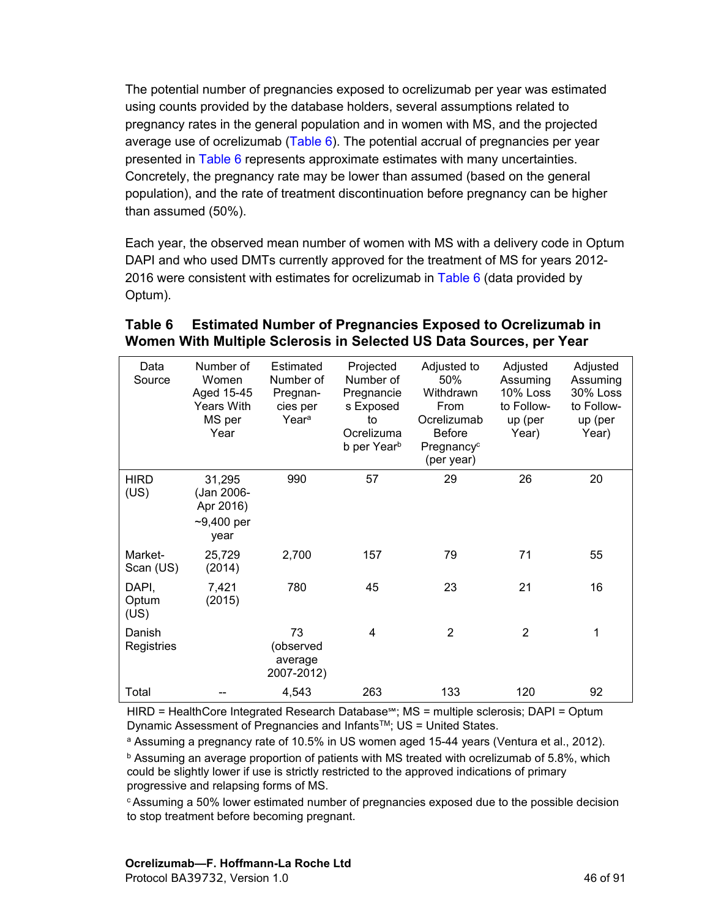<span id="page-45-0"></span>The potential number of pregnancies exposed to ocrelizumab per year was estimated using counts provided by the database holders, several assumptions related to pregnancy rates in the general population and in women with MS, and the projected average use of ocrelizumab ([Table 6\)](#page-45-0). The potential accrual of pregnancies per year presented in [Table 6](#page-45-0) represents approximate estimates with many uncertainties. Concretely, the pregnancy rate may be lower than assumed (based on the general population), and the rate of treatment discontinuation before pregnancy can be higher than assumed (50%).

Each year, the observed mean number of women with MS with a delivery code in Optum DAPI and who used DMTs currently approved for the treatment of MS for years 2012- 2016 were consistent with estimates for ocrelizumab in [Table 6](#page-45-0) (data provided by Optum).

## **Table 6 Estimated Number of Pregnancies Exposed to Ocrelizumab in Women With Multiple Sclerosis in Selected US Data Sources, per Year**

| Data<br>Source         | Number of<br>Women<br>Aged 15-45<br><b>Years With</b><br>MS per<br>Year | Estimated<br>Number of<br>Pregnan-<br>cies per<br>Year <sup>a</sup> | Projected<br>Number of<br>Pregnancie<br>s Exposed<br>to<br>Ocrelizuma<br>b per Year <sup>b</sup> | Adjusted to<br>50%<br>Withdrawn<br>From<br>Ocrelizumab<br><b>Before</b><br>Pregnancy <sup>c</sup><br>(per year) | Adjusted<br>Assuming<br><b>10% Loss</b><br>to Follow-<br>up (per<br>Year) | Adjusted<br>Assuming<br><b>30% Loss</b><br>to Follow-<br>up (per<br>Year) |
|------------------------|-------------------------------------------------------------------------|---------------------------------------------------------------------|--------------------------------------------------------------------------------------------------|-----------------------------------------------------------------------------------------------------------------|---------------------------------------------------------------------------|---------------------------------------------------------------------------|
| <b>HIRD</b><br>(US)    | 31,295<br>(Jan 2006-<br>Apr 2016)<br>$-9,400$ per<br>year               | 990                                                                 | 57                                                                                               | 29                                                                                                              | 26                                                                        | 20                                                                        |
| Market-<br>Scan (US)   | 25,729<br>(2014)                                                        | 2,700                                                               | 157                                                                                              | 79                                                                                                              | 71                                                                        | 55                                                                        |
| DAPI,<br>Optum<br>(US) | 7,421<br>(2015)                                                         | 780                                                                 | 45                                                                                               | 23                                                                                                              | 21                                                                        | 16                                                                        |
| Danish<br>Registries   |                                                                         | 73<br>(observed<br>average<br>2007-2012)                            | 4                                                                                                | 2                                                                                                               | $\overline{2}$                                                            | 1                                                                         |
| Total                  |                                                                         | 4,543                                                               | 263                                                                                              | 133                                                                                                             | 120                                                                       | 92                                                                        |

HIRD = HealthCore Integrated Research Database℠; MS = multiple sclerosis; DAPI = Optum Dynamic Assessment of Pregnancies and Infants™; US = United States.

<sup>a</sup> Assuming a pregnancy rate of 10.5% in US women aged 15-44 years (Ventura et al., 2012). <sup>b</sup> Assuming an average proportion of patients with MS treated with ocrelizumab of 5.8%, which could be slightly lower if use is strictly restricted to the approved indications of primary progressive and relapsing forms of MS.

 $\epsilon$ Assuming a 50% lower estimated number of pregnancies exposed due to the possible decision to stop treatment before becoming pregnant.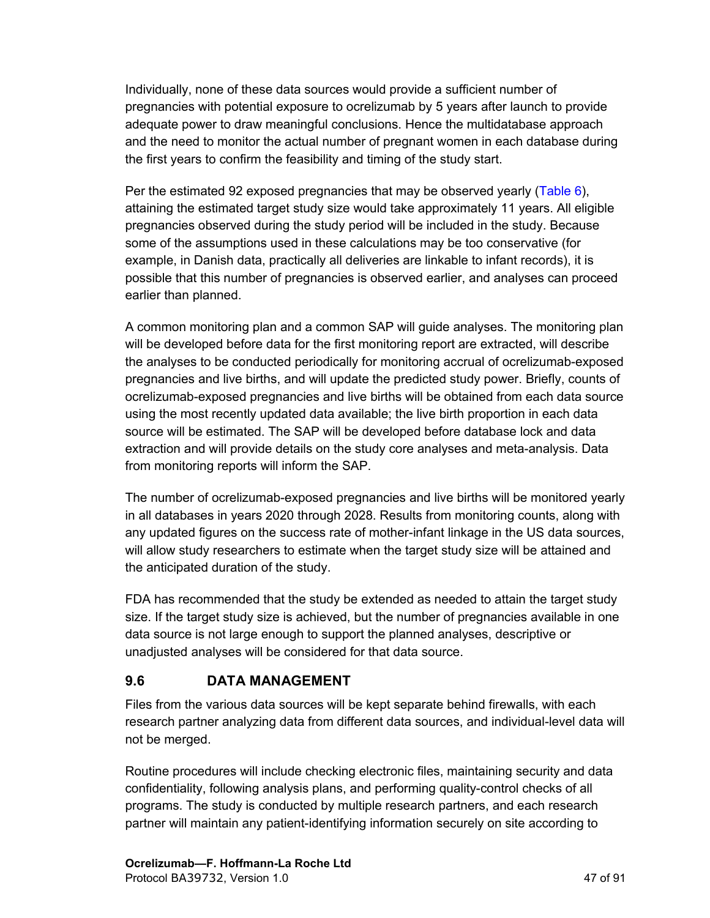Individually, none of these data sources would provide a sufficient number of pregnancies with potential exposure to ocrelizumab by 5 years after launch to provide adequate power to draw meaningful conclusions. Hence the multidatabase approach and the need to monitor the actual number of pregnant women in each database during the first years to confirm the feasibility and timing of the study start.

Per the estimated 92 exposed pregnancies that may be observed yearly [\(Table](#page-45-0) 6), attaining the estimated target study size would take approximately 11 years. All eligible pregnancies observed during the study period will be included in the study. Because some of the assumptions used in these calculations may be too conservative (for example, in Danish data, practically all deliveries are linkable to infant records), it is possible that this number of pregnancies is observed earlier, and analyses can proceed earlier than planned.

A common monitoring plan and a common SAP will guide analyses. The monitoring plan will be developed before data for the first monitoring report are extracted, will describe the analyses to be conducted periodically for monitoring accrual of ocrelizumab-exposed pregnancies and live births, and will update the predicted study power. Briefly, counts of ocrelizumab-exposed pregnancies and live births will be obtained from each data source using the most recently updated data available; the live birth proportion in each data source will be estimated. The SAP will be developed before database lock and data extraction and will provide details on the study core analyses and meta-analysis. Data from monitoring reports will inform the SAP.

The number of ocrelizumab-exposed pregnancies and live births will be monitored yearly in all databases in years 2020 through 2028. Results from monitoring counts, along with any updated figures on the success rate of mother-infant linkage in the US data sources, will allow study researchers to estimate when the target study size will be attained and the anticipated duration of the study.

FDA has recommended that the study be extended as needed to attain the target study size. If the target study size is achieved, but the number of pregnancies available in one data source is not large enough to support the planned analyses, descriptive or unadjusted analyses will be considered for that data source.

# **9.6 DATA MANAGEMENT**

Files from the various data sources will be kept separate behind firewalls, with each research partner analyzing data from different data sources, and individual-level data will not be merged.

Routine procedures will include checking electronic files, maintaining security and data confidentiality, following analysis plans, and performing quality-control checks of all programs. The study is conducted by multiple research partners, and each research partner will maintain any patient-identifying information securely on site according to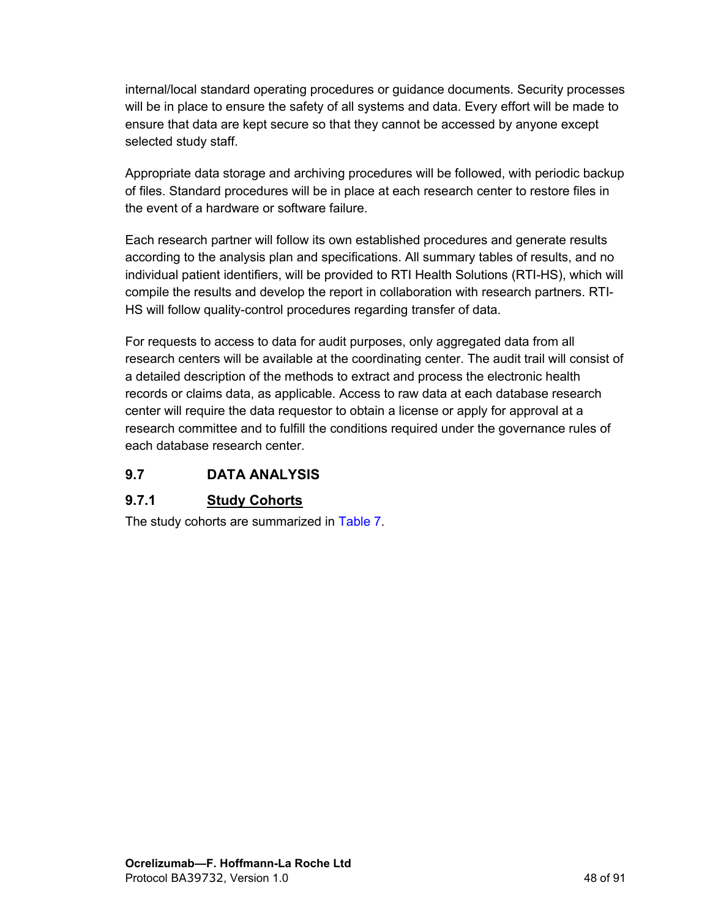internal/local standard operating procedures or guidance documents. Security processes will be in place to ensure the safety of all systems and data. Every effort will be made to ensure that data are kept secure so that they cannot be accessed by anyone except selected study staff.

Appropriate data storage and archiving procedures will be followed, with periodic backup of files. Standard procedures will be in place at each research center to restore files in the event of a hardware or software failure.

Each research partner will follow its own established procedures and generate results according to the analysis plan and specifications. All summary tables of results, and no individual patient identifiers, will be provided to RTI Health Solutions (RTI-HS), which will compile the results and develop the report in collaboration with research partners. RTI-HS will follow quality-control procedures regarding transfer of data.

For requests to access to data for audit purposes, only aggregated data from all research centers will be available at the coordinating center. The audit trail will consist of a detailed description of the methods to extract and process the electronic health records or claims data, as applicable. Access to raw data at each database research center will require the data requestor to obtain a license or apply for approval at a research committee and to fulfill the conditions required under the governance rules of each database research center.

#### **9.7 DATA ANALYSIS**

#### **9.7.1 Study Cohorts**

The study cohorts are summarized in [Table](#page-48-0) 7.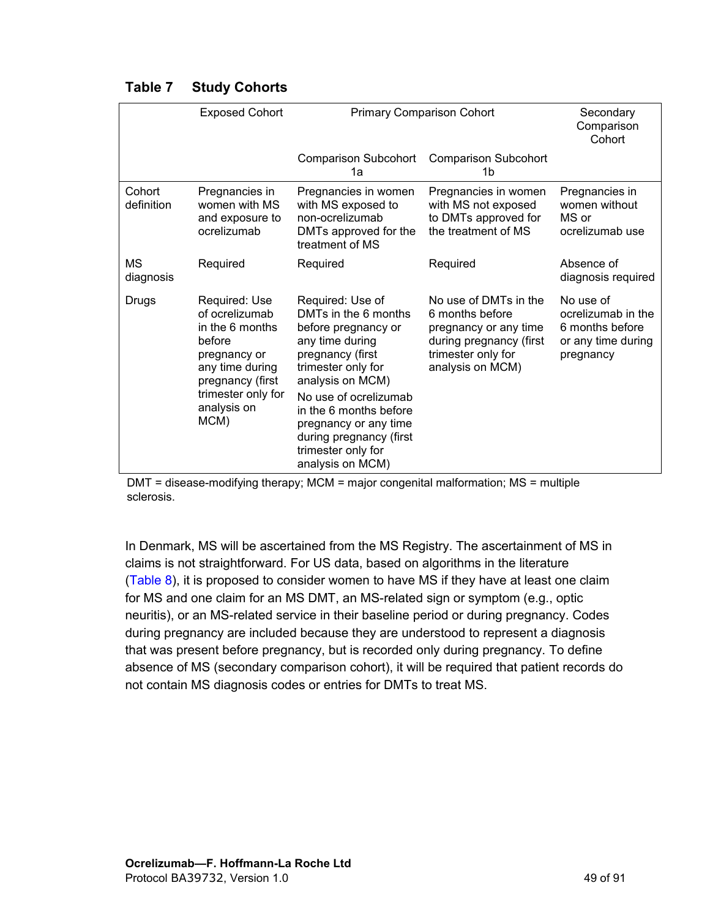|                      | <b>Exposed Cohort</b>                                                                                                                                            | <b>Primary Comparison Cohort</b>                                                                                                                                                                                                                                                                  |                                                                                                                                        |                                                                                       |  | Secondary<br>Comparison<br>Cohort |
|----------------------|------------------------------------------------------------------------------------------------------------------------------------------------------------------|---------------------------------------------------------------------------------------------------------------------------------------------------------------------------------------------------------------------------------------------------------------------------------------------------|----------------------------------------------------------------------------------------------------------------------------------------|---------------------------------------------------------------------------------------|--|-----------------------------------|
|                      |                                                                                                                                                                  | <b>Comparison Subcohort</b><br>1a                                                                                                                                                                                                                                                                 | <b>Comparison Subcohort</b><br>1b                                                                                                      |                                                                                       |  |                                   |
| Cohort<br>definition | Pregnancies in<br>women with MS<br>and exposure to<br>ocrelizumab                                                                                                | Pregnancies in women<br>with MS exposed to<br>non-ocrelizumab<br>DMTs approved for the<br>treatment of MS                                                                                                                                                                                         | Pregnancies in women<br>with MS not exposed<br>to DMTs approved for<br>the treatment of MS                                             | Pregnancies in<br>women without<br>MS or<br>ocrelizumab use                           |  |                                   |
| MS<br>diagnosis      | Required                                                                                                                                                         | Required                                                                                                                                                                                                                                                                                          | Required                                                                                                                               | Absence of<br>diagnosis required                                                      |  |                                   |
| Drugs                | Required: Use<br>of ocrelizumab<br>in the 6 months<br>before<br>pregnancy or<br>any time during<br>pregnancy (first<br>trimester only for<br>analysis on<br>MCM) | Required: Use of<br>DMTs in the 6 months<br>before pregnancy or<br>any time during<br>pregnancy (first<br>trimester only for<br>analysis on MCM)<br>No use of ocrelizumab<br>in the 6 months before<br>pregnancy or any time<br>during pregnancy (first<br>trimester only for<br>analysis on MCM) | No use of DMTs in the<br>6 months before<br>pregnancy or any time<br>during pregnancy (first<br>trimester only for<br>analysis on MCM) | No use of<br>ocrelizumab in the<br>6 months before<br>or any time during<br>pregnancy |  |                                   |

#### <span id="page-48-0"></span>**Table 7 Study Cohorts**

DMT = disease-modifying therapy; MCM = major congenital malformation; MS = multiple sclerosis.

In Denmark, MS will be ascertained from the MS Registry. The ascertainment of MS in claims is not straightforward. For US data, based on algorithms in the literature ([Table](#page-49-0) 8), it is proposed to consider women to have MS if they have at least one claim for MS and one claim for an MS DMT, an MS-related sign or symptom (e.g., optic neuritis), or an MS-related service in their baseline period or during pregnancy. Codes during pregnancy are included because they are understood to represent a diagnosis that was present before pregnancy, but is recorded only during pregnancy. To define absence of MS (secondary comparison cohort), it will be required that patient records do not contain MS diagnosis codes or entries for DMTs to treat MS.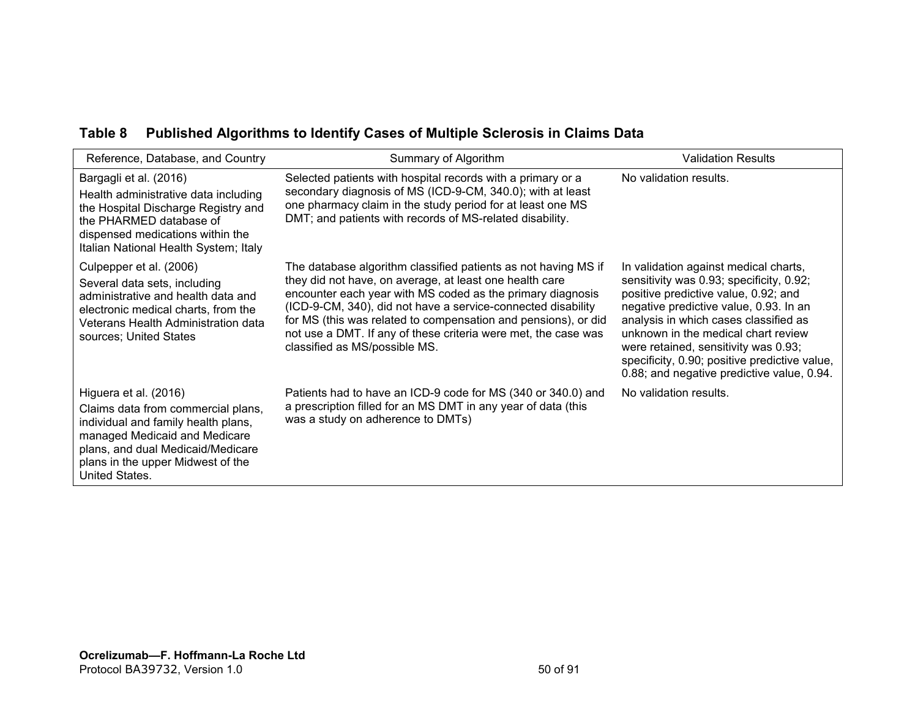### **Table 8 Published Algorithms to Identify Cases of Multiple Sclerosis in Claims Data**

<span id="page-49-0"></span>

| Reference, Database, and Country                                                                                                                                                                                                | Summary of Algorithm                                                                                                                                                                                                                                                                                                                                                                                                         | <b>Validation Results</b>                                                                                                                                                                                                                                                                                                                                                                  |
|---------------------------------------------------------------------------------------------------------------------------------------------------------------------------------------------------------------------------------|------------------------------------------------------------------------------------------------------------------------------------------------------------------------------------------------------------------------------------------------------------------------------------------------------------------------------------------------------------------------------------------------------------------------------|--------------------------------------------------------------------------------------------------------------------------------------------------------------------------------------------------------------------------------------------------------------------------------------------------------------------------------------------------------------------------------------------|
| Bargagli et al. (2016)<br>Health administrative data including<br>the Hospital Discharge Registry and<br>the PHARMED database of<br>dispensed medications within the<br>Italian National Health System; Italy                   | Selected patients with hospital records with a primary or a<br>secondary diagnosis of MS (ICD-9-CM, 340.0); with at least<br>one pharmacy claim in the study period for at least one MS<br>DMT; and patients with records of MS-related disability.                                                                                                                                                                          | No validation results.                                                                                                                                                                                                                                                                                                                                                                     |
| Culpepper et al. (2006)<br>Several data sets, including<br>administrative and health data and<br>electronic medical charts, from the<br>Veterans Health Administration data<br>sources; United States                           | The database algorithm classified patients as not having MS if<br>they did not have, on average, at least one health care<br>encounter each year with MS coded as the primary diagnosis<br>(ICD-9-CM, 340), did not have a service-connected disability<br>for MS (this was related to compensation and pensions), or did<br>not use a DMT. If any of these criteria were met, the case was<br>classified as MS/possible MS. | In validation against medical charts,<br>sensitivity was 0.93; specificity, 0.92;<br>positive predictive value, 0.92; and<br>negative predictive value, 0.93. In an<br>analysis in which cases classified as<br>unknown in the medical chart review<br>were retained, sensitivity was 0.93;<br>specificity, 0.90; positive predictive value,<br>0.88; and negative predictive value, 0.94. |
| Higuera et al. (2016)<br>Claims data from commercial plans,<br>individual and family health plans,<br>managed Medicaid and Medicare<br>plans, and dual Medicaid/Medicare<br>plans in the upper Midwest of the<br>United States. | Patients had to have an ICD-9 code for MS (340 or 340.0) and<br>a prescription filled for an MS DMT in any year of data (this<br>was a study on adherence to DMTs)                                                                                                                                                                                                                                                           | No validation results.                                                                                                                                                                                                                                                                                                                                                                     |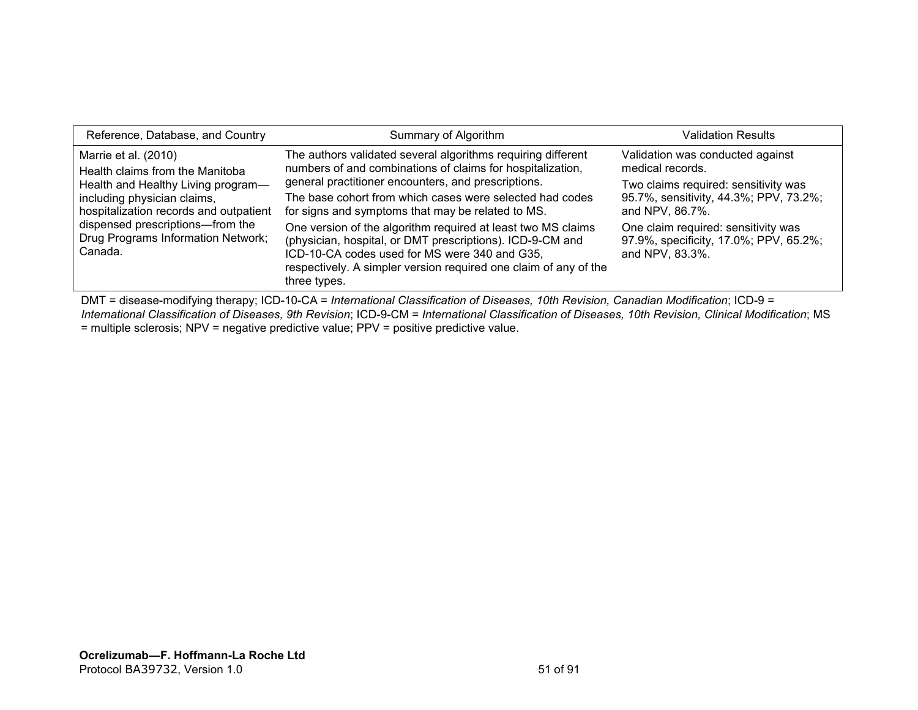| Reference, Database, and Country                                                  | Summary of Algorithm                                                                                                                                                                                                                                           | Validation Results                                                                               |
|-----------------------------------------------------------------------------------|----------------------------------------------------------------------------------------------------------------------------------------------------------------------------------------------------------------------------------------------------------------|--------------------------------------------------------------------------------------------------|
| Marrie et al. (2010)<br>Health claims from the Manitoba                           | The authors validated several algorithms requiring different<br>numbers of and combinations of claims for hospitalization,                                                                                                                                     | Validation was conducted against<br>medical records.                                             |
| Health and Healthy Living program-                                                | general practitioner encounters, and prescriptions.                                                                                                                                                                                                            | Two claims required: sensitivity was                                                             |
| including physician claims,<br>hospitalization records and outpatient             | The base cohort from which cases were selected had codes<br>for signs and symptoms that may be related to MS.                                                                                                                                                  | 95.7%, sensitivity, 44.3%; PPV, 73.2%;<br>and NPV, 86.7%.                                        |
| dispensed prescriptions-from the<br>Drug Programs Information Network;<br>Canada. | One version of the algorithm required at least two MS claims<br>(physician, hospital, or DMT prescriptions). ICD-9-CM and<br>ICD-10-CA codes used for MS were 340 and G35,<br>respectively. A simpler version required one claim of any of the<br>three types. | One claim required: sensitivity was<br>97.9%, specificity, 17.0%; PPV, 65.2%;<br>and NPV, 83.3%. |

DMT = disease-modifying therapy; ICD-10-CA = *International Classification of Diseases, 10th Revision, Canadian Modification*; ICD-9 = *International Classification of Diseases, 9th Revision*; ICD-9-CM = *International Classification of Diseases, 10th Revision, Clinical Modification*; MS = multiple sclerosis; NPV = negative predictive value; PPV = positive predictive value.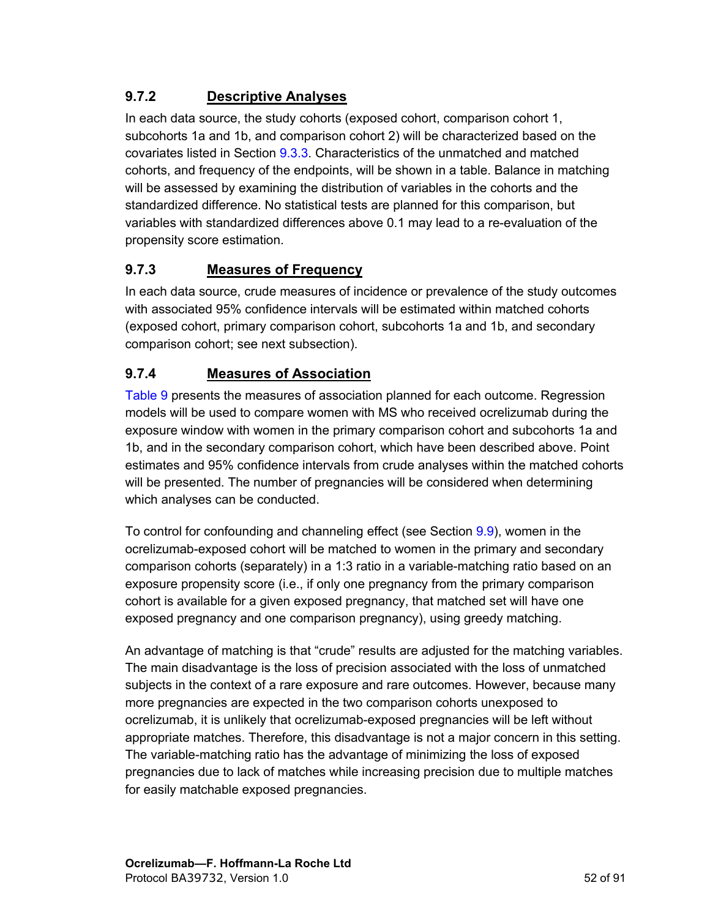# **9.7.2 Descriptive Analyses**

In each data source, the study cohorts (exposed cohort, comparison cohort 1, subcohorts 1a and 1b, and comparison cohort 2) will be characterized based on the covariates listed in Section [9.3.3.](#page-31-0) Characteristics of the unmatched and matched cohorts, and frequency of the endpoints, will be shown in a table. Balance in matching will be assessed by examining the distribution of variables in the cohorts and the standardized difference. No statistical tests are planned for this comparison, but variables with standardized differences above 0.1 may lead to a re-evaluation of the propensity score estimation.

### **9.7.3 Measures of Frequency**

In each data source, crude measures of incidence or prevalence of the study outcomes with associated 95% confidence intervals will be estimated within matched cohorts (exposed cohort, primary comparison cohort, subcohorts 1a and 1b, and secondary comparison cohort; see next subsection).

### **9.7.4 Measures of Association**

[Table 9](#page-54-0) presents the measures of association planned for each outcome. Regression models will be used to compare women with MS who received ocrelizumab during the exposure window with women in the primary comparison cohort and subcohorts 1a and 1b, and in the secondary comparison cohort, which have been described above. Point estimates and 95% confidence intervals from crude analyses within the matched cohorts will be presented. The number of pregnancies will be considered when determining which analyses can be conducted.

To control for confounding and channeling effect (see Section [9.9](#page-58-0)), women in the ocrelizumab-exposed cohort will be matched to women in the primary and secondary comparison cohorts (separately) in a 1:3 ratio in a variable-matching ratio based on an exposure propensity score (i.e., if only one pregnancy from the primary comparison cohort is available for a given exposed pregnancy, that matched set will have one exposed pregnancy and one comparison pregnancy), using greedy matching.

An advantage of matching is that "crude" results are adjusted for the matching variables. The main disadvantage is the loss of precision associated with the loss of unmatched subjects in the context of a rare exposure and rare outcomes. However, because many more pregnancies are expected in the two comparison cohorts unexposed to ocrelizumab, it is unlikely that ocrelizumab-exposed pregnancies will be left without appropriate matches. Therefore, this disadvantage is not a major concern in this setting. The variable-matching ratio has the advantage of minimizing the loss of exposed pregnancies due to lack of matches while increasing precision due to multiple matches for easily matchable exposed pregnancies.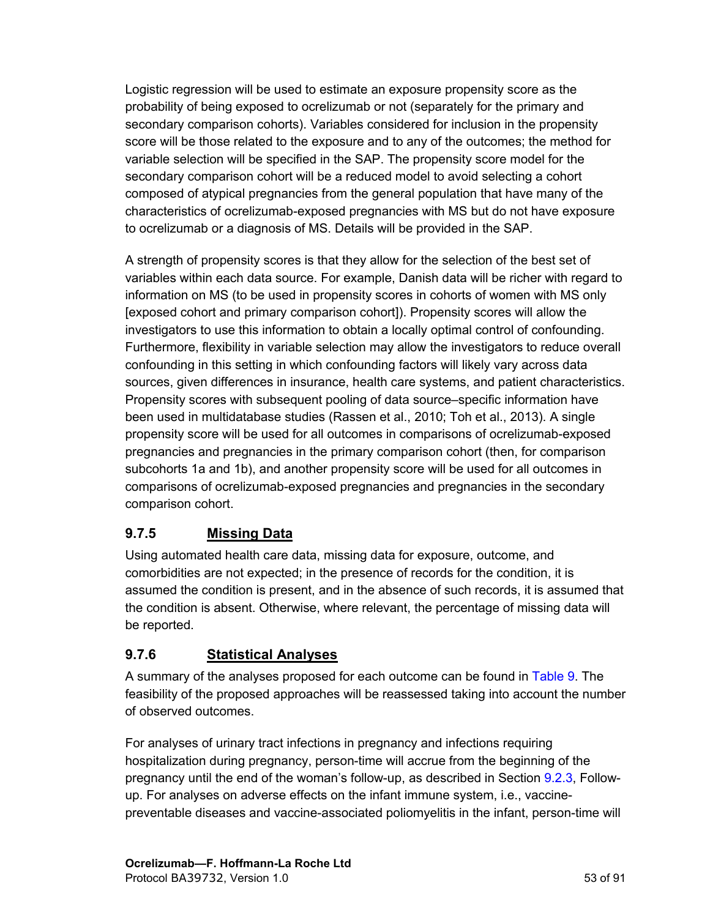Logistic regression will be used to estimate an exposure propensity score as the probability of being exposed to ocrelizumab or not (separately for the primary and secondary comparison cohorts). Variables considered for inclusion in the propensity score will be those related to the exposure and to any of the outcomes; the method for variable selection will be specified in the SAP. The propensity score model for the secondary comparison cohort will be a reduced model to avoid selecting a cohort composed of atypical pregnancies from the general population that have many of the characteristics of ocrelizumab-exposed pregnancies with MS but do not have exposure to ocrelizumab or a diagnosis of MS. Details will be provided in the SAP.

A strength of propensity scores is that they allow for the selection of the best set of variables within each data source. For example, Danish data will be richer with regard to information on MS (to be used in propensity scores in cohorts of women with MS only [exposed cohort and primary comparison cohort]). Propensity scores will allow the investigators to use this information to obtain a locally optimal control of confounding. Furthermore, flexibility in variable selection may allow the investigators to reduce overall confounding in this setting in which confounding factors will likely vary across data sources, given differences in insurance, health care systems, and patient characteristics. Propensity scores with subsequent pooling of data source–specific information have been used in multidatabase studies (Rassen et al., 2010; Toh et al., 2013). A single propensity score will be used for all outcomes in comparisons of ocrelizumab-exposed pregnancies and pregnancies in the primary comparison cohort (then, for comparison subcohorts 1a and 1b), and another propensity score will be used for all outcomes in comparisons of ocrelizumab-exposed pregnancies and pregnancies in the secondary comparison cohort.

# **9.7.5 Missing Data**

Using automated health care data, missing data for exposure, outcome, and comorbidities are not expected; in the presence of records for the condition, it is assumed the condition is present, and in the absence of such records, it is assumed that the condition is absent. Otherwise, where relevant, the percentage of missing data will be reported.

# **9.7.6 Statistical Analyses**

A summary of the analyses proposed for each outcome can be found in [Table](#page-54-0) 9. The feasibility of the proposed approaches will be reassessed taking into account the number of observed outcomes.

For analyses of urinary tract infections in pregnancy and infections requiring hospitalization during pregnancy, person-time will accrue from the beginning of the pregnancy until the end of the woman's follow-up, as described in Section [9.2.3](#page-26-0), Followup. For analyses on adverse effects on the infant immune system, i.e., vaccinepreventable diseases and vaccine-associated poliomyelitis in the infant, person-time will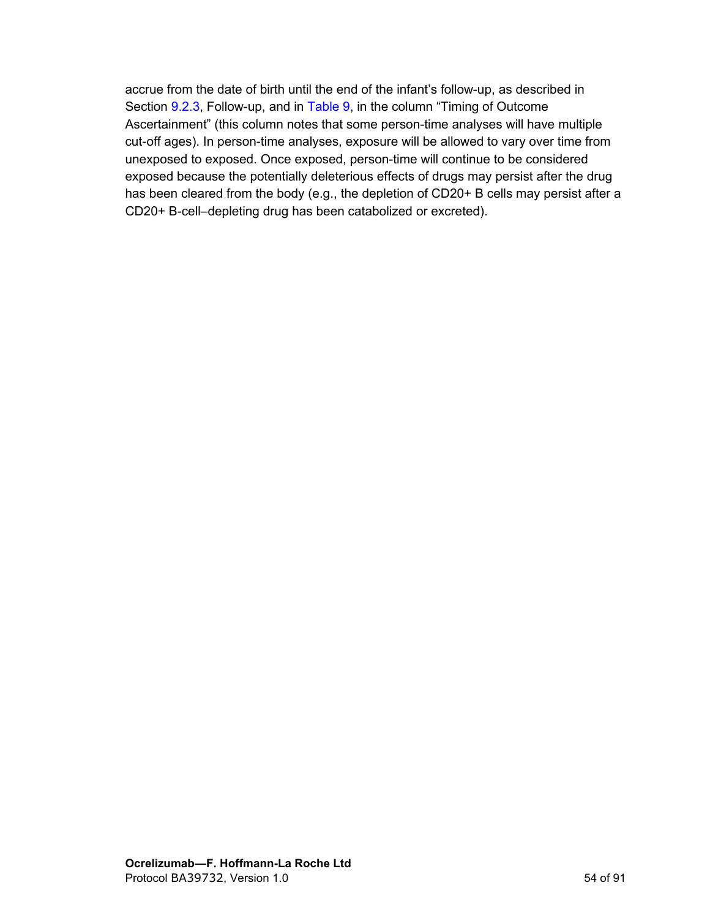accrue from the date of birth until the end of the infant's follow-up, as described in Section [9.2.3](#page-26-0), Follow-up, and in [Table 9,](#page-54-1) in the column "Timing of Outcome Ascertainment" (this column notes that some person-time analyses will have multiple cut-off ages). In person-time analyses, exposure will be allowed to vary over time from unexposed to exposed. Once exposed, person-time will continue to be considered exposed because the potentially deleterious effects of drugs may persist after the drug has been cleared from the body (e.g., the depletion of CD20+ B cells may persist after a CD20+ B-cell–depleting drug has been catabolized or excreted).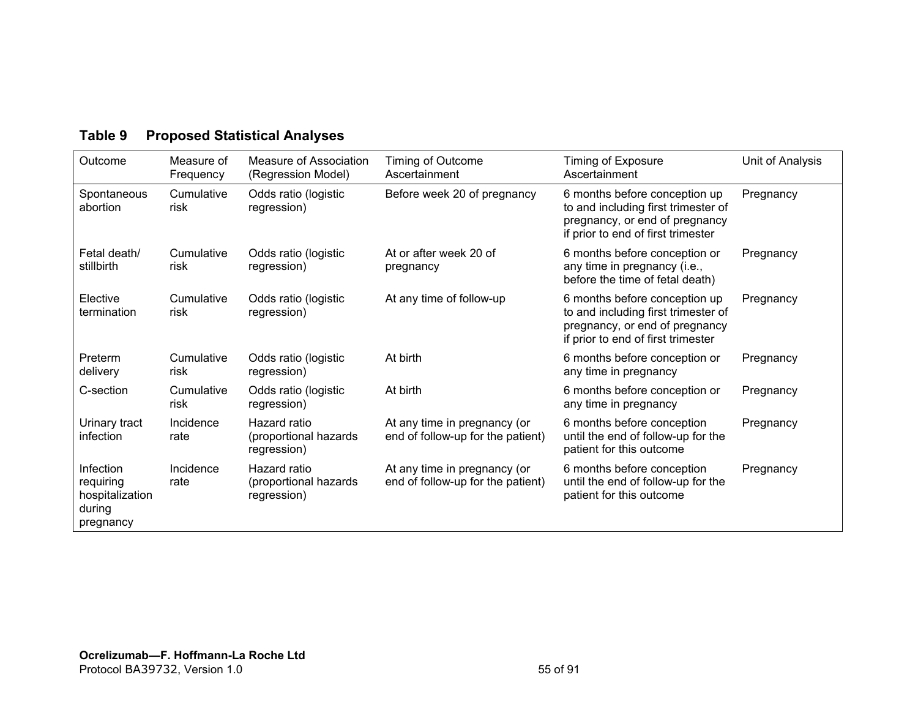<span id="page-54-0"></span>

| Outcome                                                          | Measure of<br>Frequency | Measure of Association<br>(Regression Model)         | Timing of Outcome<br>Ascertainment                                | Timing of Exposure<br>Ascertainment                                                                                                          | Unit of Analysis |
|------------------------------------------------------------------|-------------------------|------------------------------------------------------|-------------------------------------------------------------------|----------------------------------------------------------------------------------------------------------------------------------------------|------------------|
| Spontaneous<br>abortion                                          | Cumulative<br>risk      | Odds ratio (logistic<br>regression)                  | Before week 20 of pregnancy                                       | 6 months before conception up<br>to and including first trimester of<br>pregnancy, or end of pregnancy<br>if prior to end of first trimester | Pregnancy        |
| Fetal death/<br>stillbirth                                       | Cumulative<br>risk      | Odds ratio (logistic<br>regression)                  | At or after week 20 of<br>pregnancy                               | 6 months before conception or<br>any time in pregnancy (i.e.,<br>before the time of fetal death)                                             | Pregnancy        |
| Elective<br>termination                                          | Cumulative<br>risk      | Odds ratio (logistic<br>regression)                  | At any time of follow-up                                          | 6 months before conception up<br>to and including first trimester of<br>pregnancy, or end of pregnancy<br>if prior to end of first trimester | Pregnancy        |
| Preterm<br>delivery                                              | Cumulative<br>risk      | Odds ratio (logistic<br>regression)                  | At birth                                                          | 6 months before conception or<br>any time in pregnancy                                                                                       | Pregnancy        |
| C-section                                                        | Cumulative<br>risk      | Odds ratio (logistic<br>regression)                  | At birth                                                          | 6 months before conception or<br>any time in pregnancy                                                                                       | Pregnancy        |
| Urinary tract<br>infection                                       | Incidence<br>rate       | Hazard ratio<br>(proportional hazards<br>regression) | At any time in pregnancy (or<br>end of follow-up for the patient) | 6 months before conception<br>until the end of follow-up for the<br>patient for this outcome                                                 | Pregnancy        |
| Infection<br>requiring<br>hospitalization<br>during<br>pregnancy | Incidence<br>rate       | Hazard ratio<br>(proportional hazards<br>regression) | At any time in pregnancy (or<br>end of follow-up for the patient) | 6 months before conception<br>until the end of follow-up for the<br>patient for this outcome                                                 | Pregnancy        |

# <span id="page-54-1"></span>**Table 9 Proposed Statistical Analyses**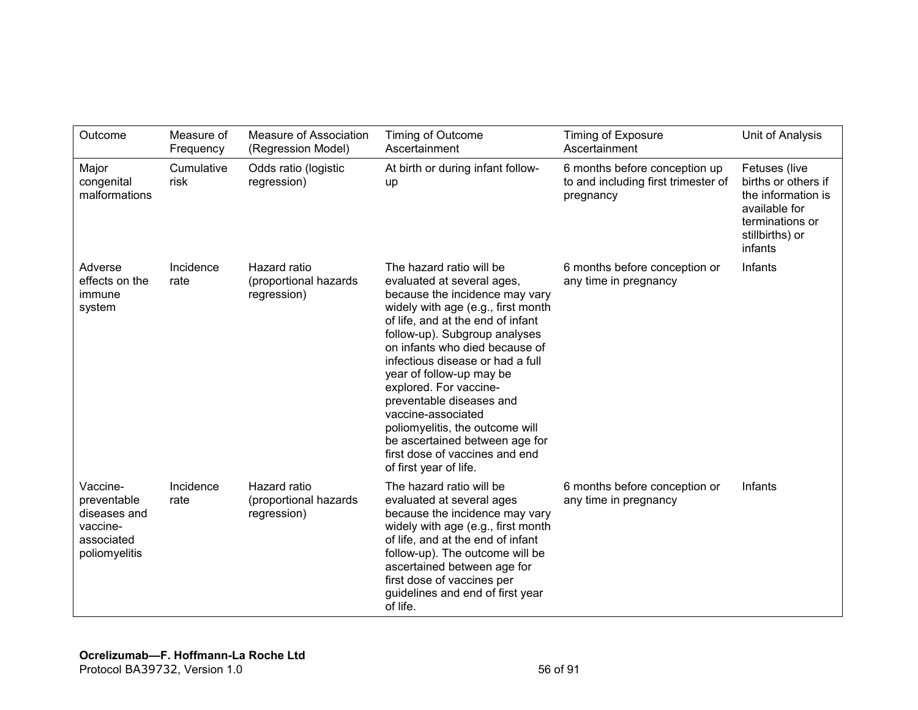| Outcome                                                                            | Measure of<br>Frequency | Measure of Association<br>(Regression Model)         | Timing of Outcome<br>Ascertainment                                                                                                                                                                                                                                                                                                                                                                                                                                                                                  | <b>Timing of Exposure</b><br>Ascertainment                                        | Unit of Analysis                                                                                                             |
|------------------------------------------------------------------------------------|-------------------------|------------------------------------------------------|---------------------------------------------------------------------------------------------------------------------------------------------------------------------------------------------------------------------------------------------------------------------------------------------------------------------------------------------------------------------------------------------------------------------------------------------------------------------------------------------------------------------|-----------------------------------------------------------------------------------|------------------------------------------------------------------------------------------------------------------------------|
| Major<br>congenital<br>malformations                                               | Cumulative<br>risk      | Odds ratio (logistic<br>regression)                  | At birth or during infant follow-<br>up                                                                                                                                                                                                                                                                                                                                                                                                                                                                             | 6 months before conception up<br>to and including first trimester of<br>pregnancy | Fetuses (live<br>births or others if<br>the information is<br>available for<br>terminations or<br>stillbirths) or<br>infants |
| Adverse<br>effects on the<br>immune<br>system                                      | Incidence<br>rate       | Hazard ratio<br>(proportional hazards<br>regression) | The hazard ratio will be<br>evaluated at several ages,<br>because the incidence may vary<br>widely with age (e.g., first month<br>of life, and at the end of infant<br>follow-up). Subgroup analyses<br>on infants who died because of<br>infectious disease or had a full<br>year of follow-up may be<br>explored. For vaccine-<br>preventable diseases and<br>vaccine-associated<br>poliomyelitis, the outcome will<br>be ascertained between age for<br>first dose of vaccines and end<br>of first year of life. | 6 months before conception or<br>any time in pregnancy                            | Infants                                                                                                                      |
| Vaccine-<br>preventable<br>diseases and<br>vaccine-<br>associated<br>poliomyelitis | Incidence<br>rate       | Hazard ratio<br>(proportional hazards<br>regression) | The hazard ratio will be<br>evaluated at several ages<br>because the incidence may vary<br>widely with age (e.g., first month<br>of life, and at the end of infant<br>follow-up). The outcome will be<br>ascertained between age for<br>first dose of vaccines per<br>guidelines and end of first year<br>of life.                                                                                                                                                                                                  | 6 months before conception or<br>any time in pregnancy                            | Infants                                                                                                                      |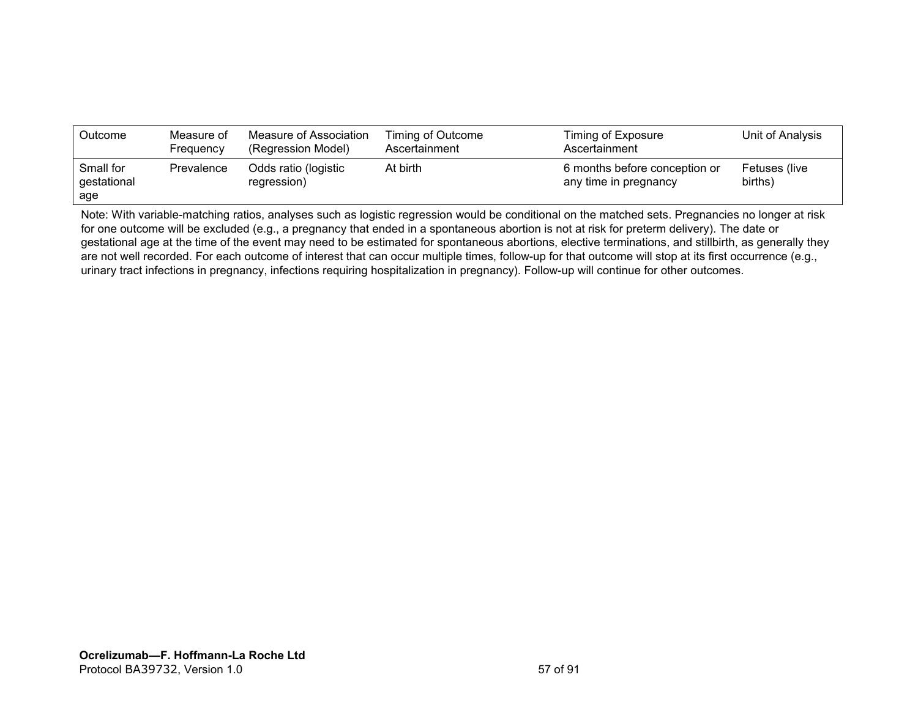| Outcome                         | Measure of<br>Frequency | Measure of Association<br>(Regression Model) | Timing of Outcome<br>Ascertainment | Timing of Exposure<br>Ascertainment                    | Unit of Analysis         |
|---------------------------------|-------------------------|----------------------------------------------|------------------------------------|--------------------------------------------------------|--------------------------|
| Small for<br>gestational<br>age | Prevalence              | Odds ratio (logistic<br>regression)          | At birth                           | 6 months before conception or<br>any time in pregnancy | Fetuses (live<br>births) |

Note: With variable-matching ratios, analyses such as logistic regression would be conditional on the matched sets. Pregnancies no longer at risk for one outcome will be excluded (e.g., a pregnancy that ended in a spontaneous abortion is not at risk for preterm delivery). The date or gestational age at the time of the event may need to be estimated for spontaneous abortions, elective terminations, and stillbirth, as generally they are not well recorded. For each outcome of interest that can occur multiple times, follow-up for that outcome will stop at its first occurrence (e.g., urinary tract infections in pregnancy, infections requiring hospitalization in pregnancy). Follow-up will continue for other outcomes.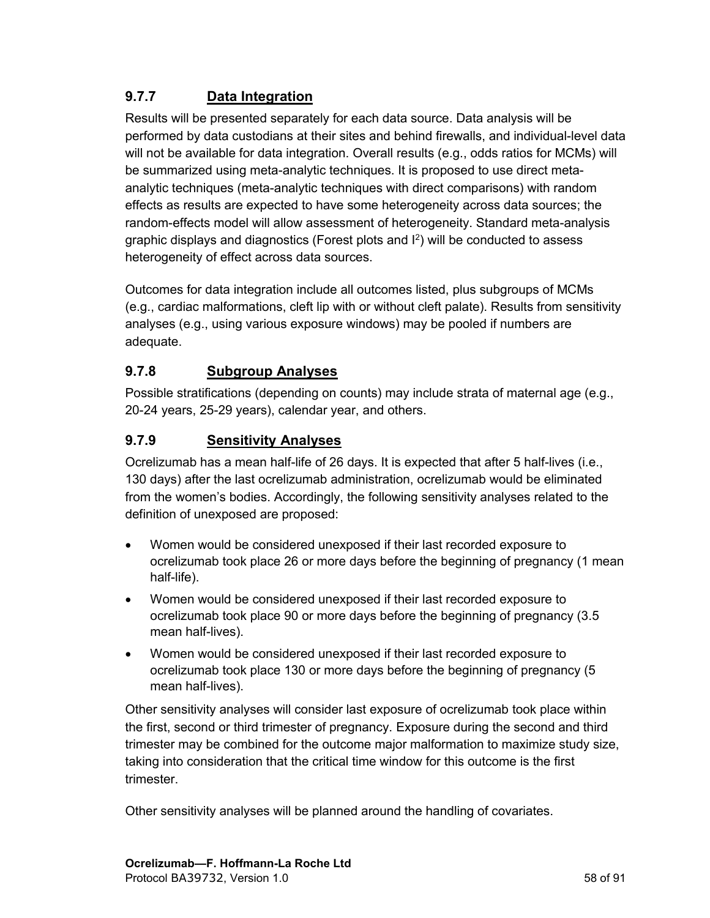# **9.7.7 Data Integration**

Results will be presented separately for each data source. Data analysis will be performed by data custodians at their sites and behind firewalls, and individual-level data will not be available for data integration. Overall results (e.g., odds ratios for MCMs) will be summarized using meta-analytic techniques. It is proposed to use direct metaanalytic techniques (meta-analytic techniques with direct comparisons) with random effects as results are expected to have some heterogeneity across data sources; the random-effects model will allow assessment of heterogeneity. Standard meta-analysis graphic displays and diagnostics (Forest plots and  $I^2$ ) will be conducted to assess heterogeneity of effect across data sources.

Outcomes for data integration include all outcomes listed, plus subgroups of MCMs (e.g., cardiac malformations, cleft lip with or without cleft palate). Results from sensitivity analyses (e.g., using various exposure windows) may be pooled if numbers are adequate.

### **9.7.8 Subgroup Analyses**

Possible stratifications (depending on counts) may include strata of maternal age (e.g., 20-24 years, 25-29 years), calendar year, and others.

### **9.7.9 Sensitivity Analyses**

Ocrelizumab has a mean half-life of 26 days. It is expected that after 5 half-lives (i.e., 130 days) after the last ocrelizumab administration, ocrelizumab would be eliminated from the women's bodies. Accordingly, the following sensitivity analyses related to the definition of unexposed are proposed:

- Women would be considered unexposed if their last recorded exposure to ocrelizumab took place 26 or more days before the beginning of pregnancy (1 mean half-life).
- Women would be considered unexposed if their last recorded exposure to ocrelizumab took place 90 or more days before the beginning of pregnancy (3.5 mean half-lives).
- Women would be considered unexposed if their last recorded exposure to ocrelizumab took place 130 or more days before the beginning of pregnancy (5 mean half-lives).

Other sensitivity analyses will consider last exposure of ocrelizumab took place within the first, second or third trimester of pregnancy. Exposure during the second and third trimester may be combined for the outcome major malformation to maximize study size, taking into consideration that the critical time window for this outcome is the first trimester.

Other sensitivity analyses will be planned around the handling of covariates.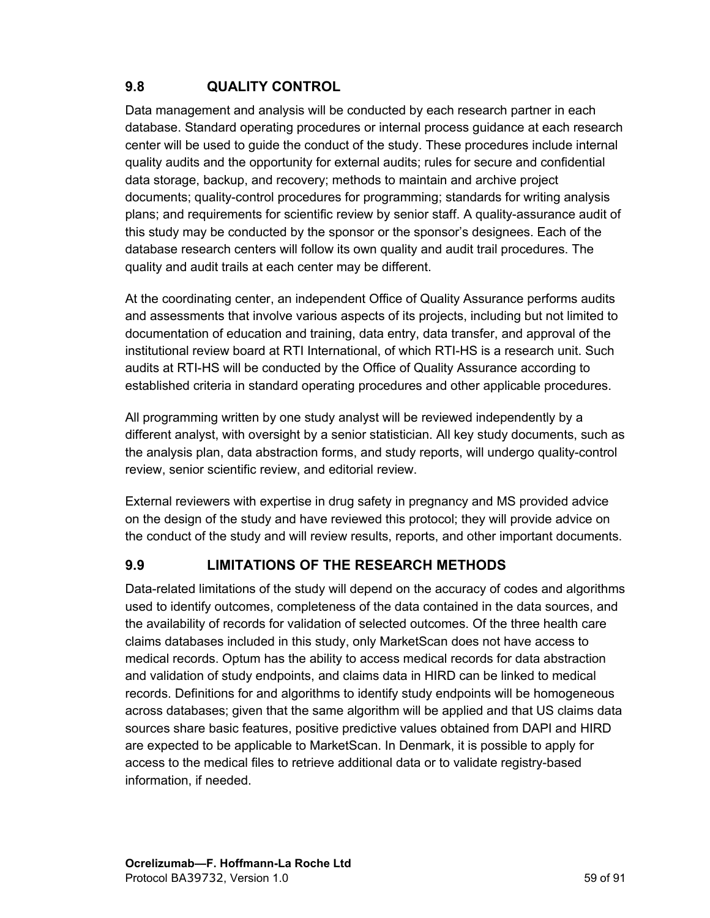# <span id="page-58-0"></span>**9.8 QUALITY CONTROL**

Data management and analysis will be conducted by each research partner in each database. Standard operating procedures or internal process guidance at each research center will be used to guide the conduct of the study. These procedures include internal quality audits and the opportunity for external audits; rules for secure and confidential data storage, backup, and recovery; methods to maintain and archive project documents; quality-control procedures for programming; standards for writing analysis plans; and requirements for scientific review by senior staff. A quality-assurance audit of this study may be conducted by the sponsor or the sponsor's designees. Each of the database research centers will follow its own quality and audit trail procedures. The quality and audit trails at each center may be different.

At the coordinating center, an independent Office of Quality Assurance performs audits and assessments that involve various aspects of its projects, including but not limited to documentation of education and training, data entry, data transfer, and approval of the institutional review board at RTI International, of which RTI-HS is a research unit. Such audits at RTI-HS will be conducted by the Office of Quality Assurance according to established criteria in standard operating procedures and other applicable procedures.

All programming written by one study analyst will be reviewed independently by a different analyst, with oversight by a senior statistician. All key study documents, such as the analysis plan, data abstraction forms, and study reports, will undergo quality-control review, senior scientific review, and editorial review.

External reviewers with expertise in drug safety in pregnancy and MS provided advice on the design of the study and have reviewed this protocol; they will provide advice on the conduct of the study and will review results, reports, and other important documents.

#### **9.9 LIMITATIONS OF THE RESEARCH METHODS**

Data-related limitations of the study will depend on the accuracy of codes and algorithms used to identify outcomes, completeness of the data contained in the data sources, and the availability of records for validation of selected outcomes. Of the three health care claims databases included in this study, only MarketScan does not have access to medical records. Optum has the ability to access medical records for data abstraction and validation of study endpoints, and claims data in HIRD can be linked to medical records. Definitions for and algorithms to identify study endpoints will be homogeneous across databases; given that the same algorithm will be applied and that US claims data sources share basic features, positive predictive values obtained from DAPI and HIRD are expected to be applicable to MarketScan. In Denmark, it is possible to apply for access to the medical files to retrieve additional data or to validate registry-based information, if needed.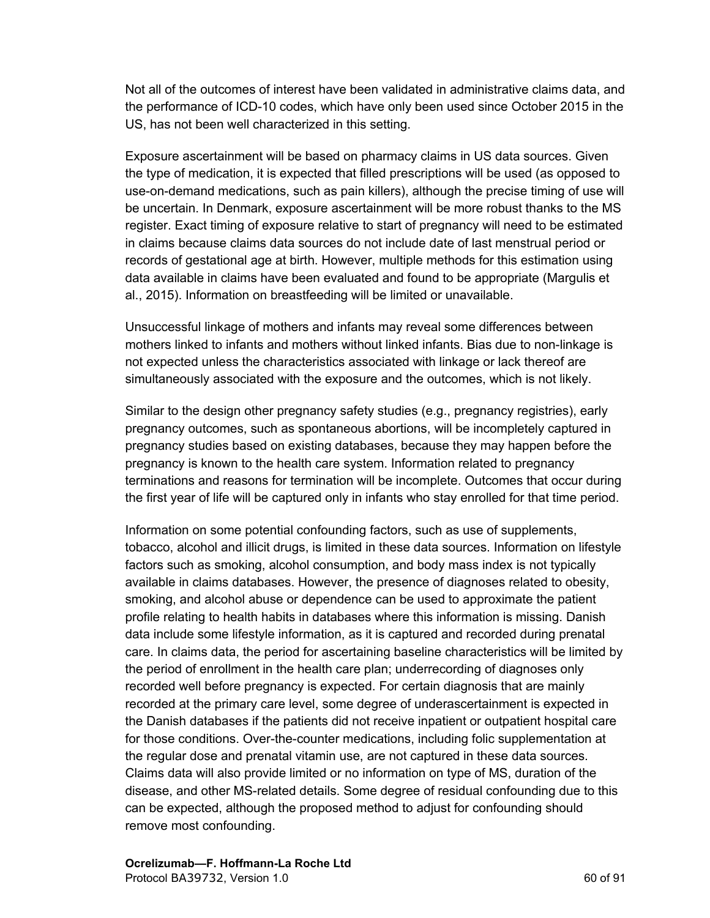Not all of the outcomes of interest have been validated in administrative claims data, and the performance of ICD-10 codes, which have only been used since October 2015 in the US, has not been well characterized in this setting.

Exposure ascertainment will be based on pharmacy claims in US data sources. Given the type of medication, it is expected that filled prescriptions will be used (as opposed to use-on-demand medications, such as pain killers), although the precise timing of use will be uncertain. In Denmark, exposure ascertainment will be more robust thanks to the MS register. Exact timing of exposure relative to start of pregnancy will need to be estimated in claims because claims data sources do not include date of last menstrual period or records of gestational age at birth. However, multiple methods for this estimation using data available in claims have been evaluated and found to be appropriate (Margulis et al., 2015). Information on breastfeeding will be limited or unavailable.

Unsuccessful linkage of mothers and infants may reveal some differences between mothers linked to infants and mothers without linked infants. Bias due to non-linkage is not expected unless the characteristics associated with linkage or lack thereof are simultaneously associated with the exposure and the outcomes, which is not likely.

Similar to the design other pregnancy safety studies (e.g., pregnancy registries), early pregnancy outcomes, such as spontaneous abortions, will be incompletely captured in pregnancy studies based on existing databases, because they may happen before the pregnancy is known to the health care system. Information related to pregnancy terminations and reasons for termination will be incomplete. Outcomes that occur during the first year of life will be captured only in infants who stay enrolled for that time period.

Information on some potential confounding factors, such as use of supplements, tobacco, alcohol and illicit drugs, is limited in these data sources. Information on lifestyle factors such as smoking, alcohol consumption, and body mass index is not typically available in claims databases. However, the presence of diagnoses related to obesity, smoking, and alcohol abuse or dependence can be used to approximate the patient profile relating to health habits in databases where this information is missing. Danish data include some lifestyle information, as it is captured and recorded during prenatal care. In claims data, the period for ascertaining baseline characteristics will be limited by the period of enrollment in the health care plan; underrecording of diagnoses only recorded well before pregnancy is expected. For certain diagnosis that are mainly recorded at the primary care level, some degree of underascertainment is expected in the Danish databases if the patients did not receive inpatient or outpatient hospital care for those conditions. Over-the-counter medications, including folic supplementation at the regular dose and prenatal vitamin use, are not captured in these data sources. Claims data will also provide limited or no information on type of MS, duration of the disease, and other MS-related details. Some degree of residual confounding due to this can be expected, although the proposed method to adjust for confounding should remove most confounding.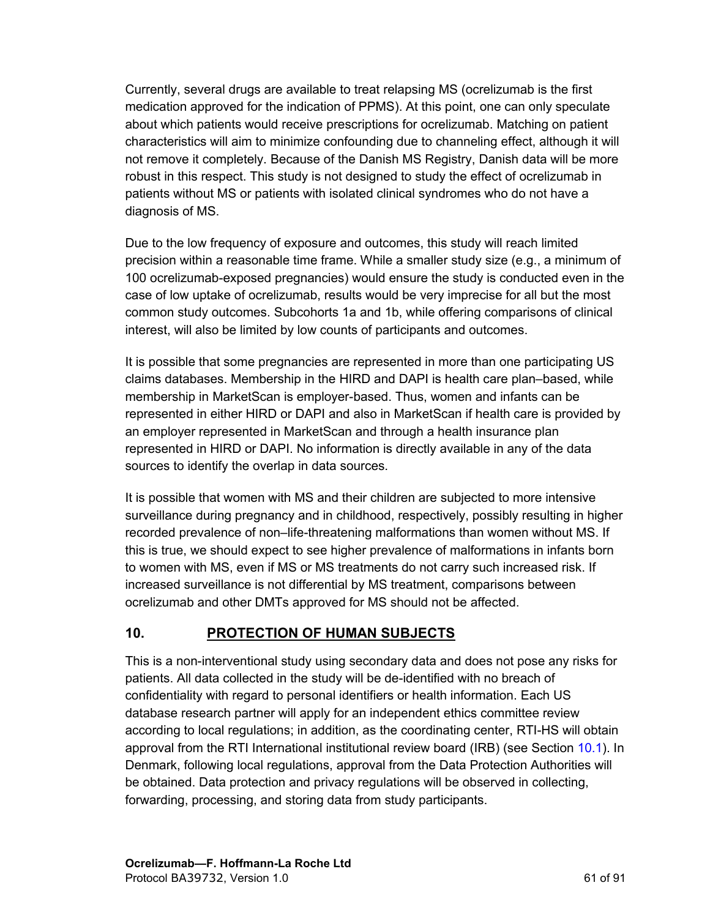Currently, several drugs are available to treat relapsing MS (ocrelizumab is the first medication approved for the indication of PPMS). At this point, one can only speculate about which patients would receive prescriptions for ocrelizumab. Matching on patient characteristics will aim to minimize confounding due to channeling effect, although it will not remove it completely. Because of the Danish MS Registry, Danish data will be more robust in this respect. This study is not designed to study the effect of ocrelizumab in patients without MS or patients with isolated clinical syndromes who do not have a diagnosis of MS.

Due to the low frequency of exposure and outcomes, this study will reach limited precision within a reasonable time frame. While a smaller study size (e.g., a minimum of 100 ocrelizumab-exposed pregnancies) would ensure the study is conducted even in the case of low uptake of ocrelizumab, results would be very imprecise for all but the most common study outcomes. Subcohorts 1a and 1b, while offering comparisons of clinical interest, will also be limited by low counts of participants and outcomes.

It is possible that some pregnancies are represented in more than one participating US claims databases. Membership in the HIRD and DAPI is health care plan–based, while membership in MarketScan is employer-based. Thus, women and infants can be represented in either HIRD or DAPI and also in MarketScan if health care is provided by an employer represented in MarketScan and through a health insurance plan represented in HIRD or DAPI. No information is directly available in any of the data sources to identify the overlap in data sources.

It is possible that women with MS and their children are subjected to more intensive surveillance during pregnancy and in childhood, respectively, possibly resulting in higher recorded prevalence of non–life-threatening malformations than women without MS. If this is true, we should expect to see higher prevalence of malformations in infants born to women with MS, even if MS or MS treatments do not carry such increased risk. If increased surveillance is not differential by MS treatment, comparisons between ocrelizumab and other DMTs approved for MS should not be affected.

# **10. PROTECTION OF HUMAN SUBJECTS**

This is a non-interventional study using secondary data and does not pose any risks for patients. All data collected in the study will be de-identified with no breach of confidentiality with regard to personal identifiers or health information. Each US database research partner will apply for an independent ethics committee review according to local regulations; in addition, as the coordinating center, RTI-HS will obtain approval from the RTI International institutional review board (IRB) (see Section [10.1\)](#page-61-0). In Denmark, following local regulations, approval from the Data Protection Authorities will be obtained. Data protection and privacy regulations will be observed in collecting, forwarding, processing, and storing data from study participants.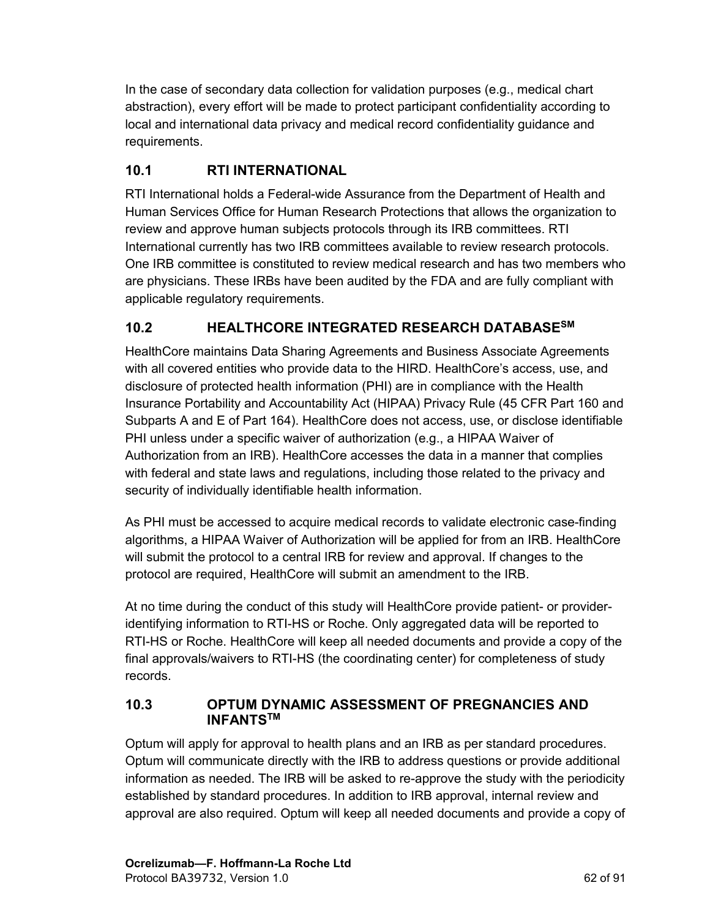<span id="page-61-0"></span>In the case of secondary data collection for validation purposes (e.g., medical chart abstraction), every effort will be made to protect participant confidentiality according to local and international data privacy and medical record confidentiality guidance and requirements.

# **10.1 RTI INTERNATIONAL**

RTI International holds a Federal-wide Assurance from the Department of Health and Human Services Office for Human Research Protections that allows the organization to review and approve human subjects protocols through its IRB committees. RTI International currently has two IRB committees available to review research protocols. One IRB committee is constituted to review medical research and has two members who are physicians. These IRBs have been audited by the FDA and are fully compliant with applicable regulatory requirements.

# **10.2 HEALTHCORE INTEGRATED RESEARCH DATABASESM**

HealthCore maintains Data Sharing Agreements and Business Associate Agreements with all covered entities who provide data to the HIRD. HealthCore's access, use, and disclosure of protected health information (PHI) are in compliance with the Health Insurance Portability and Accountability Act (HIPAA) Privacy Rule (45 CFR Part 160 and Subparts A and E of Part 164). HealthCore does not access, use, or disclose identifiable PHI unless under a specific waiver of authorization (e.g., a HIPAA Waiver of Authorization from an IRB). HealthCore accesses the data in a manner that complies with federal and state laws and regulations, including those related to the privacy and security of individually identifiable health information.

As PHI must be accessed to acquire medical records to validate electronic case-finding algorithms, a HIPAA Waiver of Authorization will be applied for from an IRB. HealthCore will submit the protocol to a central IRB for review and approval. If changes to the protocol are required, HealthCore will submit an amendment to the IRB.

At no time during the conduct of this study will HealthCore provide patient- or provideridentifying information to RTI-HS or Roche. Only aggregated data will be reported to RTI-HS or Roche. HealthCore will keep all needed documents and provide a copy of the final approvals/waivers to RTI-HS (the coordinating center) for completeness of study records.

#### **10.3 OPTUM DYNAMIC ASSESSMENT OF PREGNANCIES AND INFANTSTM**

Optum will apply for approval to health plans and an IRB as per standard procedures. Optum will communicate directly with the IRB to address questions or provide additional information as needed. The IRB will be asked to re-approve the study with the periodicity established by standard procedures. In addition to IRB approval, internal review and approval are also required. Optum will keep all needed documents and provide a copy of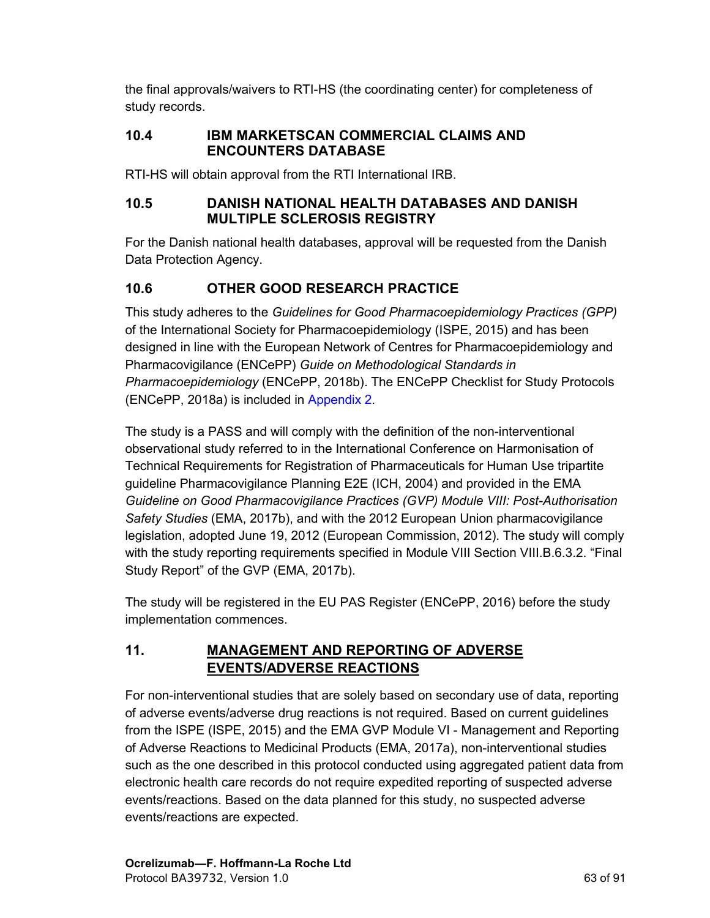the final approvals/waivers to RTI-HS (the coordinating center) for completeness of study records.

#### **10.4 IBM MARKETSCAN COMMERCIAL CLAIMS AND ENCOUNTERS DATABASE**

RTI-HS will obtain approval from the RTI International IRB.

#### **10.5 DANISH NATIONAL HEALTH DATABASES AND DANISH MULTIPLE SCLEROSIS REGISTRY**

For the Danish national health databases, approval will be requested from the Danish Data Protection Agency.

# **10.6 OTHER GOOD RESEARCH PRACTICE**

This study adheres to the *Guidelines for Good Pharmacoepidemiology Practices (GPP)* of the International Society for Pharmacoepidemiology (ISPE, 2015) and has been designed in line with the European Network of Centres for Pharmacoepidemiology and Pharmacovigilance (ENCePP) *Guide on Methodological Standards in Pharmacoepidemiology* (ENCePP, 2018b). The ENCePP Checklist for Study Protocols (ENCePP, 2018a) is included in [Appendix](#page-73-0) 2.

The study is a PASS and will comply with the definition of the non-interventional observational study referred to in the International Conference on Harmonisation of Technical Requirements for Registration of Pharmaceuticals for Human Use tripartite guideline Pharmacovigilance Planning E2E (ICH, 2004) and provided in the EMA *Guideline on Good Pharmacovigilance Practices (GVP) Module VIII: Post-Authorisation Safety Studies* (EMA, 2017b), and with the 2012 European Union pharmacovigilance legislation, adopted June 19, 2012 (European Commission, 2012). The study will comply with the study reporting requirements specified in Module VIII Section VIII.B.6.3.2. "Final Study Report" of the GVP (EMA, 2017b).

The study will be registered in the EU PAS Register (ENCePP, 2016) before the study implementation commences.

### **11. MANAGEMENT AND REPORTING OF ADVERSE EVENTS/ADVERSE REACTIONS**

For non-interventional studies that are solely based on secondary use of data, reporting of adverse events/adverse drug reactions is not required. Based on current guidelines from the ISPE (ISPE, 2015) and the EMA GVP Module VI - Management and Reporting of Adverse Reactions to Medicinal Products (EMA, 2017a), non-interventional studies such as the one described in this protocol conducted using aggregated patient data from electronic health care records do not require expedited reporting of suspected adverse events/reactions. Based on the data planned for this study, no suspected adverse events/reactions are expected.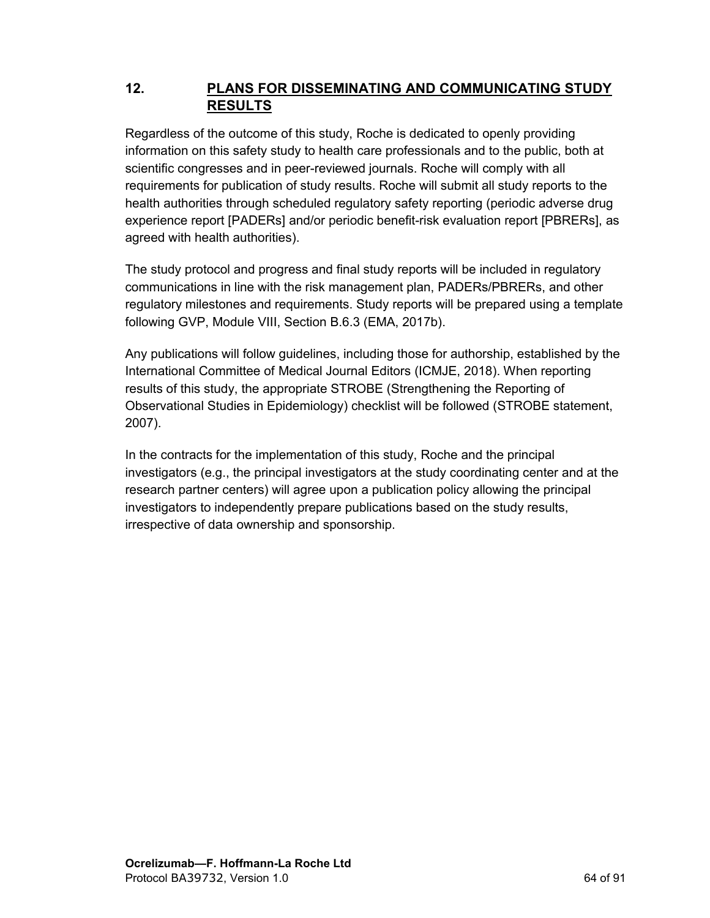#### **12. PLANS FOR DISSEMINATING AND COMMUNICATING STUDY RESULTS**

Regardless of the outcome of this study, Roche is dedicated to openly providing information on this safety study to health care professionals and to the public, both at scientific congresses and in peer-reviewed journals. Roche will comply with all requirements for publication of study results. Roche will submit all study reports to the health authorities through scheduled regulatory safety reporting (periodic adverse drug experience report [PADERs] and/or periodic benefit-risk evaluation report [PBRERs], as agreed with health authorities).

The study protocol and progress and final study reports will be included in regulatory communications in line with the risk management plan, PADERs/PBRERs, and other regulatory milestones and requirements. Study reports will be prepared using a template following GVP, Module VIII, Section B.6.3 (EMA, 2017b).

Any publications will follow guidelines, including those for authorship, established by the International Committee of Medical Journal Editors (ICMJE, 2018). When reporting results of this study, the appropriate STROBE (Strengthening the Reporting of Observational Studies in Epidemiology) checklist will be followed (STROBE statement, 2007).

In the contracts for the implementation of this study, Roche and the principal investigators (e.g., the principal investigators at the study coordinating center and at the research partner centers) will agree upon a publication policy allowing the principal investigators to independently prepare publications based on the study results, irrespective of data ownership and sponsorship.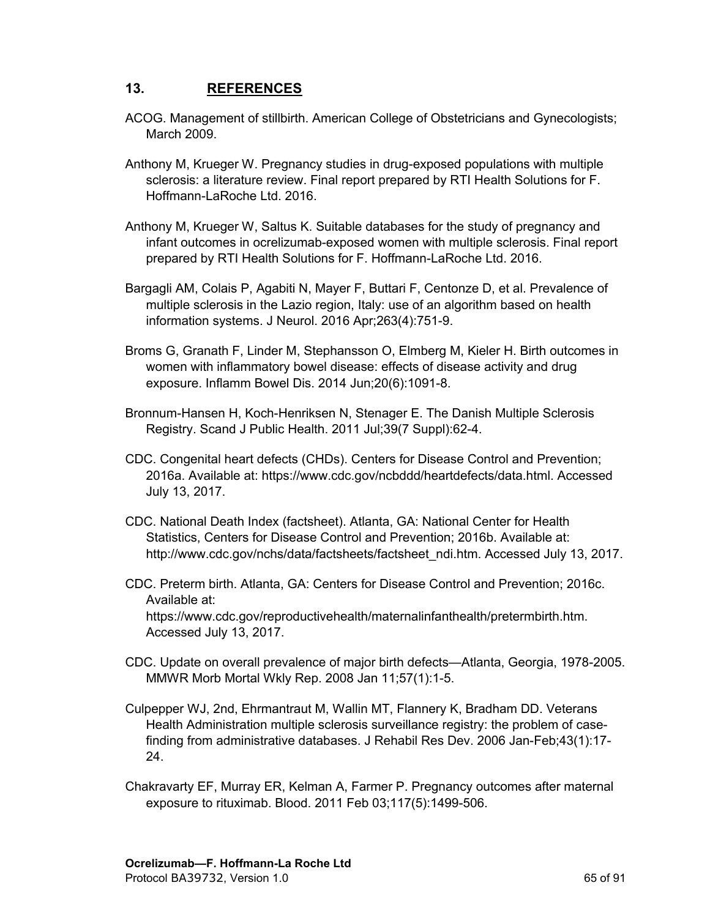#### **13. REFERENCES**

- ACOG. Management of stillbirth. American College of Obstetricians and Gynecologists; March 2009.
- Anthony M, Krueger W. Pregnancy studies in drug-exposed populations with multiple sclerosis: a literature review. Final report prepared by RTI Health Solutions for F. Hoffmann-LaRoche Ltd. 2016.
- Anthony M, Krueger W, Saltus K. Suitable databases for the study of pregnancy and infant outcomes in ocrelizumab-exposed women with multiple sclerosis. Final report prepared by RTI Health Solutions for F. Hoffmann-LaRoche Ltd. 2016.
- Bargagli AM, Colais P, Agabiti N, Mayer F, Buttari F, Centonze D, et al. Prevalence of multiple sclerosis in the Lazio region, Italy: use of an algorithm based on health information systems. J Neurol. 2016 Apr;263(4):751-9.
- Broms G, Granath F, Linder M, Stephansson O, Elmberg M, Kieler H. Birth outcomes in women with inflammatory bowel disease: effects of disease activity and drug exposure. Inflamm Bowel Dis. 2014 Jun;20(6):1091-8.
- Bronnum-Hansen H, Koch-Henriksen N, Stenager E. The Danish Multiple Sclerosis Registry. Scand J Public Health. 2011 Jul;39(7 Suppl):62-4.
- CDC. Congenital heart defects (CHDs). Centers for Disease Control and Prevention; 2016a. Available at: https://www.cdc.gov/ncbddd/heartdefects/data.html. Accessed July 13, 2017.
- CDC. National Death Index (factsheet). Atlanta, GA: National Center for Health Statistics, Centers for Disease Control and Prevention; 2016b. Available at: http://www.cdc.gov/nchs/data/factsheets/factsheet\_ndi.htm. Accessed July 13, 2017.
- CDC. Preterm birth. Atlanta, GA: Centers for Disease Control and Prevention; 2016c. Available at: https://www.cdc.gov/reproductivehealth/maternalinfanthealth/pretermbirth.htm. Accessed July 13, 2017.
- CDC. Update on overall prevalence of major birth defects—Atlanta, Georgia, 1978-2005. MMWR Morb Mortal Wkly Rep. 2008 Jan 11;57(1):1-5.
- Culpepper WJ, 2nd, Ehrmantraut M, Wallin MT, Flannery K, Bradham DD. Veterans Health Administration multiple sclerosis surveillance registry: the problem of casefinding from administrative databases. J Rehabil Res Dev. 2006 Jan-Feb;43(1):17- 24.
- Chakravarty EF, Murray ER, Kelman A, Farmer P. Pregnancy outcomes after maternal exposure to rituximab. Blood. 2011 Feb 03;117(5):1499-506.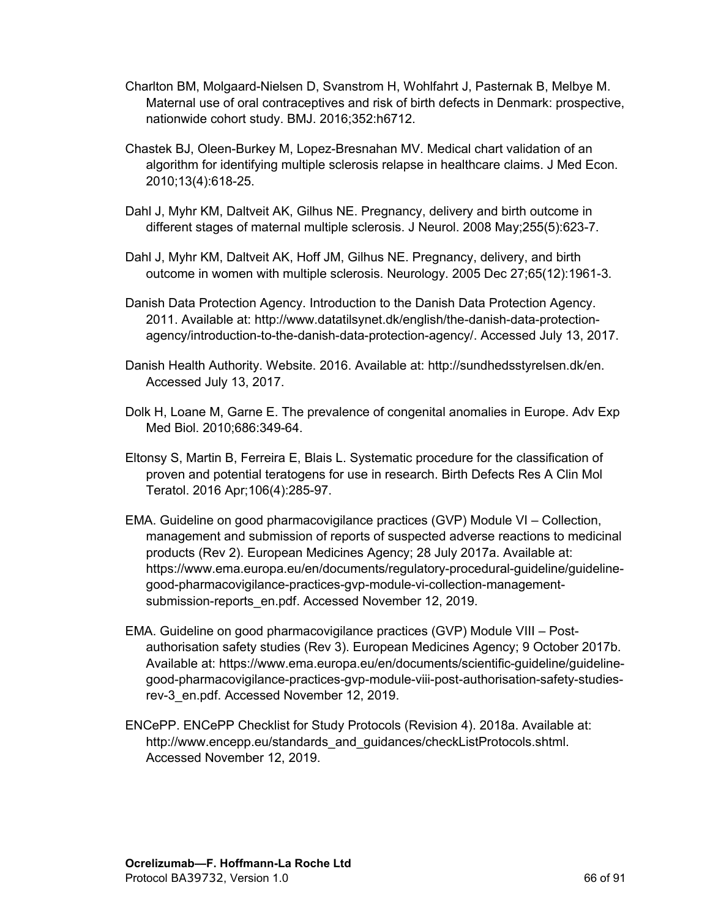- Charlton BM, Molgaard-Nielsen D, Svanstrom H, Wohlfahrt J, Pasternak B, Melbye M. Maternal use of oral contraceptives and risk of birth defects in Denmark: prospective, nationwide cohort study. BMJ. 2016;352:h6712.
- Chastek BJ, Oleen-Burkey M, Lopez-Bresnahan MV. Medical chart validation of an algorithm for identifying multiple sclerosis relapse in healthcare claims. J Med Econ. 2010;13(4):618-25.
- Dahl J, Myhr KM, Daltveit AK, Gilhus NE. Pregnancy, delivery and birth outcome in different stages of maternal multiple sclerosis. J Neurol. 2008 May;255(5):623-7.
- Dahl J, Myhr KM, Daltveit AK, Hoff JM, Gilhus NE. Pregnancy, delivery, and birth outcome in women with multiple sclerosis. Neurology. 2005 Dec 27;65(12):1961-3.
- Danish Data Protection Agency. Introduction to the Danish Data Protection Agency. 2011. Available at: http://www.datatilsynet.dk/english/the-danish-data-protectionagency/introduction-to-the-danish-data-protection-agency/. Accessed July 13, 2017.
- Danish Health Authority. Website. 2016. Available at: http://sundhedsstyrelsen.dk/en. Accessed July 13, 2017.
- Dolk H, Loane M, Garne E. The prevalence of congenital anomalies in Europe. Adv Exp Med Biol. 2010;686:349-64.
- Eltonsy S, Martin B, Ferreira E, Blais L. Systematic procedure for the classification of proven and potential teratogens for use in research. Birth Defects Res A Clin Mol Teratol. 2016 Apr;106(4):285-97.
- EMA. Guideline on good pharmacovigilance practices (GVP) Module VI Collection, management and submission of reports of suspected adverse reactions to medicinal products (Rev 2). European Medicines Agency; 28 July 2017a. Available at: https://www.ema.europa.eu/en/documents/regulatory-procedural-guideline/guidelinegood-pharmacovigilance-practices-gvp-module-vi-collection-managementsubmission-reports\_en.pdf. Accessed November 12, 2019.
- EMA. Guideline on good pharmacovigilance practices (GVP) Module VIII Postauthorisation safety studies (Rev 3). European Medicines Agency; 9 October 2017b. Available at: https://www.ema.europa.eu/en/documents/scientific-guideline/guidelinegood-pharmacovigilance-practices-gvp-module-viii-post-authorisation-safety-studiesrev-3\_en.pdf. Accessed November 12, 2019.
- ENCePP. ENCePP Checklist for Study Protocols (Revision 4). 2018a. Available at: http://www.encepp.eu/standards\_and\_guidances/checkListProtocols.shtml. Accessed November 12, 2019.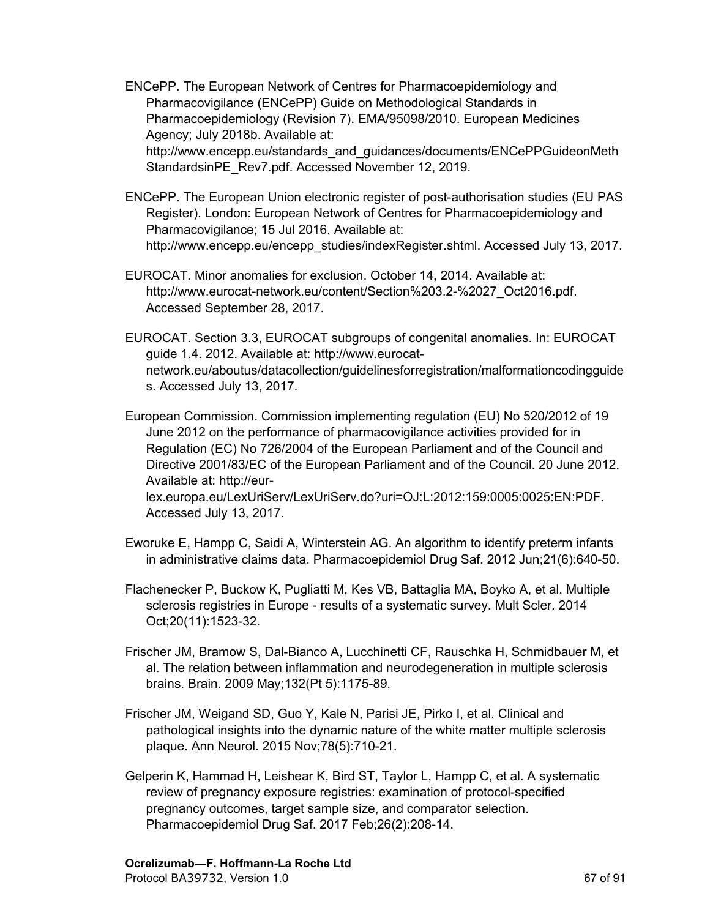- ENCePP. The European Network of Centres for Pharmacoepidemiology and Pharmacovigilance (ENCePP) Guide on Methodological Standards in Pharmacoepidemiology (Revision 7). EMA/95098/2010. European Medicines Agency; July 2018b. Available at: http://www.encepp.eu/standards\_and\_guidances/documents/ENCePPGuideonMeth StandardsinPE\_Rev7.pdf. Accessed November 12, 2019.
- ENCePP. The European Union electronic register of post-authorisation studies (EU PAS Register). London: European Network of Centres for Pharmacoepidemiology and Pharmacovigilance; 15 Jul 2016. Available at: http://www.encepp.eu/encepp\_studies/indexRegister.shtml. Accessed July 13, 2017.
- EUROCAT. Minor anomalies for exclusion. October 14, 2014. Available at: http://www.eurocat-network.eu/content/Section%203.2-%2027\_Oct2016.pdf. Accessed September 28, 2017.
- EUROCAT. Section 3.3, EUROCAT subgroups of congenital anomalies. In: EUROCAT guide 1.4. 2012. Available at: http://www.eurocatnetwork.eu/aboutus/datacollection/guidelinesforregistration/malformationcodingguide s. Accessed July 13, 2017.

European Commission. Commission implementing regulation (EU) No 520/2012 of 19 June 2012 on the performance of pharmacovigilance activities provided for in Regulation (EC) No 726/2004 of the European Parliament and of the Council and Directive 2001/83/EC of the European Parliament and of the Council. 20 June 2012. Available at: http://eurlex.europa.eu/LexUriServ/LexUriServ.do?uri=OJ:L:2012:159:0005:0025:EN:PDF.

Accessed July 13, 2017.

- Eworuke E, Hampp C, Saidi A, Winterstein AG. An algorithm to identify preterm infants in administrative claims data. Pharmacoepidemiol Drug Saf. 2012 Jun;21(6):640-50.
- Flachenecker P, Buckow K, Pugliatti M, Kes VB, Battaglia MA, Boyko A, et al. Multiple sclerosis registries in Europe - results of a systematic survey. Mult Scler. 2014 Oct;20(11):1523-32.
- Frischer JM, Bramow S, Dal-Bianco A, Lucchinetti CF, Rauschka H, Schmidbauer M, et al. The relation between inflammation and neurodegeneration in multiple sclerosis brains. Brain. 2009 May;132(Pt 5):1175-89.
- Frischer JM, Weigand SD, Guo Y, Kale N, Parisi JE, Pirko I, et al. Clinical and pathological insights into the dynamic nature of the white matter multiple sclerosis plaque. Ann Neurol. 2015 Nov;78(5):710-21.
- Gelperin K, Hammad H, Leishear K, Bird ST, Taylor L, Hampp C, et al. A systematic review of pregnancy exposure registries: examination of protocol-specified pregnancy outcomes, target sample size, and comparator selection. Pharmacoepidemiol Drug Saf. 2017 Feb;26(2):208-14.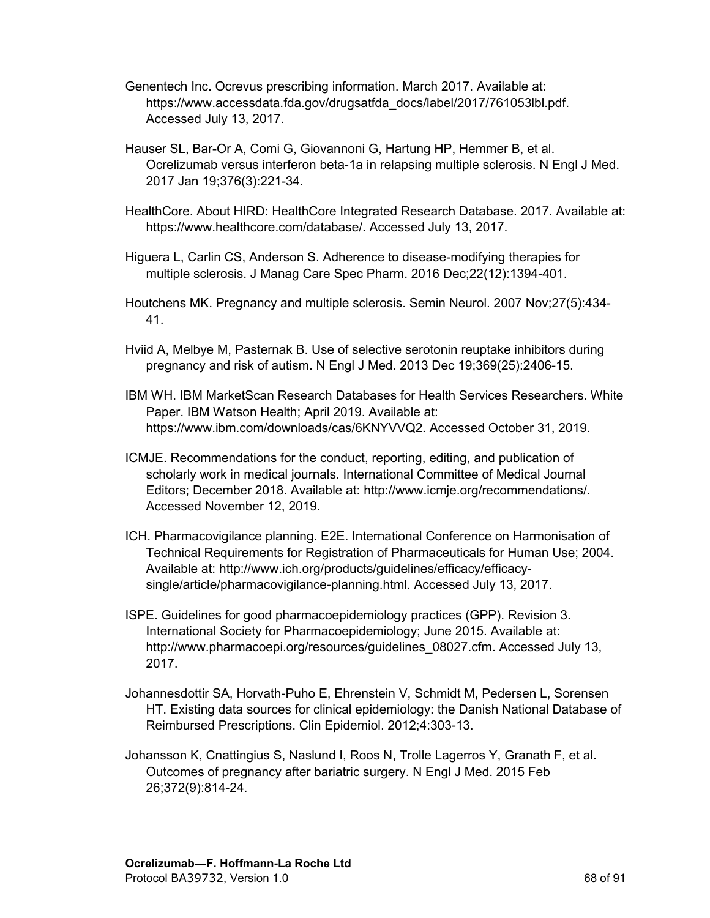- Genentech Inc. Ocrevus prescribing information. March 2017. Available at: https://www.accessdata.fda.gov/drugsatfda\_docs/label/2017/761053lbl.pdf. Accessed July 13, 2017.
- Hauser SL, Bar-Or A, Comi G, Giovannoni G, Hartung HP, Hemmer B, et al. Ocrelizumab versus interferon beta-1a in relapsing multiple sclerosis. N Engl J Med. 2017 Jan 19;376(3):221-34.
- HealthCore. About HIRD: HealthCore Integrated Research Database. 2017. Available at: https://www.healthcore.com/database/. Accessed July 13, 2017.
- Higuera L, Carlin CS, Anderson S. Adherence to disease-modifying therapies for multiple sclerosis. J Manag Care Spec Pharm. 2016 Dec;22(12):1394-401.
- Houtchens MK. Pregnancy and multiple sclerosis. Semin Neurol. 2007 Nov;27(5):434- 41.
- Hviid A, Melbye M, Pasternak B. Use of selective serotonin reuptake inhibitors during pregnancy and risk of autism. N Engl J Med. 2013 Dec 19;369(25):2406-15.
- IBM WH. IBM MarketScan Research Databases for Health Services Researchers. White Paper. IBM Watson Health; April 2019. Available at: https://www.ibm.com/downloads/cas/6KNYVVQ2. Accessed October 31, 2019.
- ICMJE. Recommendations for the conduct, reporting, editing, and publication of scholarly work in medical journals. International Committee of Medical Journal Editors; December 2018. Available at: http://www.icmje.org/recommendations/. Accessed November 12, 2019.
- ICH. Pharmacovigilance planning. E2E. International Conference on Harmonisation of Technical Requirements for Registration of Pharmaceuticals for Human Use; 2004. Available at: http://www.ich.org/products/guidelines/efficacy/efficacysingle/article/pharmacovigilance-planning.html. Accessed July 13, 2017.
- ISPE. Guidelines for good pharmacoepidemiology practices (GPP). Revision 3. International Society for Pharmacoepidemiology; June 2015. Available at: http://www.pharmacoepi.org/resources/guidelines\_08027.cfm. Accessed July 13, 2017.
- Johannesdottir SA, Horvath-Puho E, Ehrenstein V, Schmidt M, Pedersen L, Sorensen HT. Existing data sources for clinical epidemiology: the Danish National Database of Reimbursed Prescriptions. Clin Epidemiol. 2012;4:303-13.
- Johansson K, Cnattingius S, Naslund I, Roos N, Trolle Lagerros Y, Granath F, et al. Outcomes of pregnancy after bariatric surgery. N Engl J Med. 2015 Feb 26;372(9):814-24.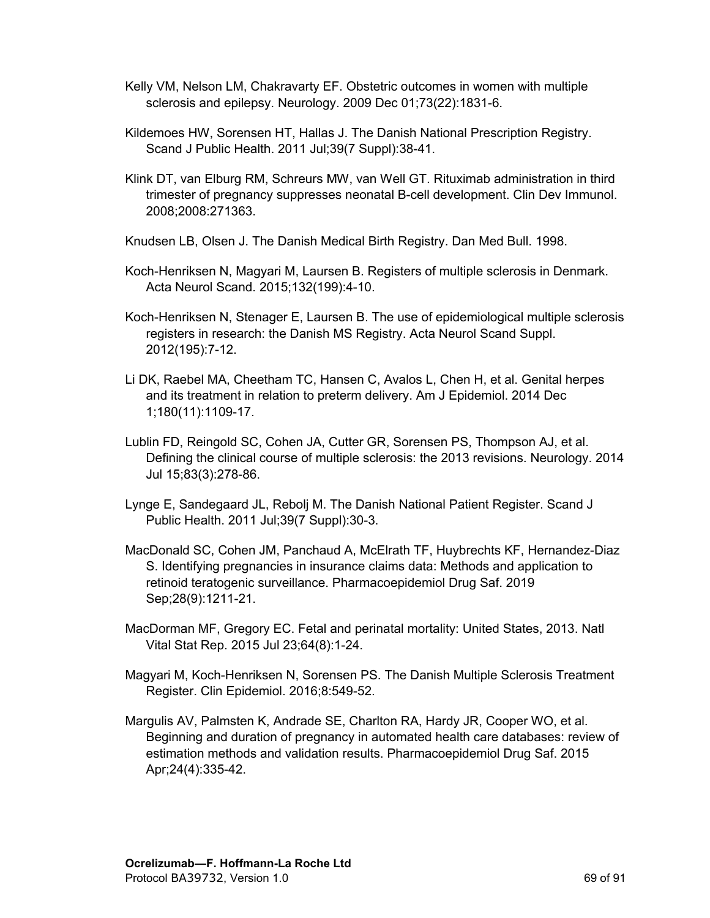- Kelly VM, Nelson LM, Chakravarty EF. Obstetric outcomes in women with multiple sclerosis and epilepsy. Neurology. 2009 Dec 01;73(22):1831-6.
- Kildemoes HW, Sorensen HT, Hallas J. The Danish National Prescription Registry. Scand J Public Health. 2011 Jul;39(7 Suppl):38-41.
- Klink DT, van Elburg RM, Schreurs MW, van Well GT. Rituximab administration in third trimester of pregnancy suppresses neonatal B-cell development. Clin Dev Immunol. 2008;2008:271363.
- Knudsen LB, Olsen J. The Danish Medical Birth Registry. Dan Med Bull. 1998.
- Koch-Henriksen N, Magyari M, Laursen B. Registers of multiple sclerosis in Denmark. Acta Neurol Scand. 2015;132(199):4-10.
- Koch-Henriksen N, Stenager E, Laursen B. The use of epidemiological multiple sclerosis registers in research: the Danish MS Registry. Acta Neurol Scand Suppl. 2012(195):7-12.
- Li DK, Raebel MA, Cheetham TC, Hansen C, Avalos L, Chen H, et al. Genital herpes and its treatment in relation to preterm delivery. Am J Epidemiol. 2014 Dec 1;180(11):1109-17.
- Lublin FD, Reingold SC, Cohen JA, Cutter GR, Sorensen PS, Thompson AJ, et al. Defining the clinical course of multiple sclerosis: the 2013 revisions. Neurology. 2014 Jul 15;83(3):278-86.
- Lynge E, Sandegaard JL, Rebolj M. The Danish National Patient Register. Scand J Public Health. 2011 Jul;39(7 Suppl):30-3.
- MacDonald SC, Cohen JM, Panchaud A, McElrath TF, Huybrechts KF, Hernandez-Diaz S. Identifying pregnancies in insurance claims data: Methods and application to retinoid teratogenic surveillance. Pharmacoepidemiol Drug Saf. 2019 Sep;28(9):1211-21.
- MacDorman MF, Gregory EC. Fetal and perinatal mortality: United States, 2013. Natl Vital Stat Rep. 2015 Jul 23;64(8):1-24.
- Magyari M, Koch-Henriksen N, Sorensen PS. The Danish Multiple Sclerosis Treatment Register. Clin Epidemiol. 2016;8:549-52.
- Margulis AV, Palmsten K, Andrade SE, Charlton RA, Hardy JR, Cooper WO, et al. Beginning and duration of pregnancy in automated health care databases: review of estimation methods and validation results. Pharmacoepidemiol Drug Saf. 2015 Apr;24(4):335-42.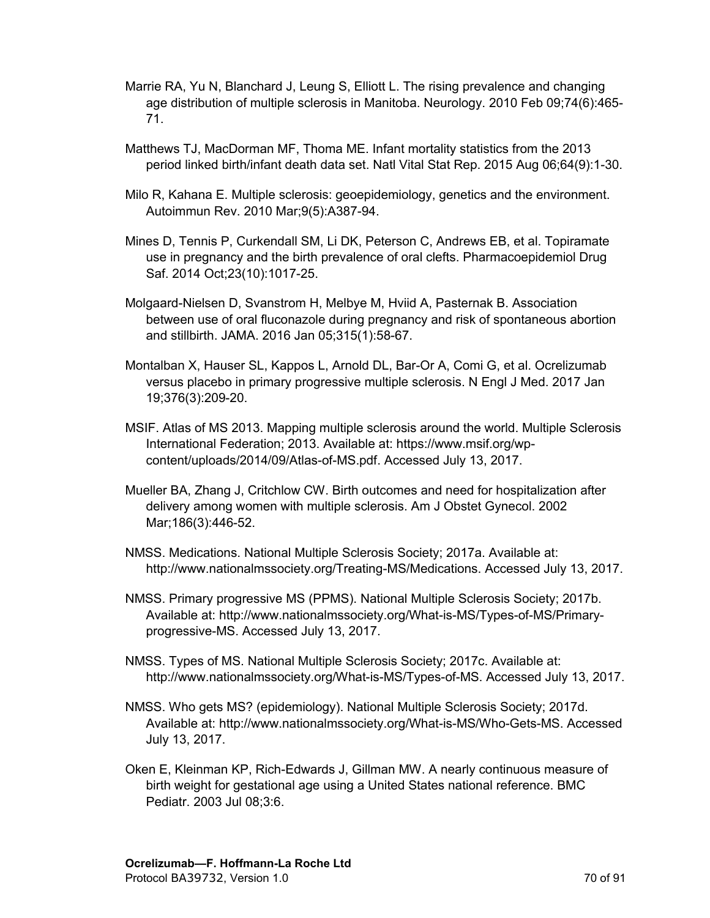- Marrie RA, Yu N, Blanchard J, Leung S, Elliott L. The rising prevalence and changing age distribution of multiple sclerosis in Manitoba. Neurology. 2010 Feb 09;74(6):465- 71.
- Matthews TJ, MacDorman MF, Thoma ME. Infant mortality statistics from the 2013 period linked birth/infant death data set. Natl Vital Stat Rep. 2015 Aug 06;64(9):1-30.
- Milo R, Kahana E. Multiple sclerosis: geoepidemiology, genetics and the environment. Autoimmun Rev. 2010 Mar;9(5):A387-94.
- Mines D, Tennis P, Curkendall SM, Li DK, Peterson C, Andrews EB, et al. Topiramate use in pregnancy and the birth prevalence of oral clefts. Pharmacoepidemiol Drug Saf. 2014 Oct;23(10):1017-25.
- Molgaard-Nielsen D, Svanstrom H, Melbye M, Hviid A, Pasternak B. Association between use of oral fluconazole during pregnancy and risk of spontaneous abortion and stillbirth. JAMA. 2016 Jan 05;315(1):58-67.
- Montalban X, Hauser SL, Kappos L, Arnold DL, Bar-Or A, Comi G, et al. Ocrelizumab versus placebo in primary progressive multiple sclerosis. N Engl J Med. 2017 Jan 19;376(3):209-20.
- MSIF. Atlas of MS 2013. Mapping multiple sclerosis around the world. Multiple Sclerosis International Federation; 2013. Available at: https://www.msif.org/wpcontent/uploads/2014/09/Atlas-of-MS.pdf. Accessed July 13, 2017.
- Mueller BA, Zhang J, Critchlow CW. Birth outcomes and need for hospitalization after delivery among women with multiple sclerosis. Am J Obstet Gynecol. 2002 Mar;186(3):446-52.
- NMSS. Medications. National Multiple Sclerosis Society; 2017a. Available at: http://www.nationalmssociety.org/Treating-MS/Medications. Accessed July 13, 2017.
- NMSS. Primary progressive MS (PPMS). National Multiple Sclerosis Society; 2017b. Available at: http://www.nationalmssociety.org/What-is-MS/Types-of-MS/Primaryprogressive-MS. Accessed July 13, 2017.
- NMSS. Types of MS. National Multiple Sclerosis Society; 2017c. Available at: http://www.nationalmssociety.org/What-is-MS/Types-of-MS. Accessed July 13, 2017.
- NMSS. Who gets MS? (epidemiology). National Multiple Sclerosis Society; 2017d. Available at: http://www.nationalmssociety.org/What-is-MS/Who-Gets-MS. Accessed July 13, 2017.
- Oken E, Kleinman KP, Rich-Edwards J, Gillman MW. A nearly continuous measure of birth weight for gestational age using a United States national reference. BMC Pediatr. 2003 Jul 08;3:6.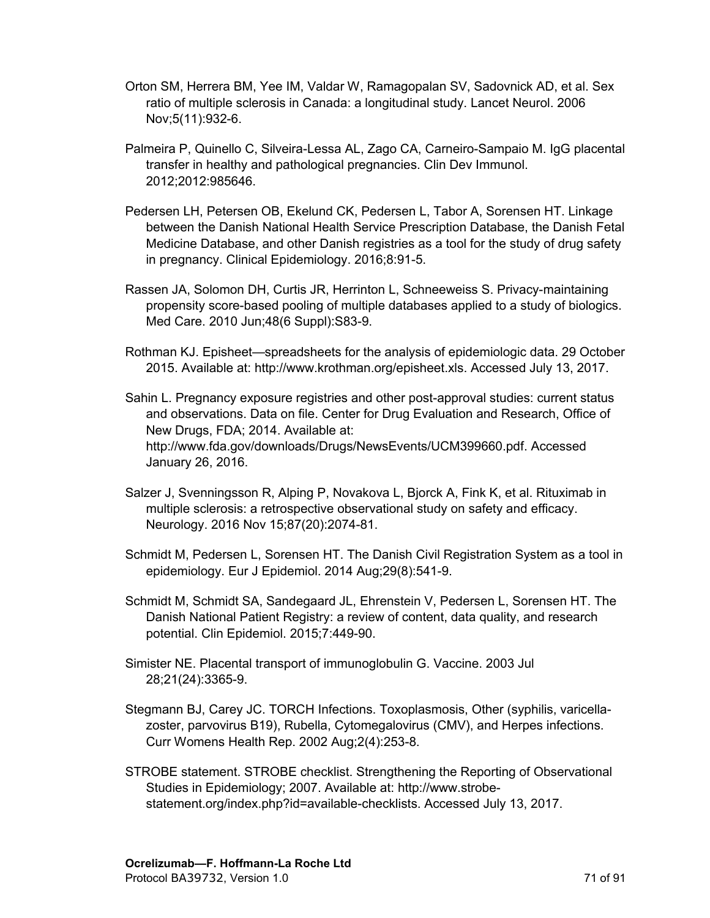- Orton SM, Herrera BM, Yee IM, Valdar W, Ramagopalan SV, Sadovnick AD, et al. Sex ratio of multiple sclerosis in Canada: a longitudinal study. Lancet Neurol. 2006 Nov;5(11):932-6.
- Palmeira P, Quinello C, Silveira-Lessa AL, Zago CA, Carneiro-Sampaio M. IgG placental transfer in healthy and pathological pregnancies. Clin Dev Immunol. 2012;2012:985646.
- Pedersen LH, Petersen OB, Ekelund CK, Pedersen L, Tabor A, Sorensen HT. Linkage between the Danish National Health Service Prescription Database, the Danish Fetal Medicine Database, and other Danish registries as a tool for the study of drug safety in pregnancy. Clinical Epidemiology. 2016;8:91-5.
- Rassen JA, Solomon DH, Curtis JR, Herrinton L, Schneeweiss S. Privacy-maintaining propensity score-based pooling of multiple databases applied to a study of biologics. Med Care. 2010 Jun;48(6 Suppl):S83-9.
- Rothman KJ. Episheet—spreadsheets for the analysis of epidemiologic data. 29 October 2015. Available at: http://www.krothman.org/episheet.xls. Accessed July 13, 2017.
- Sahin L. Pregnancy exposure registries and other post-approval studies: current status and observations. Data on file. Center for Drug Evaluation and Research, Office of New Drugs, FDA; 2014. Available at: http://www.fda.gov/downloads/Drugs/NewsEvents/UCM399660.pdf. Accessed January 26, 2016.
- Salzer J, Svenningsson R, Alping P, Novakova L, Bjorck A, Fink K, et al. Rituximab in multiple sclerosis: a retrospective observational study on safety and efficacy. Neurology. 2016 Nov 15;87(20):2074-81.
- Schmidt M, Pedersen L, Sorensen HT. The Danish Civil Registration System as a tool in epidemiology. Eur J Epidemiol. 2014 Aug;29(8):541-9.
- Schmidt M, Schmidt SA, Sandegaard JL, Ehrenstein V, Pedersen L, Sorensen HT. The Danish National Patient Registry: a review of content, data quality, and research potential. Clin Epidemiol. 2015;7:449-90.
- Simister NE. Placental transport of immunoglobulin G. Vaccine. 2003 Jul 28;21(24):3365-9.
- Stegmann BJ, Carey JC. TORCH Infections. Toxoplasmosis, Other (syphilis, varicellazoster, parvovirus B19), Rubella, Cytomegalovirus (CMV), and Herpes infections. Curr Womens Health Rep. 2002 Aug;2(4):253-8.
- STROBE statement. STROBE checklist. Strengthening the Reporting of Observational Studies in Epidemiology; 2007. Available at: http://www.strobestatement.org/index.php?id=available-checklists. Accessed July 13, 2017.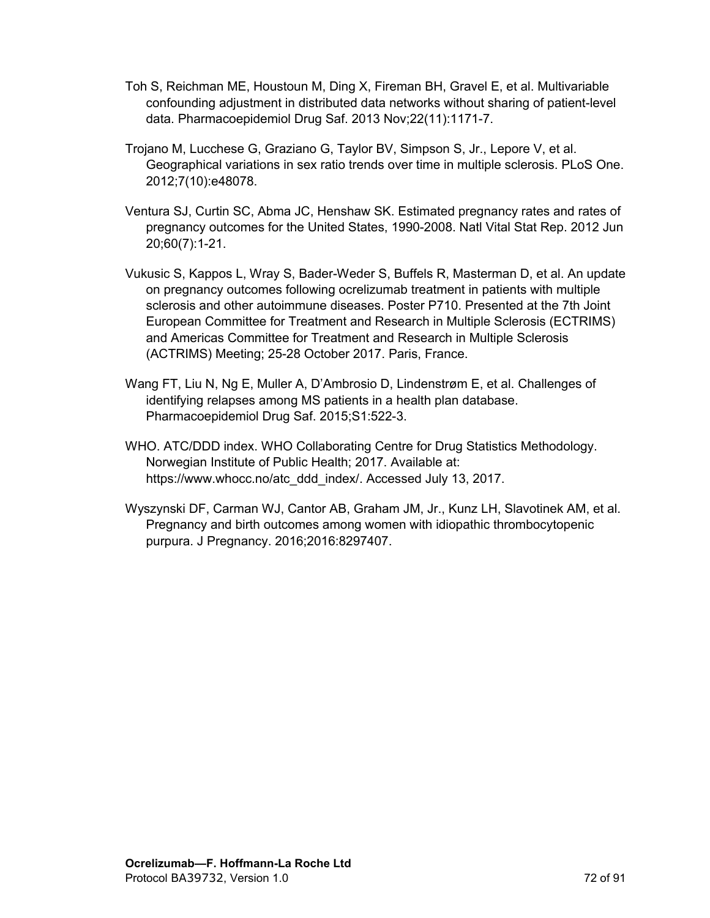- Toh S, Reichman ME, Houstoun M, Ding X, Fireman BH, Gravel E, et al. Multivariable confounding adjustment in distributed data networks without sharing of patient-level data. Pharmacoepidemiol Drug Saf. 2013 Nov;22(11):1171-7.
- Trojano M, Lucchese G, Graziano G, Taylor BV, Simpson S, Jr., Lepore V, et al. Geographical variations in sex ratio trends over time in multiple sclerosis. PLoS One. 2012;7(10):e48078.
- Ventura SJ, Curtin SC, Abma JC, Henshaw SK. Estimated pregnancy rates and rates of pregnancy outcomes for the United States, 1990-2008. Natl Vital Stat Rep. 2012 Jun 20;60(7):1-21.
- Vukusic S, Kappos L, Wray S, Bader-Weder S, Buffels R, Masterman D, et al. An update on pregnancy outcomes following ocrelizumab treatment in patients with multiple sclerosis and other autoimmune diseases. Poster P710. Presented at the 7th Joint European Committee for Treatment and Research in Multiple Sclerosis (ECTRIMS) and Americas Committee for Treatment and Research in Multiple Sclerosis (ACTRIMS) Meeting; 25-28 October 2017. Paris, France.
- Wang FT, Liu N, Ng E, Muller A, D'Ambrosio D, Lindenstrøm E, et al. Challenges of identifying relapses among MS patients in a health plan database. Pharmacoepidemiol Drug Saf. 2015;S1:522-3.
- WHO. ATC/DDD index. WHO Collaborating Centre for Drug Statistics Methodology. Norwegian Institute of Public Health; 2017. Available at: https://www.whocc.no/atc\_ddd\_index/. Accessed July 13, 2017.
- Wyszynski DF, Carman WJ, Cantor AB, Graham JM, Jr., Kunz LH, Slavotinek AM, et al. Pregnancy and birth outcomes among women with idiopathic thrombocytopenic purpura. J Pregnancy. 2016;2016:8297407.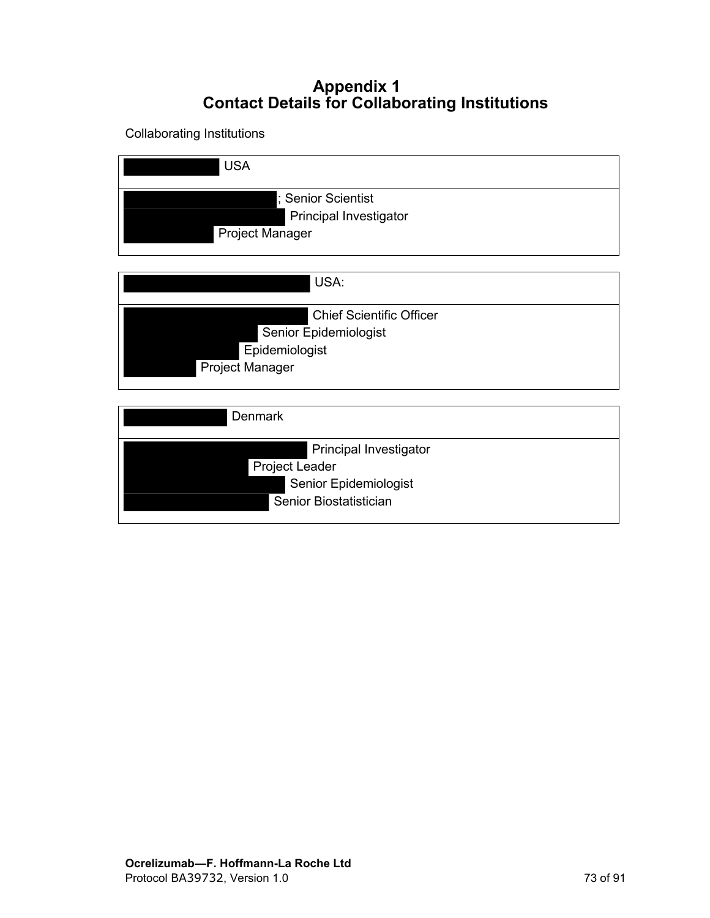## **Appendix 1 Contact Details for Collaborating Institutions**

Collaborating Institutions

| <b>USA</b>                                                                                           |
|------------------------------------------------------------------------------------------------------|
| ; Senior Scientist<br>Principal Investigator<br><b>Project Manager</b>                               |
| USA:                                                                                                 |
| <b>Chief Scientific Officer</b><br>Senior Epidemiologist<br>Epidemiologist<br><b>Project Manager</b> |
| <b>Denmark</b>                                                                                       |
| Principal Investigator<br><b>Project Leader</b><br>Senior Epidemiologist<br>Senior Biostatistician   |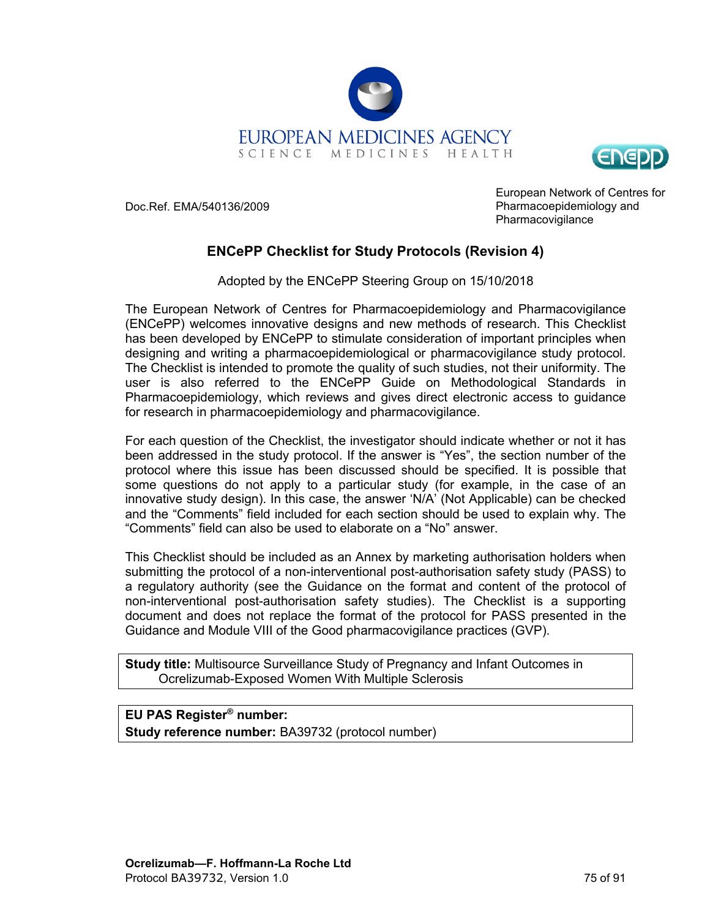



Doc.Ref. EMA/540136/2009

European Network of Centres for Pharmacoepidemiology and Pharmacovigilance

### **ENCePP Checklist for Study Protocols (Revision 4)**

Adopted by the ENCePP Steering Group on 15/10/2018

The European Network of Centres for Pharmacoepidemiology and Pharmacovigilance (ENCePP) welcomes innovative designs and new methods of research. This Checklist has been developed by ENCePP to stimulate consideration of important principles when designing and writing a pharmacoepidemiological or pharmacovigilance study protocol. The Checklist is intended to promote the quality of such studies, not their uniformity. The user is also referred to the ENCePP Guide on Methodological Standards in Pharmacoepidemiology, which reviews and gives direct electronic access to guidance for research in pharmacoepidemiology and pharmacovigilance.

For each question of the Checklist, the investigator should indicate whether or not it has been addressed in the study protocol. If the answer is "Yes", the section number of the protocol where this issue has been discussed should be specified. It is possible that some questions do not apply to a particular study (for example, in the case of an innovative study design). In this case, the answer 'N/A' (Not Applicable) can be checked and the "Comments" field included for each section should be used to explain why. The "Comments" field can also be used to elaborate on a "No" answer.

This Checklist should be included as an Annex by marketing authorisation holders when submitting the protocol of a non-interventional post-authorisation safety study (PASS) to a regulatory authority (see the Guidance on the format and content of the protocol of non-interventional post-authorisation safety studies). The Checklist is a supporting document and does not replace the format of the protocol for PASS presented in the Guidance and Module VIII of the Good pharmacovigilance practices (GVP).

**Study title:** Multisource Surveillance Study of Pregnancy and Infant Outcomes in Ocrelizumab-Exposed Women With Multiple Sclerosis

### **EU PAS Register® number: Study reference number:** BA39732 (protocol number)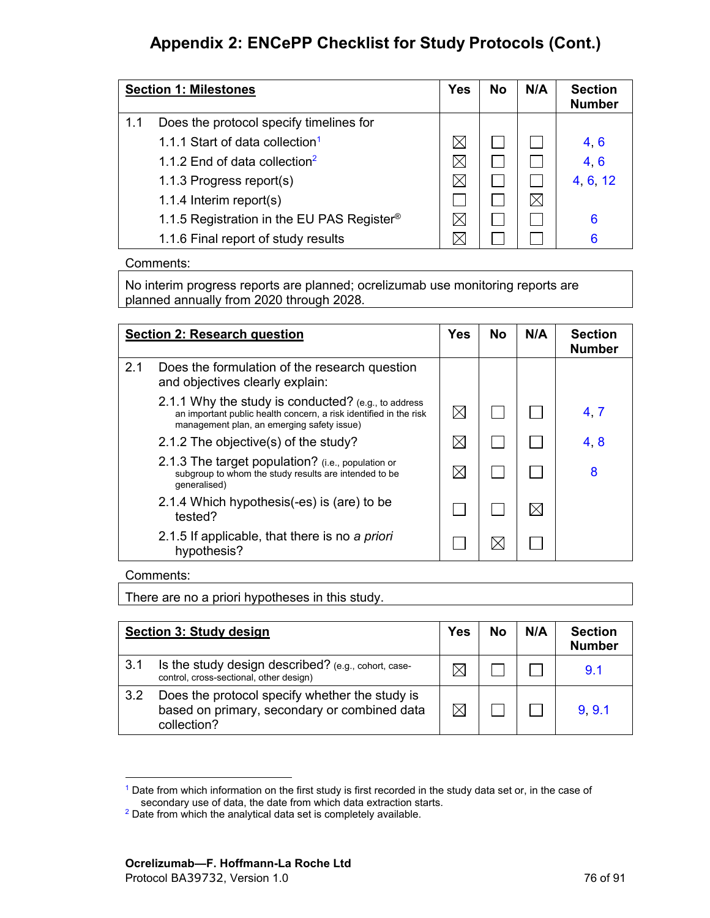<span id="page-75-2"></span><span id="page-75-0"></span>

| <b>Section 1: Milestones</b> |                                                        | <b>Yes</b>  | <b>No</b> | N/A | <b>Section</b><br><b>Number</b> |
|------------------------------|--------------------------------------------------------|-------------|-----------|-----|---------------------------------|
| 1.1                          | Does the protocol specify timelines for                |             |           |     |                                 |
|                              | 1.1.1 Start of data collection <sup>1</sup>            | $\boxtimes$ |           |     | 4, 6                            |
|                              | 1.1.2 End of data collection <sup>2</sup>              |             |           |     | 4, 6                            |
|                              | 1.1.3 Progress report(s)                               |             |           |     | 4 6 12                          |
|                              | 1.1.4 Interim report(s)                                |             |           |     |                                 |
|                              | 1.1.5 Registration in the EU PAS Register <sup>®</sup> |             |           |     | 6                               |
|                              | 1.1.6 Final report of study results                    |             |           |     | 6                               |

Comments:

No interim progress reports are planned; ocrelizumab use monitoring reports are planned annually from 2020 through 2028.

|     | <b>Section 2: Research question</b>                                                                                                                                    |             | <b>No</b> | N/A | <b>Section</b><br><b>Number</b> |
|-----|------------------------------------------------------------------------------------------------------------------------------------------------------------------------|-------------|-----------|-----|---------------------------------|
| 2.1 | Does the formulation of the research question<br>and objectives clearly explain:                                                                                       |             |           |     |                                 |
|     | 2.1.1 Why the study is conducted? (e.g., to address<br>an important public health concern, a risk identified in the risk<br>management plan, an emerging safety issue) | $\boxtimes$ |           |     | 4.7                             |
|     | 2.1.2 The objective(s) of the study?                                                                                                                                   | $\boxtimes$ |           |     | 4.8                             |
|     | 2.1.3 The target population? (i.e., population or<br>subgroup to whom the study results are intended to be<br>generalised)                                             | M           |           |     | 8                               |
|     | 2.1.4 Which hypothesis (-es) is (are) to be<br>tested?                                                                                                                 |             |           |     |                                 |
|     | 2.1.5 If applicable, that there is no a priori<br>hypothesis?                                                                                                          |             |           |     |                                 |

#### Comments:

There are no a priori hypotheses in this study.

| Section 3: Study design |                                                                                                               | <b>Yes</b> | <b>No</b> | N/A | <b>Section</b><br><b>Number</b> |
|-------------------------|---------------------------------------------------------------------------------------------------------------|------------|-----------|-----|---------------------------------|
| 3.1                     | Is the study design described? (e.g., cohort, case-<br>control, cross-sectional, other design)                |            |           |     | 9.1                             |
| 3.2                     | Does the protocol specify whether the study is<br>based on primary, secondary or combined data<br>collection? |            |           |     | 9.9.1                           |

<span id="page-75-3"></span><sup>&</sup>lt;sup>[1](#page-75-2)</sup> Date from which information on the first study is first recorded in the study data set or, in the case of secondary use of data, the date from which data extraction starts.

<span id="page-75-1"></span><sup>&</sup>lt;sup>[2](#page-75-0)</sup> Date from which the analytical data set is completely available.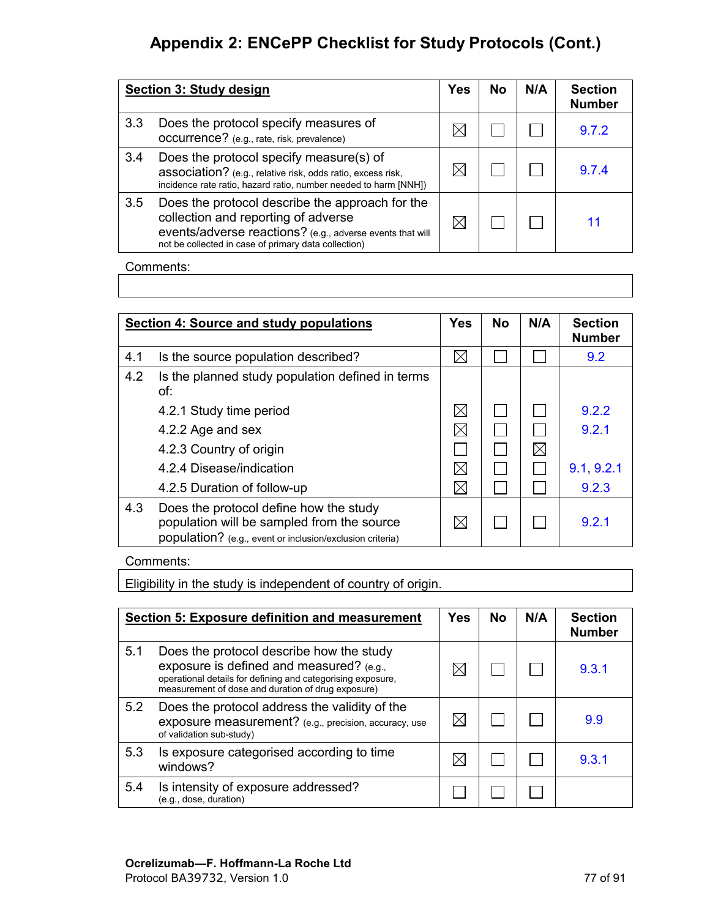|                  | Section 3: Study design                                                                                                                                                                                     | <b>Yes</b> | No | N/A | <b>Section</b><br><b>Number</b> |
|------------------|-------------------------------------------------------------------------------------------------------------------------------------------------------------------------------------------------------------|------------|----|-----|---------------------------------|
| 3.3 <sub>2</sub> | Does the protocol specify measures of<br><b>OCCUITENCE?</b> (e.g., rate, risk, prevalence)                                                                                                                  |            |    |     | 9.7.2                           |
| 3.4              | Does the protocol specify measure(s) of<br>association? (e.g., relative risk, odds ratio, excess risk,<br>incidence rate ratio, hazard ratio, number needed to harm [NNH])                                  |            |    |     | 9.7.4                           |
| 3.5              | Does the protocol describe the approach for the<br>collection and reporting of adverse<br>events/adverse reactions? (e.g., adverse events that will<br>not be collected in case of primary data collection) |            |    |     |                                 |

Comments:

|     | Section 4: Source and study populations                                                                                                           | <b>Yes</b>  | <b>No</b> | N/A         | <b>Section</b><br><b>Number</b> |
|-----|---------------------------------------------------------------------------------------------------------------------------------------------------|-------------|-----------|-------------|---------------------------------|
| 4.1 | Is the source population described?                                                                                                               |             |           |             | 9.2                             |
| 4.2 | Is the planned study population defined in terms<br>of:                                                                                           |             |           |             |                                 |
|     | 4.2.1 Study time period                                                                                                                           | $\boxtimes$ |           |             | 9.2.2                           |
|     | 4.2.2 Age and sex                                                                                                                                 | $\boxtimes$ |           |             | 9.2.1                           |
|     | 4.2.3 Country of origin                                                                                                                           |             |           | $\boxtimes$ |                                 |
|     | 4.2.4 Disease/indication                                                                                                                          | $\boxtimes$ |           |             | 9.1, 9.2.1                      |
|     | 4.2.5 Duration of follow-up                                                                                                                       | $\boxtimes$ |           |             | 9.2.3                           |
| 4.3 | Does the protocol define how the study<br>population will be sampled from the source<br>population? (e.g., event or inclusion/exclusion criteria) | $\boxtimes$ |           |             | 921                             |

#### Comments:

Eligibility in the study is independent of country of origin.

|     | <b>Section 5: Exposure definition and measurement</b>                                                                                                                                                     | <b>Yes</b> | <b>No</b> | N/A | <b>Section</b><br><b>Number</b> |
|-----|-----------------------------------------------------------------------------------------------------------------------------------------------------------------------------------------------------------|------------|-----------|-----|---------------------------------|
| 5.1 | Does the protocol describe how the study<br>exposure is defined and measured? (e.g.,<br>operational details for defining and categorising exposure.<br>measurement of dose and duration of drug exposure) |            |           |     | 9.3.1                           |
| 5.2 | Does the protocol address the validity of the<br>exposure measurement? (e.g., precision, accuracy, use<br>of validation sub-study)                                                                        |            |           |     | 9.9                             |
| 5.3 | Is exposure categorised according to time<br>windows?                                                                                                                                                     |            |           |     | 9.3.1                           |
| 5.4 | Is intensity of exposure addressed?<br>(e.g., dose, duration)                                                                                                                                             |            |           |     |                                 |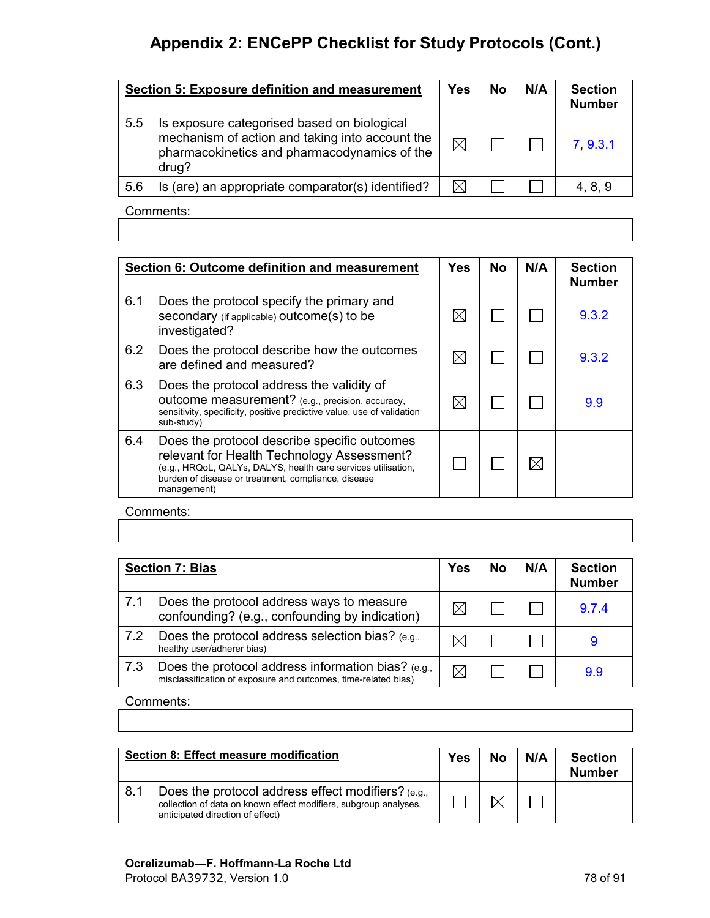|     | Section 5: Exposure definition and measurement                                                                                                          | Yes         | No | N/A | <b>Section</b><br><b>Number</b> |  |  |
|-----|---------------------------------------------------------------------------------------------------------------------------------------------------------|-------------|----|-----|---------------------------------|--|--|
| 5.5 | Is exposure categorised based on biological<br>mechanism of action and taking into account the<br>pharmacokinetics and pharmacodynamics of the<br>drug? | $\boxtimes$ |    |     | 7 9.3.1                         |  |  |
| 5.6 | Is (are) an appropriate comparator(s) identified?                                                                                                       |             |    |     | 4, 8, 9                         |  |  |
|     | $O$ and paralax                                                                                                                                         |             |    |     |                                 |  |  |

Comments:

|     | <b>Section 6: Outcome definition and measurement</b>                                                                                                                                                                              | <b>Yes</b> | No | N/A      | <b>Section</b><br><b>Number</b> |
|-----|-----------------------------------------------------------------------------------------------------------------------------------------------------------------------------------------------------------------------------------|------------|----|----------|---------------------------------|
| 6.1 | Does the protocol specify the primary and<br>secondary (if applicable) outcome(s) to be<br>investigated?                                                                                                                          |            |    |          | 9.3.2                           |
| 6.2 | Does the protocol describe how the outcomes<br>are defined and measured?                                                                                                                                                          |            |    |          | 9.3.2                           |
| 6.3 | Does the protocol address the validity of<br>outcome measurement? (e.g., precision, accuracy,<br>sensitivity, specificity, positive predictive value, use of validation<br>sub-study)                                             |            |    |          | 9.9                             |
| 6.4 | Does the protocol describe specific outcomes<br>relevant for Health Technology Assessment?<br>(e.g., HRQoL, QALYs, DALYS, health care services utilisation,<br>burden of disease or treatment, compliance, disease<br>management) |            |    | $\times$ |                                 |

Comments:

| <b>Section 7: Bias</b> |                                                                                                                      | <b>Yes</b> | No | N/A | <b>Section</b><br><b>Number</b> |
|------------------------|----------------------------------------------------------------------------------------------------------------------|------------|----|-----|---------------------------------|
| 7.1                    | Does the protocol address ways to measure<br>confounding? (e.g., confounding by indication)                          |            |    |     | 9.7.4                           |
| 7.2                    | Does the protocol address selection bias? (e.g.,<br>healthy user/adherer bias)                                       |            |    |     | 9                               |
| 7.3                    | Does the protocol address information bias? (e.g.,<br>misclassification of exposure and outcomes, time-related bias) |            |    |     | 9.9                             |

Comments:

|     | Section 8: Effect measure modification                                                                                                                     | <b>Yes</b> | <b>No</b> | N/A | <b>Section</b><br><b>Number</b> |
|-----|------------------------------------------------------------------------------------------------------------------------------------------------------------|------------|-----------|-----|---------------------------------|
| 8.1 | Does the protocol address effect modifiers? (e.g.,<br>collection of data on known effect modifiers, subgroup analyses,<br>anticipated direction of effect) |            |           |     |                                 |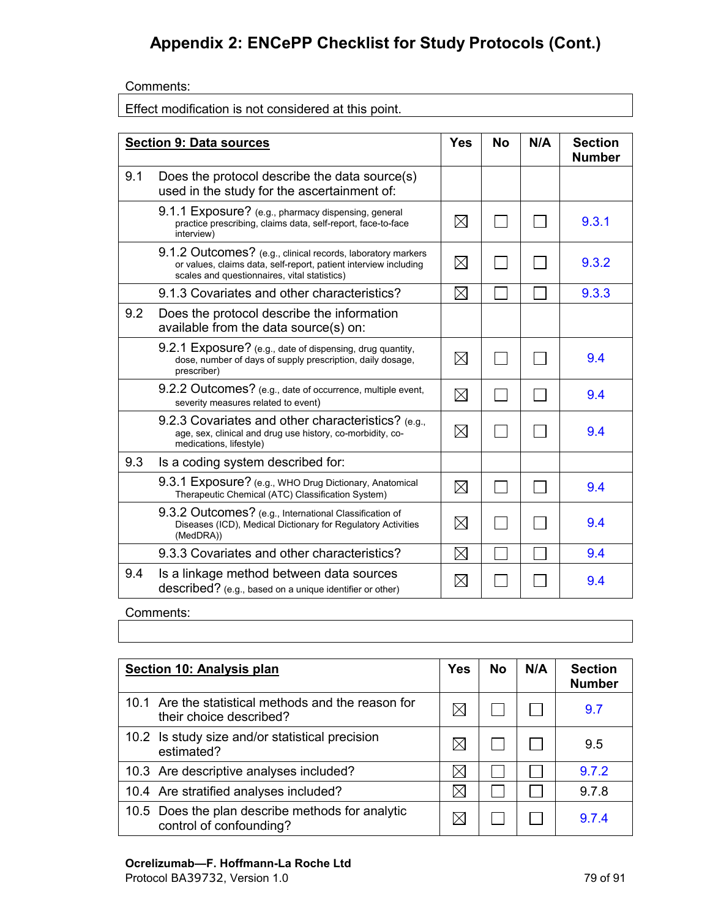Comments:

Effect modification is not considered at this point.

|     | <b>Section 9: Data sources</b>                                                                                                                                                  | <b>Yes</b>  | <b>No</b> | N/A | <b>Section</b><br><b>Number</b> |
|-----|---------------------------------------------------------------------------------------------------------------------------------------------------------------------------------|-------------|-----------|-----|---------------------------------|
| 9.1 | Does the protocol describe the data source(s)<br>used in the study for the ascertainment of:                                                                                    |             |           |     |                                 |
|     | 9.1.1 Exposure? (e.g., pharmacy dispensing, general<br>practice prescribing, claims data, self-report, face-to-face<br>interview)                                               | $\boxtimes$ |           |     | 9.3.1                           |
|     | 9.1.2 Outcomes? (e.g., clinical records, laboratory markers<br>or values, claims data, self-report, patient interview including<br>scales and questionnaires, vital statistics) | $\boxtimes$ |           |     | 9.3.2                           |
|     | 9.1.3 Covariates and other characteristics?                                                                                                                                     | $\boxtimes$ |           |     | 9.3.3                           |
| 9.2 | Does the protocol describe the information<br>available from the data source(s) on:                                                                                             |             |           |     |                                 |
|     | 9.2.1 Exposure? (e.g., date of dispensing, drug quantity,<br>dose, number of days of supply prescription, daily dosage,<br>prescriber)                                          | $\boxtimes$ |           |     | 9.4                             |
|     | 9.2.2 Outcomes? (e.g., date of occurrence, multiple event,<br>severity measures related to event)                                                                               | $\boxtimes$ |           |     | 9.4                             |
|     | 9.2.3 Covariates and other characteristics? (e.g.,<br>age, sex, clinical and drug use history, co-morbidity, co-<br>medications, lifestyle)                                     | $\boxtimes$ |           |     | 9.4                             |
| 9.3 | Is a coding system described for:                                                                                                                                               |             |           |     |                                 |
|     | 9.3.1 Exposure? (e.g., WHO Drug Dictionary, Anatomical<br>Therapeutic Chemical (ATC) Classification System)                                                                     | $\boxtimes$ |           |     | 9.4                             |
|     | 9.3.2 Outcomes? (e.g., International Classification of<br>Diseases (ICD), Medical Dictionary for Regulatory Activities<br>(MedDRA))                                             | $\boxtimes$ |           |     | 9.4                             |
|     | 9.3.3 Covariates and other characteristics?                                                                                                                                     | $\boxtimes$ |           |     | 9.4                             |
| 9.4 | Is a linkage method between data sources<br>described? (e.g., based on a unique identifier or other)                                                                            | $\boxtimes$ |           |     | 9.4                             |

Comments:

**Section 10: Analysis plan Yes No N/A Section Number** 10.1 Are the statistical methods and the reason for Are the statistical methods and the reason for  $\boxtimes$   $\Box$   $\Box$   $\Box$  [9.7](#page-47-0) 10.2 Is study size and/or statistical precision  $\Box$   $\Box$   $\Box$  9.5 10.3 Are descriptive analyses included?  $\boxtimes$   $\boxtimes$   $\boxtimes$   $\Box$ 10.4 Are stratified analyses included?  $\boxtimes$   $\boxtimes$   $\boxtimes$   $\boxminus$   $\Box$  9.7.8 10.5 Does the plan describe methods for analytic Does the plan describe metric os for analytic  $\boxtimes$   $\Box$   $\Box$   $\Box$  [9.7.4](#page-51-0)

### **Ocrelizumab—F. Hoffmann-La Roche Ltd**

Protocol BA39732, Version 1.0 79 of 91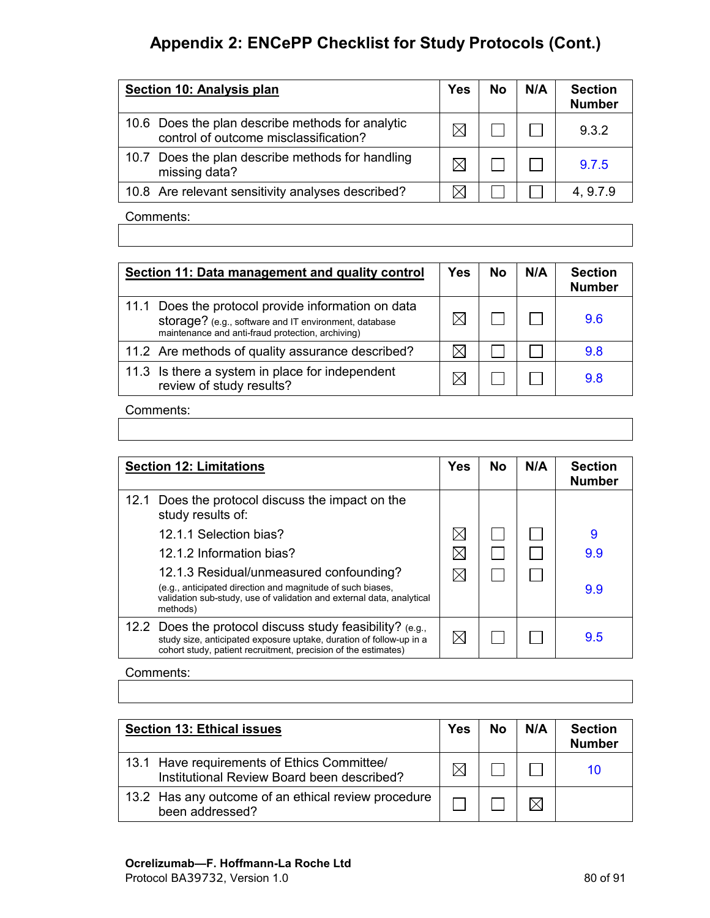| Section 10: Analysis plan                                                                 | <b>Yes</b> | <b>No</b> | N/A | <b>Section</b><br><b>Number</b> |
|-------------------------------------------------------------------------------------------|------------|-----------|-----|---------------------------------|
| 10.6 Does the plan describe methods for analytic<br>control of outcome misclassification? |            |           |     | 9.3.2                           |
| 10.7 Does the plan describe methods for handling<br>missing data?                         |            |           |     | 9.7.5                           |
| 10.8 Are relevant sensitivity analyses described?                                         |            |           |     | 4, 9.7.9                        |
| $O$ and probably                                                                          |            |           |     |                                 |

Comments:

| Section 11: Data management and quality control                                                                                                                  | Yes | <b>No</b> | N/A | <b>Section</b><br><b>Number</b> |
|------------------------------------------------------------------------------------------------------------------------------------------------------------------|-----|-----------|-----|---------------------------------|
| 11.1 Does the protocol provide information on data<br>storage? (e.g., software and IT environment, database<br>maintenance and anti-fraud protection, archiving) |     |           |     | 9.6                             |
| 11.2 Are methods of quality assurance described?                                                                                                                 |     |           |     | 9.8                             |
| 11.3 Is there a system in place for independent<br>review of study results?                                                                                      |     |           |     | 98                              |

#### Comments:

| <b>Section 12: Limitations</b>                                                                                                                                                                      | <b>Yes</b> | No | N/A | <b>Section</b><br><b>Number</b> |
|-----------------------------------------------------------------------------------------------------------------------------------------------------------------------------------------------------|------------|----|-----|---------------------------------|
| 12.1 Does the protocol discuss the impact on the<br>study results of:                                                                                                                               |            |    |     |                                 |
| 12.1.1 Selection bias?                                                                                                                                                                              |            |    |     | 9                               |
| 12.1.2 Information bias?                                                                                                                                                                            |            |    |     | 9.9                             |
| 12.1.3 Residual/unmeasured confounding?<br>(e.g., anticipated direction and magnitude of such biases,<br>validation sub-study, use of validation and external data, analytical<br>methods)          |            |    |     | 9.9                             |
| 12.2 Does the protocol discuss study feasibility? $(e.g.,$<br>study size, anticipated exposure uptake, duration of follow-up in a<br>cohort study, patient recruitment, precision of the estimates) | IXI        |    |     | 9.5                             |

Comments:

| <b>Section 13: Ethical issues</b>                                                         | <b>Yes</b> | <b>No</b> | N/A | <b>Section</b><br><b>Number</b> |
|-------------------------------------------------------------------------------------------|------------|-----------|-----|---------------------------------|
| 13.1 Have requirements of Ethics Committee/<br>Institutional Review Board been described? |            |           |     | 10                              |
| 13.2 Has any outcome of an ethical review procedure<br>been addressed?                    |            |           |     |                                 |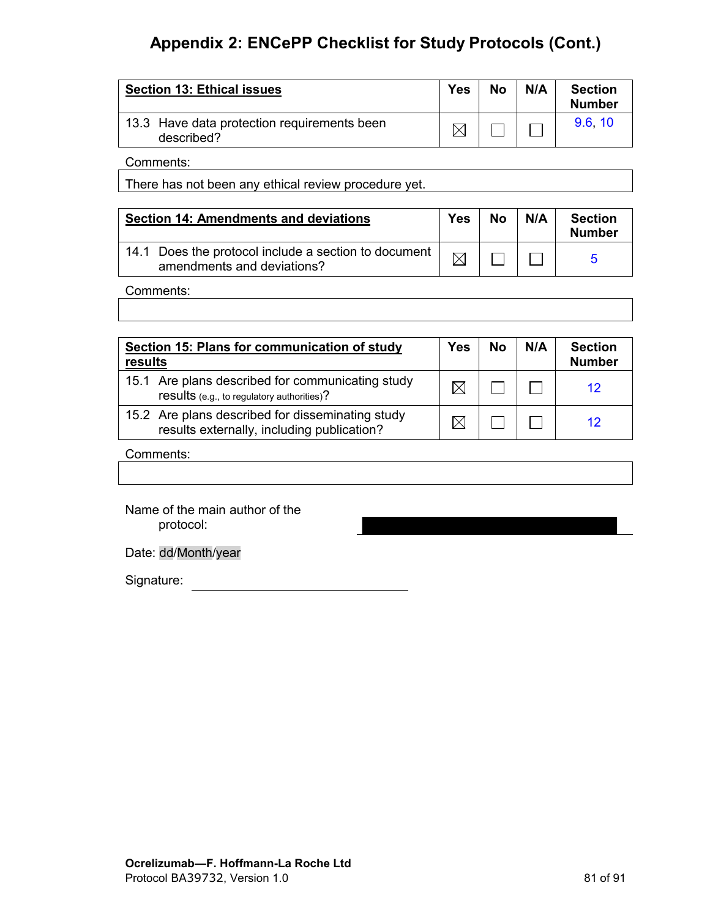| <b>Section 13: Ethical issues</b>                         | Yes | No | N/A | <b>Section</b><br><b>Number</b> |
|-----------------------------------------------------------|-----|----|-----|---------------------------------|
| 13.3 Have data protection requirements been<br>described? |     |    |     | 9.6 10                          |

Comments:

There has not been any ethical review procedure yet.

| <b>Section 14: Amendments and deviations</b>                                         | <b>Yes</b> | <b>No</b> | N/A | <b>Section</b><br><b>Number</b> |
|--------------------------------------------------------------------------------------|------------|-----------|-----|---------------------------------|
| 14.1 Does the protocol include a section to document  <br>amendments and deviations? |            |           |     |                                 |

#### Comments:

| Section 15: Plans for communication of study<br>results                                        | <b>Yes</b> | <b>No</b> | N/A | <b>Section</b><br><b>Number</b> |
|------------------------------------------------------------------------------------------------|------------|-----------|-----|---------------------------------|
| 15.1 Are plans described for communicating study<br>results (e.g., to regulatory authorities)? |            |           |     |                                 |
| 15.2 Are plans described for disseminating study<br>results externally, including publication? |            |           |     |                                 |

#### Comments:

Name of the main author of the protocol:

Date: dd/Month/year

Signature: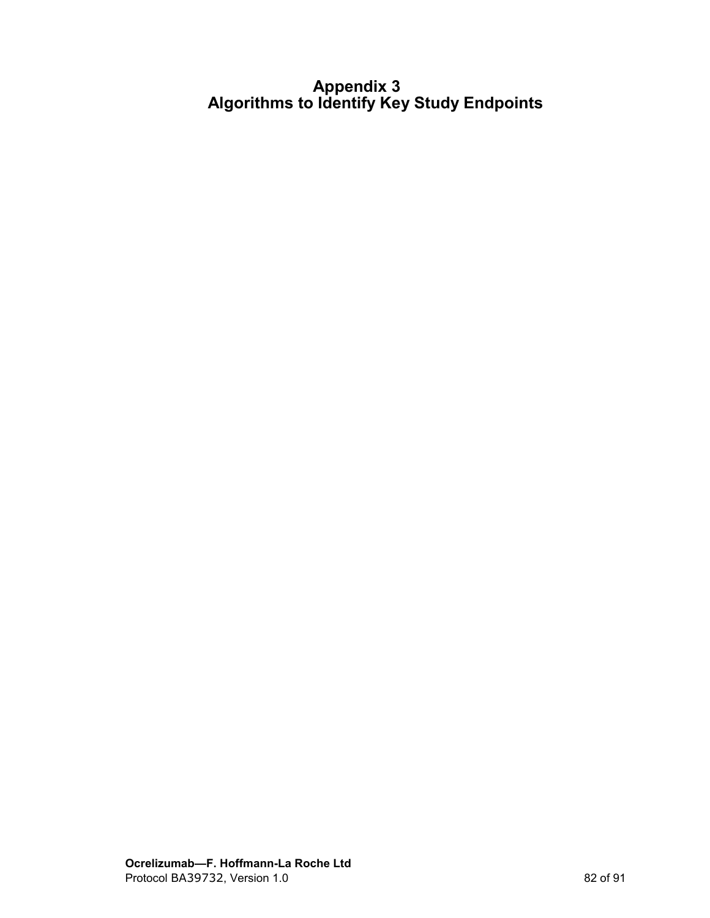## **Appendix 3 Algorithms to Identify Key Study Endpoints**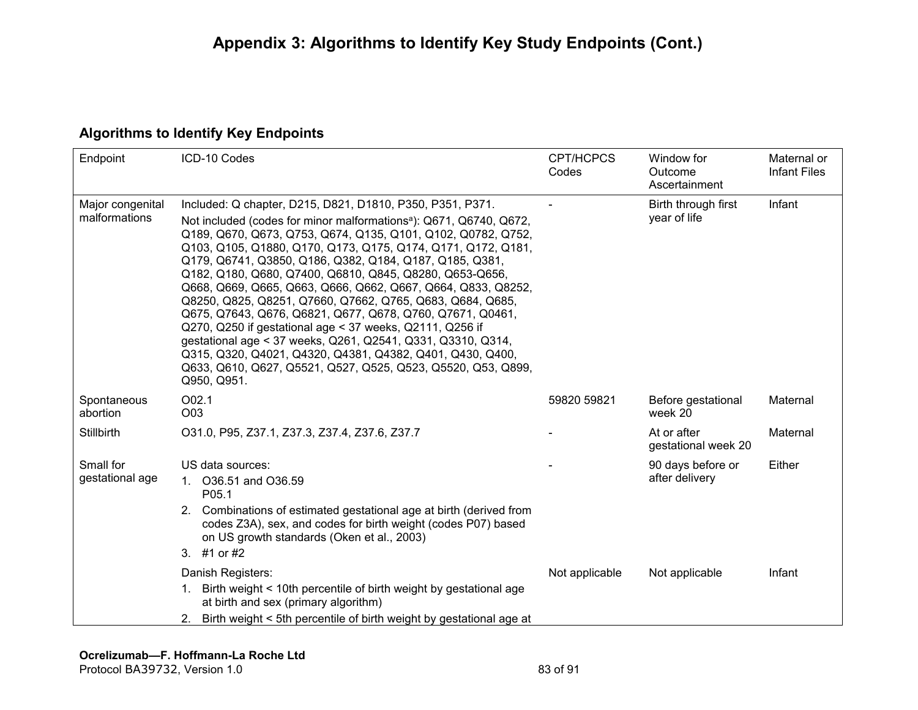## **Algorithms to Identify Key Endpoints**

| Endpoint                          | ICD-10 Codes                                                                                                                                                                                                                                                                                                                                                                                                                                                                                                                                                                                                                                                                                                                                                                                                                                                       | <b>CPT/HCPCS</b><br>Codes | Window for<br>Outcome<br>Ascertainment | Maternal or<br><b>Infant Files</b> |
|-----------------------------------|--------------------------------------------------------------------------------------------------------------------------------------------------------------------------------------------------------------------------------------------------------------------------------------------------------------------------------------------------------------------------------------------------------------------------------------------------------------------------------------------------------------------------------------------------------------------------------------------------------------------------------------------------------------------------------------------------------------------------------------------------------------------------------------------------------------------------------------------------------------------|---------------------------|----------------------------------------|------------------------------------|
| Major congenital<br>malformations | Included: Q chapter, D215, D821, D1810, P350, P351, P371.<br>Not included (codes for minor malformations <sup>a</sup> ): Q671, Q6740, Q672,<br>Q189, Q670, Q673, Q753, Q674, Q135, Q101, Q102, Q0782, Q752,<br>Q103, Q105, Q1880, Q170, Q173, Q175, Q174, Q171, Q172, Q181,<br>Q179, Q6741, Q3850, Q186, Q382, Q184, Q187, Q185, Q381,<br>Q182, Q180, Q680, Q7400, Q6810, Q845, Q8280, Q653-Q656,<br>Q668, Q669, Q665, Q663, Q666, Q662, Q667, Q664, Q833, Q8252,<br>Q8250, Q825, Q8251, Q7660, Q7662, Q765, Q683, Q684, Q685,<br>Q675, Q7643, Q676, Q6821, Q677, Q678, Q760, Q7671, Q0461,<br>Q270, Q250 if gestational age < 37 weeks, Q2111, Q256 if<br>gestational age < 37 weeks, Q261, Q2541, Q331, Q3310, Q314,<br>Q315, Q320, Q4021, Q4320, Q4381, Q4382, Q401, Q430, Q400,<br>Q633, Q610, Q627, Q5521, Q527, Q525, Q523, Q5520, Q53, Q899,<br>Q950, Q951. |                           | Birth through first<br>year of life    | Infant                             |
| Spontaneous<br>abortion           | O02.1<br>O03                                                                                                                                                                                                                                                                                                                                                                                                                                                                                                                                                                                                                                                                                                                                                                                                                                                       | 59820 59821               | Before gestational<br>week 20          | Maternal                           |
| <b>Stillbirth</b>                 | 031.0, P95, Z37.1, Z37.3, Z37.4, Z37.6, Z37.7                                                                                                                                                                                                                                                                                                                                                                                                                                                                                                                                                                                                                                                                                                                                                                                                                      |                           | At or after<br>gestational week 20     | Maternal                           |
| Small for<br>gestational age      | US data sources:<br>O36.51 and O36.59<br>1.<br>P <sub>05.1</sub><br>2. Combinations of estimated gestational age at birth (derived from<br>codes Z3A), sex, and codes for birth weight (codes P07) based<br>on US growth standards (Oken et al., 2003)<br>3. #1 or #2                                                                                                                                                                                                                                                                                                                                                                                                                                                                                                                                                                                              |                           | 90 days before or<br>after delivery    | Either                             |
|                                   | Danish Registers:<br>Birth weight < 10th percentile of birth weight by gestational age<br>1.<br>at birth and sex (primary algorithm)<br>Birth weight < 5th percentile of birth weight by gestational age at<br>2.                                                                                                                                                                                                                                                                                                                                                                                                                                                                                                                                                                                                                                                  | Not applicable            | Not applicable                         | Infant                             |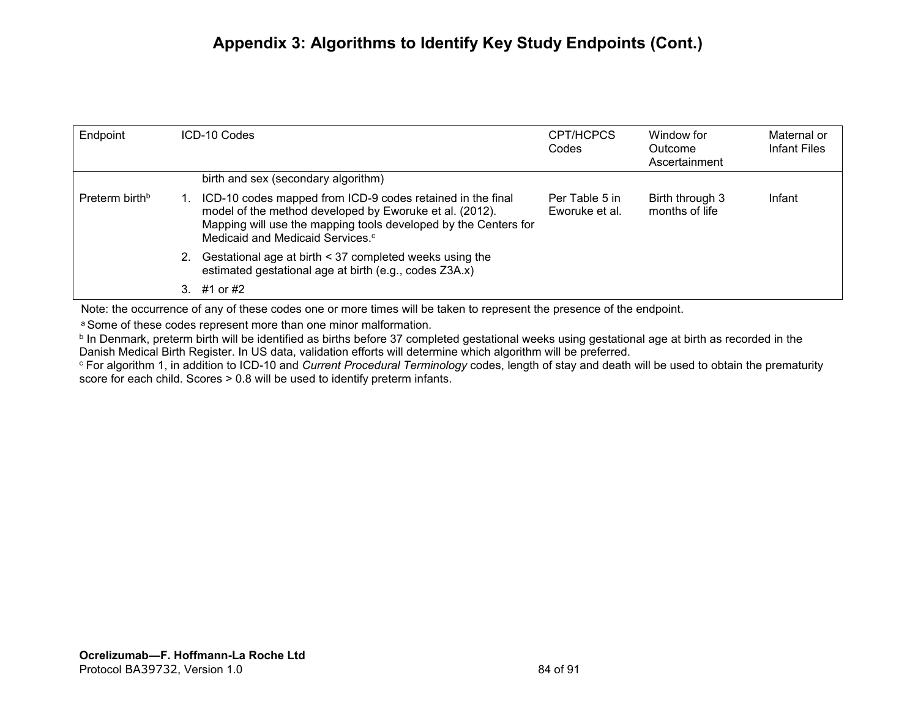## **Appendix 3: Algorithms to Identify Key Study Endpoints (Cont.)**

| Endpoint                   | ICD-10 Codes                                                                                                                                                                                                                             | CPT/HCPCS<br>Codes               | Window for<br>Outcome<br>Ascertainment | Maternal or<br>Infant Files |
|----------------------------|------------------------------------------------------------------------------------------------------------------------------------------------------------------------------------------------------------------------------------------|----------------------------------|----------------------------------------|-----------------------------|
|                            | birth and sex (secondary algorithm)                                                                                                                                                                                                      |                                  |                                        |                             |
| Preterm birth <sup>b</sup> | ICD-10 codes mapped from ICD-9 codes retained in the final<br>model of the method developed by Eworuke et al. (2012).<br>Mapping will use the mapping tools developed by the Centers for<br>Medicaid and Medicaid Services. <sup>c</sup> | Per Table 5 in<br>Eworuke et al. | Birth through 3<br>months of life      | Infant                      |
|                            | Gestational age at birth < 37 completed weeks using the<br>estimated gestational age at birth (e.g., codes Z3A.x)                                                                                                                        |                                  |                                        |                             |
|                            | #1 or #2                                                                                                                                                                                                                                 |                                  |                                        |                             |

Note: the occurrence of any of these codes one or more times will be taken to represent the presence of the endpoint.

a Some of these codes represent more than one minor malformation.

**b** In Denmark, preterm birth will be identified as births before 37 completed gestational weeks using gestational age at birth as recorded in the Danish Medical Birth Register. In US data, validation efforts will determine which algorithm will be preferred.

<sup>c</sup> For algorithm 1, in addition to ICD-10 and *Current Procedural Terminology* codes, length of stay and death will be used to obtain the prematurity score for each child. Scores > 0.8 will be used to identify preterm infants.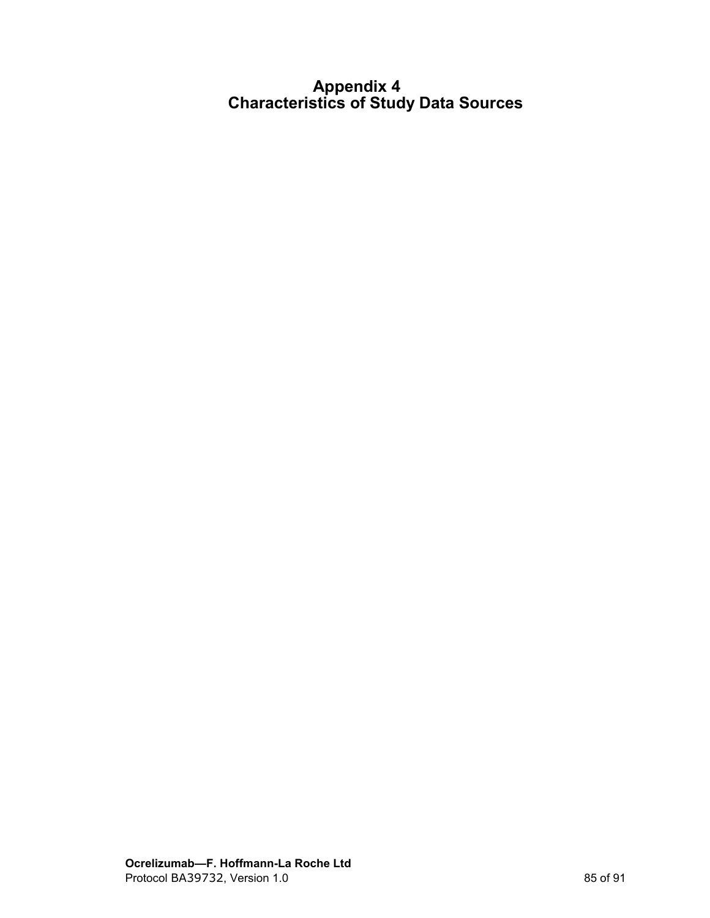### **Appendix 4 Characteristics of Study Data Sources**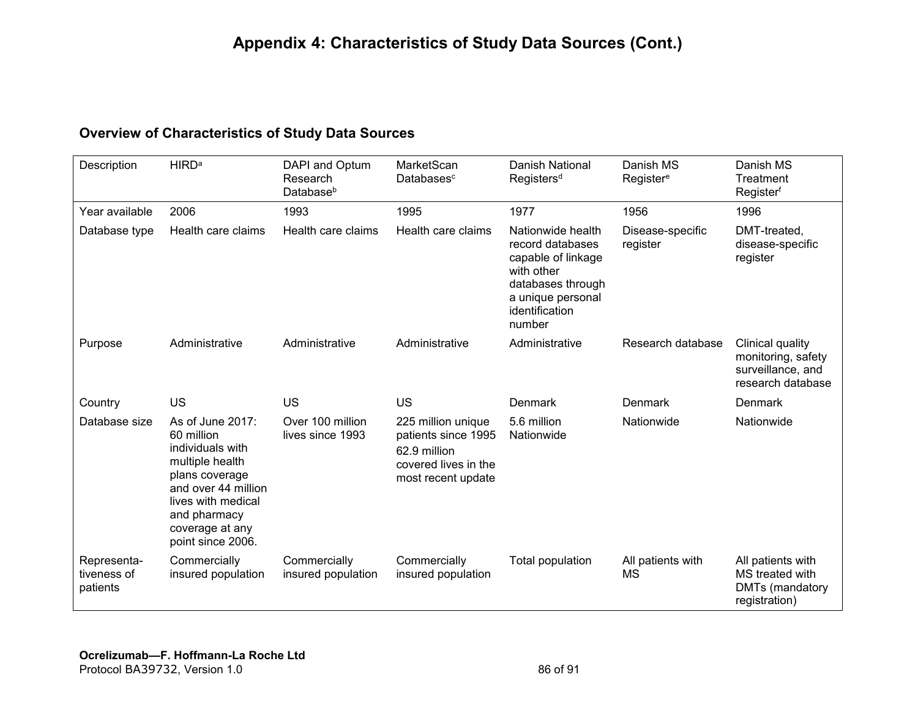### **Overview of Characteristics of Study Data Sources**

| Description                            | <b>HIRD<sup>a</sup></b>                                                                                                                                                                      | DAPI and Optum<br>Research<br>Databaseb | MarketScan<br>Databases <sup>c</sup>                                                                    | <b>Danish National</b><br>Registers <sup>d</sup>                                                                                                | Danish MS<br>Register <sup>e</sup> | Danish MS<br>Treatment<br>Registerf                                              |
|----------------------------------------|----------------------------------------------------------------------------------------------------------------------------------------------------------------------------------------------|-----------------------------------------|---------------------------------------------------------------------------------------------------------|-------------------------------------------------------------------------------------------------------------------------------------------------|------------------------------------|----------------------------------------------------------------------------------|
| Year available                         | 2006                                                                                                                                                                                         | 1993                                    | 1995                                                                                                    | 1977                                                                                                                                            | 1956                               | 1996                                                                             |
| Database type                          | Health care claims                                                                                                                                                                           | Health care claims                      | Health care claims                                                                                      | Nationwide health<br>record databases<br>capable of linkage<br>with other<br>databases through<br>a unique personal<br>identification<br>number | Disease-specific<br>register       | DMT-treated,<br>disease-specific<br>register                                     |
| Purpose                                | Administrative                                                                                                                                                                               | Administrative                          | Administrative                                                                                          | Administrative                                                                                                                                  | Research database                  | Clinical quality<br>monitoring, safety<br>surveillance, and<br>research database |
| Country                                | <b>US</b>                                                                                                                                                                                    | <b>US</b>                               | <b>US</b>                                                                                               | Denmark                                                                                                                                         | Denmark                            | Denmark                                                                          |
| Database size                          | As of June 2017:<br>60 million<br>individuals with<br>multiple health<br>plans coverage<br>and over 44 million<br>lives with medical<br>and pharmacy<br>coverage at any<br>point since 2006. | Over 100 million<br>lives since 1993    | 225 million unique<br>patients since 1995<br>62.9 million<br>covered lives in the<br>most recent update | 5.6 million<br>Nationwide                                                                                                                       | Nationwide                         | Nationwide                                                                       |
| Representa-<br>tiveness of<br>patients | Commercially<br>insured population                                                                                                                                                           | Commercially<br>insured population      | Commercially<br>insured population                                                                      | Total population                                                                                                                                | All patients with<br><b>MS</b>     | All patients with<br>MS treated with<br>DMTs (mandatory<br>registration)         |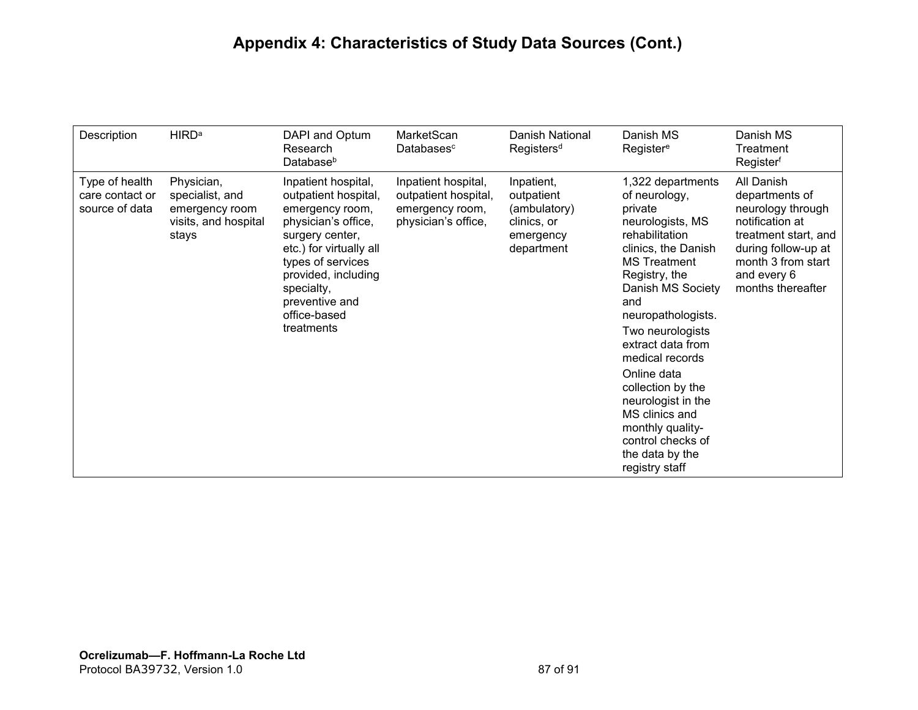# **Appendix 4: Characteristics of Study Data Sources (Cont.)**

| Description                                         | <b>HIRD<sup>a</sup></b>                                                          | DAPI and Optum<br>Research<br>Database <sup>b</sup>                                                                                                                                                                                           | MarketScan<br>Databasesc                                                              | Danish National<br>Registers <sup>d</sup>                                          | Danish MS<br>Register <sup>e</sup>                                                                                                                                                                                                                                                                                                                                                                                         | Danish MS<br>Treatment<br>Registerf                                                                                                                                           |
|-----------------------------------------------------|----------------------------------------------------------------------------------|-----------------------------------------------------------------------------------------------------------------------------------------------------------------------------------------------------------------------------------------------|---------------------------------------------------------------------------------------|------------------------------------------------------------------------------------|----------------------------------------------------------------------------------------------------------------------------------------------------------------------------------------------------------------------------------------------------------------------------------------------------------------------------------------------------------------------------------------------------------------------------|-------------------------------------------------------------------------------------------------------------------------------------------------------------------------------|
| Type of health<br>care contact or<br>source of data | Physician,<br>specialist, and<br>emergency room<br>visits, and hospital<br>stays | Inpatient hospital,<br>outpatient hospital,<br>emergency room,<br>physician's office,<br>surgery center,<br>etc.) for virtually all<br>types of services<br>provided, including<br>specialty,<br>preventive and<br>office-based<br>treatments | Inpatient hospital,<br>outpatient hospital,<br>emergency room,<br>physician's office, | Inpatient,<br>outpatient<br>(ambulatory)<br>clinics, or<br>emergency<br>department | 1,322 departments<br>of neurology,<br>private<br>neurologists, MS<br>rehabilitation<br>clinics, the Danish<br><b>MS Treatment</b><br>Registry, the<br>Danish MS Society<br>and<br>neuropathologists.<br>Two neurologists<br>extract data from<br>medical records<br>Online data<br>collection by the<br>neurologist in the<br>MS clinics and<br>monthly quality-<br>control checks of<br>the data by the<br>registry staff | All Danish<br>departments of<br>neurology through<br>notification at<br>treatment start, and<br>during follow-up at<br>month 3 from start<br>and every 6<br>months thereafter |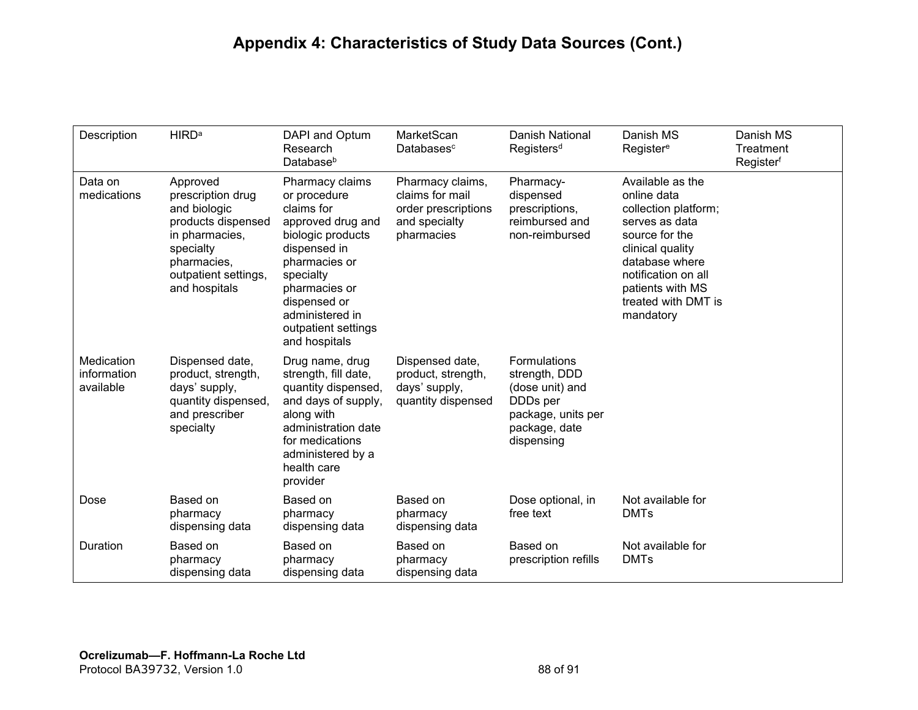# **Appendix 4: Characteristics of Study Data Sources (Cont.)**

| Description                            | <b>HIRD<sup>a</sup></b>                                                                                                                                    | DAPI and Optum<br>Research<br>Database <sup>b</sup>                                                                                                                                                                               | MarketScan<br>Databasesc                                                                  | Danish National<br>Registers <sup>d</sup>                                                                                            | Danish MS<br>Register <sup>e</sup>                                                                                                                                                                               | Danish MS<br>Treatment<br>Registerf |
|----------------------------------------|------------------------------------------------------------------------------------------------------------------------------------------------------------|-----------------------------------------------------------------------------------------------------------------------------------------------------------------------------------------------------------------------------------|-------------------------------------------------------------------------------------------|--------------------------------------------------------------------------------------------------------------------------------------|------------------------------------------------------------------------------------------------------------------------------------------------------------------------------------------------------------------|-------------------------------------|
| Data on<br>medications                 | Approved<br>prescription drug<br>and biologic<br>products dispensed<br>in pharmacies,<br>specialty<br>pharmacies,<br>outpatient settings,<br>and hospitals | Pharmacy claims<br>or procedure<br>claims for<br>approved drug and<br>biologic products<br>dispensed in<br>pharmacies or<br>specialty<br>pharmacies or<br>dispensed or<br>administered in<br>outpatient settings<br>and hospitals | Pharmacy claims,<br>claims for mail<br>order prescriptions<br>and specialty<br>pharmacies | Pharmacy-<br>dispensed<br>prescriptions,<br>reimbursed and<br>non-reimbursed                                                         | Available as the<br>online data<br>collection platform;<br>serves as data<br>source for the<br>clinical quality<br>database where<br>notification on all<br>patients with MS<br>treated with DMT is<br>mandatory |                                     |
| Medication<br>information<br>available | Dispensed date,<br>product, strength,<br>days' supply,<br>quantity dispensed,<br>and prescriber<br>specialty                                               | Drug name, drug<br>strength, fill date,<br>quantity dispensed,<br>and days of supply,<br>along with<br>administration date<br>for medications<br>administered by a<br>health care<br>provider                                     | Dispensed date,<br>product, strength,<br>days' supply,<br>quantity dispensed              | <b>Formulations</b><br>strength, DDD<br>(dose unit) and<br>DDD <sub>s</sub> per<br>package, units per<br>package, date<br>dispensing |                                                                                                                                                                                                                  |                                     |
| Dose                                   | Based on<br>pharmacy<br>dispensing data                                                                                                                    | Based on<br>pharmacy<br>dispensing data                                                                                                                                                                                           | Based on<br>pharmacy<br>dispensing data                                                   | Dose optional, in<br>free text                                                                                                       | Not available for<br><b>DMTs</b>                                                                                                                                                                                 |                                     |
| Duration                               | Based on<br>pharmacy<br>dispensing data                                                                                                                    | Based on<br>pharmacy<br>dispensing data                                                                                                                                                                                           | Based on<br>pharmacy<br>dispensing data                                                   | Based on<br>prescription refills                                                                                                     | Not available for<br><b>DMTs</b>                                                                                                                                                                                 |                                     |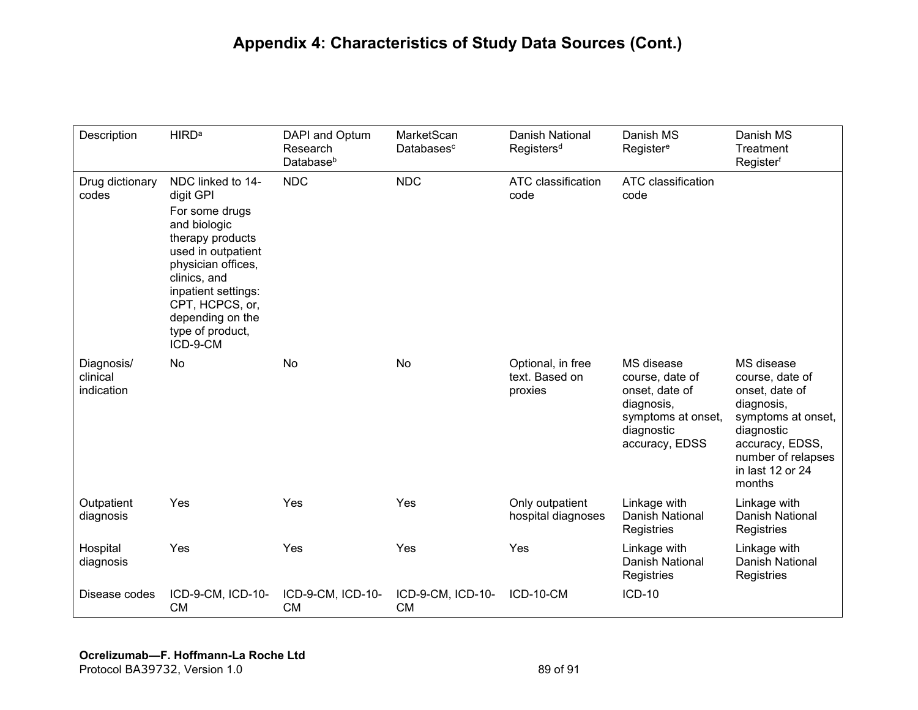| Description                          | <b>HIRD<sup>a</sup></b>                                                                                                                                                                                                                        | DAPI and Optum<br>Research<br>Database <sup>b</sup> | MarketScan<br>Databasesc       | <b>Danish National</b><br>Registers <sup>d</sup> | Danish MS<br>Register <sup>e</sup>                                                                                  | Danish MS<br><b>Treatment</b><br>Registerf                                                                                                                               |
|--------------------------------------|------------------------------------------------------------------------------------------------------------------------------------------------------------------------------------------------------------------------------------------------|-----------------------------------------------------|--------------------------------|--------------------------------------------------|---------------------------------------------------------------------------------------------------------------------|--------------------------------------------------------------------------------------------------------------------------------------------------------------------------|
| Drug dictionary<br>codes             | NDC linked to 14-<br>digit GPI<br>For some drugs<br>and biologic<br>therapy products<br>used in outpatient<br>physician offices,<br>clinics, and<br>inpatient settings:<br>CPT, HCPCS, or,<br>depending on the<br>type of product,<br>ICD-9-CM | <b>NDC</b>                                          | <b>NDC</b>                     | ATC classification<br>code                       | ATC classification<br>code                                                                                          |                                                                                                                                                                          |
| Diagnosis/<br>clinical<br>indication | No                                                                                                                                                                                                                                             | No                                                  | No                             | Optional, in free<br>text. Based on<br>proxies   | MS disease<br>course, date of<br>onset, date of<br>diagnosis,<br>symptoms at onset,<br>diagnostic<br>accuracy, EDSS | MS disease<br>course, date of<br>onset, date of<br>diagnosis,<br>symptoms at onset,<br>diagnostic<br>accuracy, EDSS,<br>number of relapses<br>in last 12 or 24<br>months |
| Outpatient<br>diagnosis              | Yes                                                                                                                                                                                                                                            | Yes                                                 | Yes                            | Only outpatient<br>hospital diagnoses            | Linkage with<br>Danish National<br>Registries                                                                       | Linkage with<br>Danish National<br>Registries                                                                                                                            |
| Hospital<br>diagnosis                | Yes                                                                                                                                                                                                                                            | Yes                                                 | Yes                            | Yes                                              | Linkage with<br>Danish National<br>Registries                                                                       | Linkage with<br>Danish National<br>Registries                                                                                                                            |
| Disease codes                        | ICD-9-CM, ICD-10-<br><b>CM</b>                                                                                                                                                                                                                 | ICD-9-CM, ICD-10-<br><b>CM</b>                      | ICD-9-CM, ICD-10-<br><b>CM</b> | ICD-10-CM                                        | <b>ICD-10</b>                                                                                                       |                                                                                                                                                                          |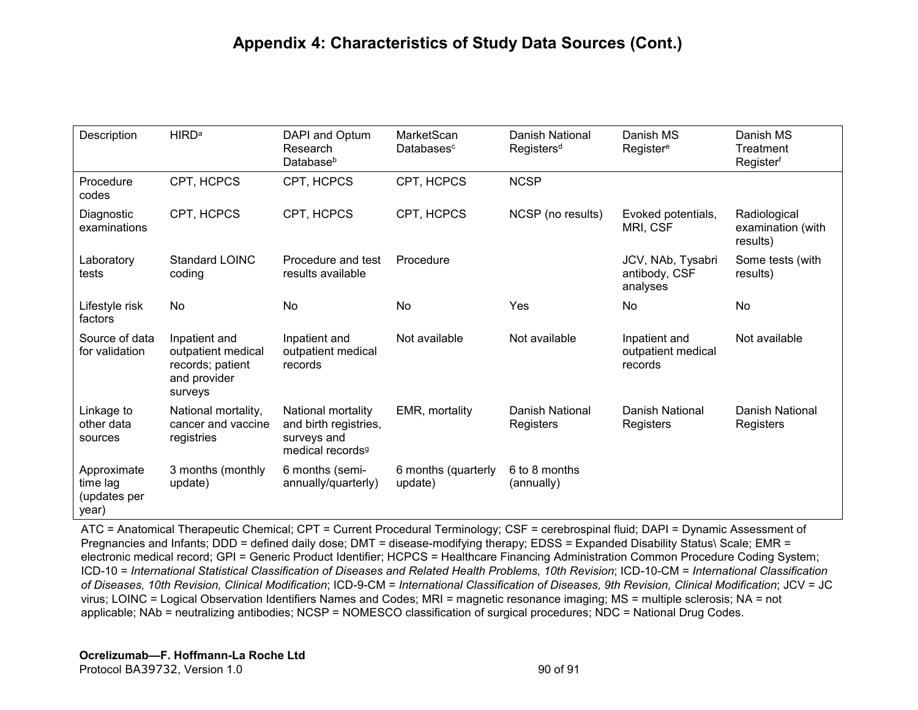| Description                                      | <b>HIRD<sup>a</sup></b>                                                            | DAPI and Optum<br>Research<br>Database <sup>b</sup>                                        | MarketScan<br>Databasesc       | Danish National<br>Registers <sup>d</sup> | Danish MS<br>Register <sup>e</sup>             | Danish MS<br>Treatment<br>Registerf           |
|--------------------------------------------------|------------------------------------------------------------------------------------|--------------------------------------------------------------------------------------------|--------------------------------|-------------------------------------------|------------------------------------------------|-----------------------------------------------|
| Procedure<br>codes                               | CPT, HCPCS                                                                         | CPT, HCPCS                                                                                 | CPT, HCPCS                     | <b>NCSP</b>                               |                                                |                                               |
| Diagnostic<br>examinations                       | CPT, HCPCS                                                                         | CPT, HCPCS                                                                                 | CPT, HCPCS                     | NCSP (no results)                         | Evoked potentials,<br>MRI, CSF                 | Radiological<br>examination (with<br>results) |
| Laboratory<br>tests                              | <b>Standard LOINC</b><br>coding                                                    | Procedure and test<br>results available                                                    | Procedure                      |                                           | JCV, NAb, Tysabri<br>antibody, CSF<br>analyses | Some tests (with<br>results)                  |
| Lifestyle risk<br>factors                        | No                                                                                 | No                                                                                         | <b>No</b>                      | Yes                                       | No                                             | No                                            |
| Source of data<br>for validation                 | Inpatient and<br>outpatient medical<br>records; patient<br>and provider<br>surveys | Inpatient and<br>outpatient medical<br>records                                             | Not available                  | Not available                             | Inpatient and<br>outpatient medical<br>records | Not available                                 |
| Linkage to<br>other data<br>sources              | National mortality,<br>cancer and vaccine<br>registries                            | National mortality<br>and birth registries,<br>surveys and<br>medical records <sup>9</sup> | EMR, mortality                 | Danish National<br>Registers              | <b>Danish National</b><br>Registers            | <b>Danish National</b><br>Registers           |
| Approximate<br>time lag<br>(updates per<br>year) | 3 months (monthly<br>update)                                                       | 6 months (semi-<br>annually/quarterly)                                                     | 6 months (quarterly<br>update) | 6 to 8 months<br>(annually)               |                                                |                                               |

ATC = Anatomical Therapeutic Chemical; CPT = Current Procedural Terminology; CSF = cerebrospinal fluid; DAPI = Dynamic Assessment of Pregnancies and Infants; DDD = defined daily dose; DMT = disease-modifying therapy; EDSS = Expanded Disability Status\ Scale; EMR = electronic medical record; GPI = Generic Product Identifier; HCPCS = Healthcare Financing Administration Common Procedure Coding System; ICD-10 = *International Statistical Classification of Diseases and Related Health Problems, 10th Revision*; ICD-10-CM = *International Classification of Diseases, 10th Revision, Clinical Modification*; ICD-9-CM = *International Classification of Diseases, 9th Revision, Clinical Modification*; JCV = JC virus; LOINC = Logical Observation Identifiers Names and Codes; MRI = magnetic resonance imaging; MS = multiple sclerosis; NA = not applicable; NAb = neutralizing antibodies; NCSP = NOMESCO classification of surgical procedures; NDC = National Drug Codes.